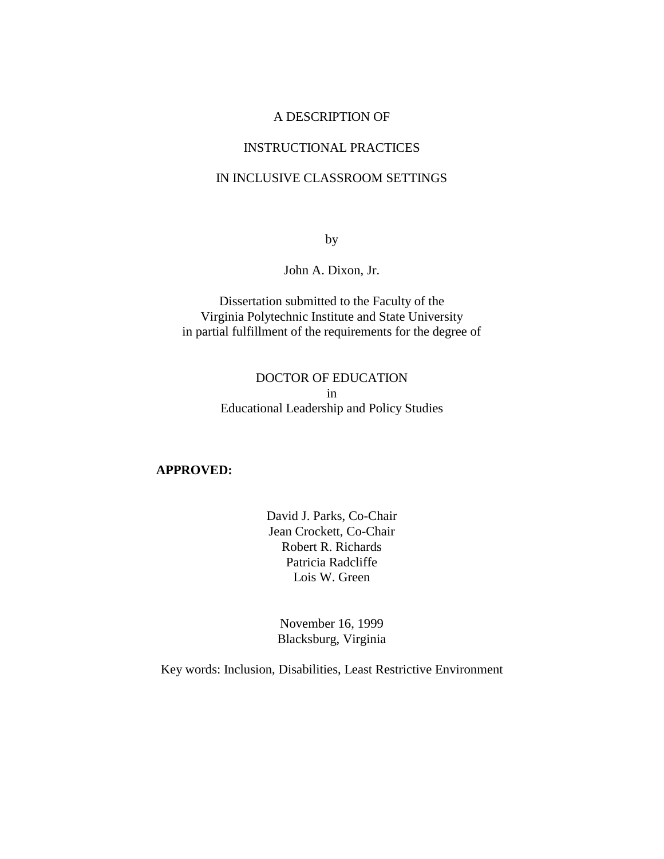## A DESCRIPTION OF

### INSTRUCTIONAL PRACTICES

## IN INCLUSIVE CLASSROOM SETTINGS

by

John A. Dixon, Jr.

Dissertation submitted to the Faculty of the Virginia Polytechnic Institute and State University in partial fulfillment of the requirements for the degree of

## DOCTOR OF EDUCATION in Educational Leadership and Policy Studies

#### **APPROVED:**

David J. Parks, Co-Chair Jean Crockett, Co-Chair Robert R. Richards Patricia Radcliffe Lois W. Green

November 16, 1999 Blacksburg, Virginia

Key words: Inclusion, Disabilities, Least Restrictive Environment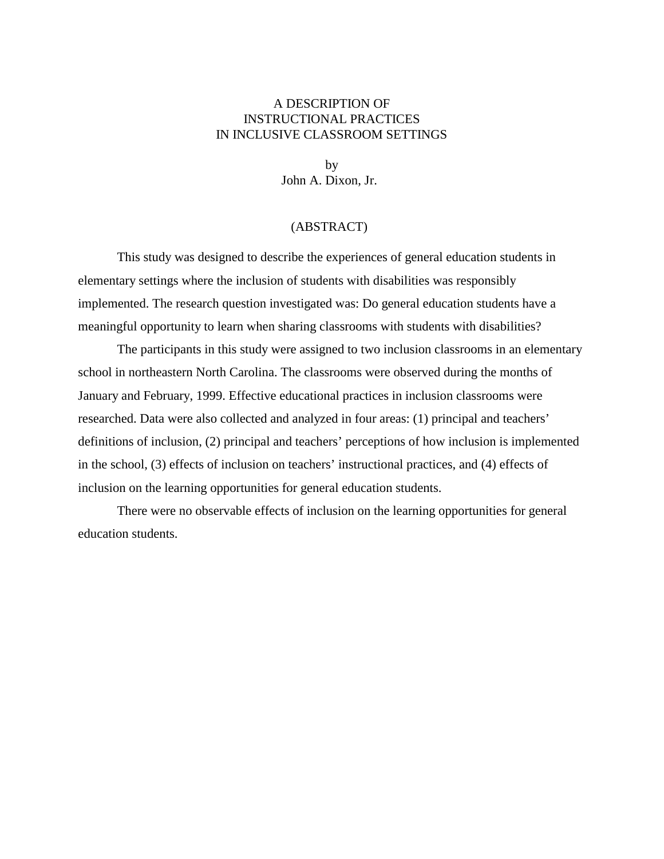## A DESCRIPTION OF INSTRUCTIONAL PRACTICES IN INCLUSIVE CLASSROOM SETTINGS

by John A. Dixon, Jr.

## (ABSTRACT)

This study was designed to describe the experiences of general education students in elementary settings where the inclusion of students with disabilities was responsibly implemented. The research question investigated was: Do general education students have a meaningful opportunity to learn when sharing classrooms with students with disabilities?

The participants in this study were assigned to two inclusion classrooms in an elementary school in northeastern North Carolina. The classrooms were observed during the months of January and February, 1999. Effective educational practices in inclusion classrooms were researched. Data were also collected and analyzed in four areas: (1) principal and teachers' definitions of inclusion, (2) principal and teachers' perceptions of how inclusion is implemented in the school, (3) effects of inclusion on teachers' instructional practices, and (4) effects of inclusion on the learning opportunities for general education students.

There were no observable effects of inclusion on the learning opportunities for general education students.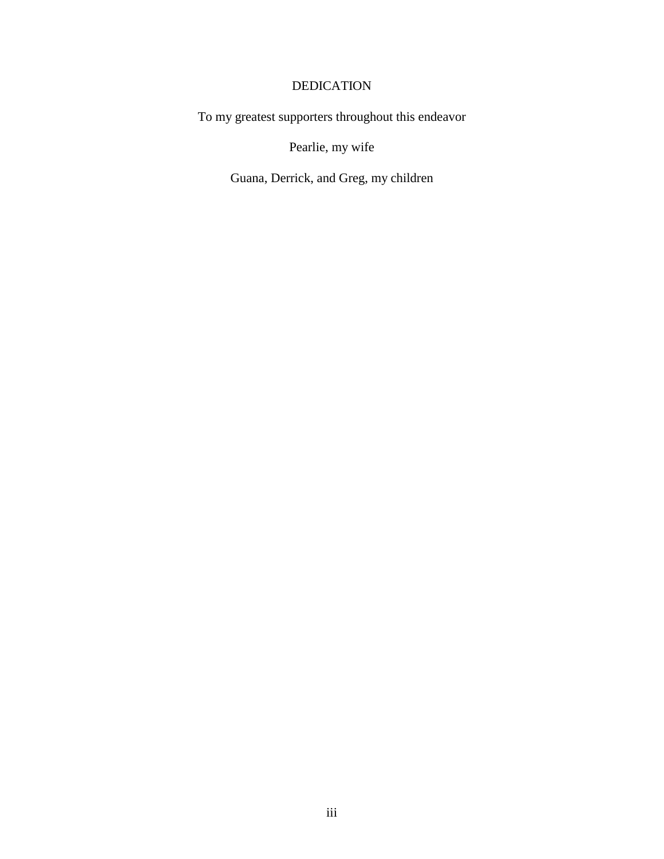## DEDICATION

To my greatest supporters throughout this endeavor

Pearlie, my wife

Guana, Derrick, and Greg, my children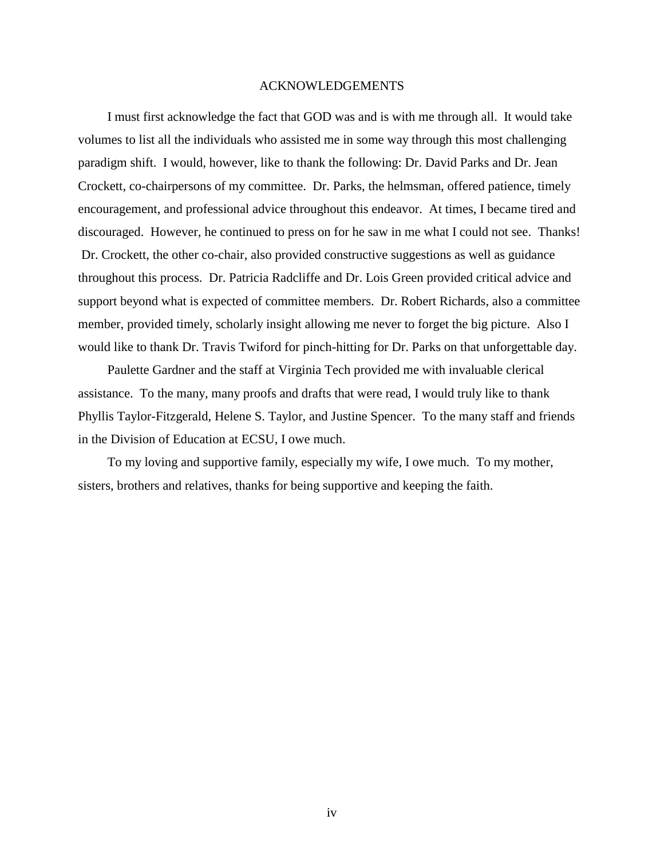#### ACKNOWLEDGEMENTS

I must first acknowledge the fact that GOD was and is with me through all. It would take volumes to list all the individuals who assisted me in some way through this most challenging paradigm shift. I would, however, like to thank the following: Dr. David Parks and Dr. Jean Crockett, co-chairpersons of my committee. Dr. Parks, the helmsman, offered patience, timely encouragement, and professional advice throughout this endeavor. At times, I became tired and discouraged. However, he continued to press on for he saw in me what I could not see. Thanks! Dr. Crockett, the other co-chair, also provided constructive suggestions as well as guidance throughout this process. Dr. Patricia Radcliffe and Dr. Lois Green provided critical advice and support beyond what is expected of committee members. Dr. Robert Richards, also a committee member, provided timely, scholarly insight allowing me never to forget the big picture. Also I would like to thank Dr. Travis Twiford for pinch-hitting for Dr. Parks on that unforgettable day.

Paulette Gardner and the staff at Virginia Tech provided me with invaluable clerical assistance. To the many, many proofs and drafts that were read, I would truly like to thank Phyllis Taylor-Fitzgerald, Helene S. Taylor, and Justine Spencer. To the many staff and friends in the Division of Education at ECSU, I owe much.

To my loving and supportive family, especially my wife, I owe much. To my mother, sisters, brothers and relatives, thanks for being supportive and keeping the faith.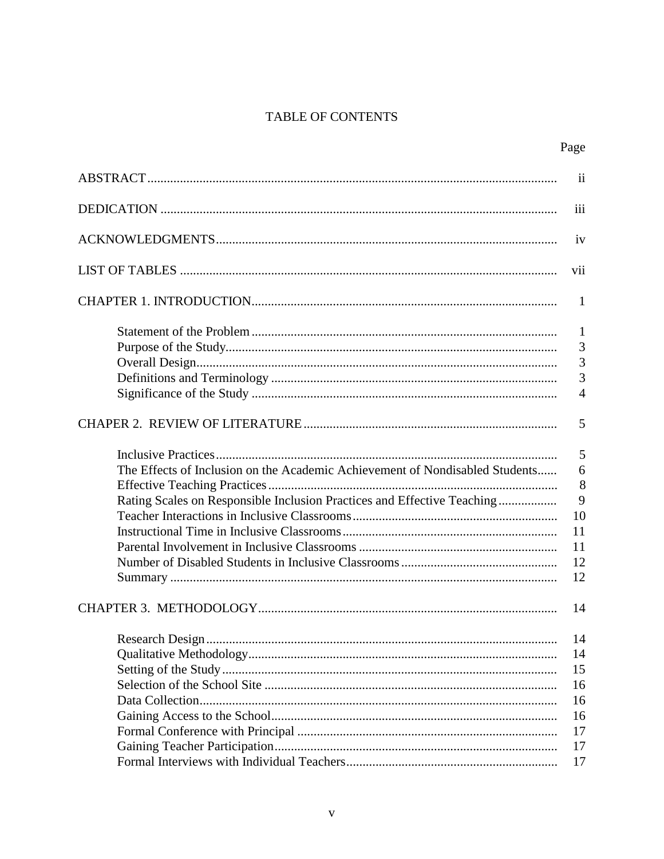## TABLE OF CONTENTS

|                                                                              | $\overline{\mathbf{u}}$ |
|------------------------------------------------------------------------------|-------------------------|
|                                                                              | iii                     |
|                                                                              | iv                      |
|                                                                              | vii                     |
|                                                                              | 1                       |
|                                                                              | -1<br>3                 |
|                                                                              | 3                       |
|                                                                              | 3                       |
|                                                                              | $\overline{4}$          |
|                                                                              | 5                       |
|                                                                              | 5                       |
| The Effects of Inclusion on the Academic Achievement of Nondisabled Students | 6                       |
|                                                                              | 8                       |
| Rating Scales on Responsible Inclusion Practices and Effective Teaching      | 9                       |
|                                                                              | 10                      |
|                                                                              | 11                      |
|                                                                              | 11                      |
|                                                                              | 12                      |
|                                                                              | 12                      |
|                                                                              | 14                      |
|                                                                              | 14                      |
|                                                                              | 14                      |
|                                                                              | 15                      |
|                                                                              | 16                      |
|                                                                              | 16                      |
|                                                                              | 16                      |
|                                                                              | 17                      |
|                                                                              | 17                      |
|                                                                              | 17                      |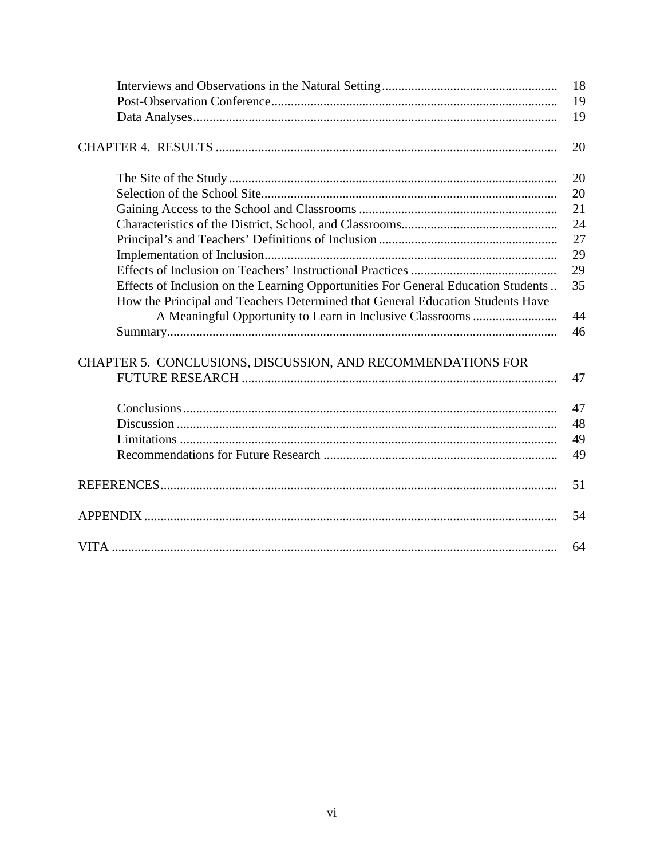|                                                                                                                                                                     | 18<br>19 |
|---------------------------------------------------------------------------------------------------------------------------------------------------------------------|----------|
|                                                                                                                                                                     | 19       |
|                                                                                                                                                                     | 20       |
|                                                                                                                                                                     | 20       |
|                                                                                                                                                                     | 20       |
|                                                                                                                                                                     | 21       |
|                                                                                                                                                                     | 24       |
|                                                                                                                                                                     | 27       |
|                                                                                                                                                                     | 29       |
|                                                                                                                                                                     | 29       |
| Effects of Inclusion on the Learning Opportunities For General Education Students<br>How the Principal and Teachers Determined that General Education Students Have | 35       |
|                                                                                                                                                                     | 44       |
|                                                                                                                                                                     | 46       |
| CHAPTER 5. CONCLUSIONS, DISCUSSION, AND RECOMMENDATIONS FOR                                                                                                         |          |
|                                                                                                                                                                     | 47       |
|                                                                                                                                                                     | 47       |
|                                                                                                                                                                     | 48       |
|                                                                                                                                                                     | 49       |
|                                                                                                                                                                     | 49       |
|                                                                                                                                                                     | 51       |
|                                                                                                                                                                     | 54       |
| <b>VITA</b>                                                                                                                                                         | 64       |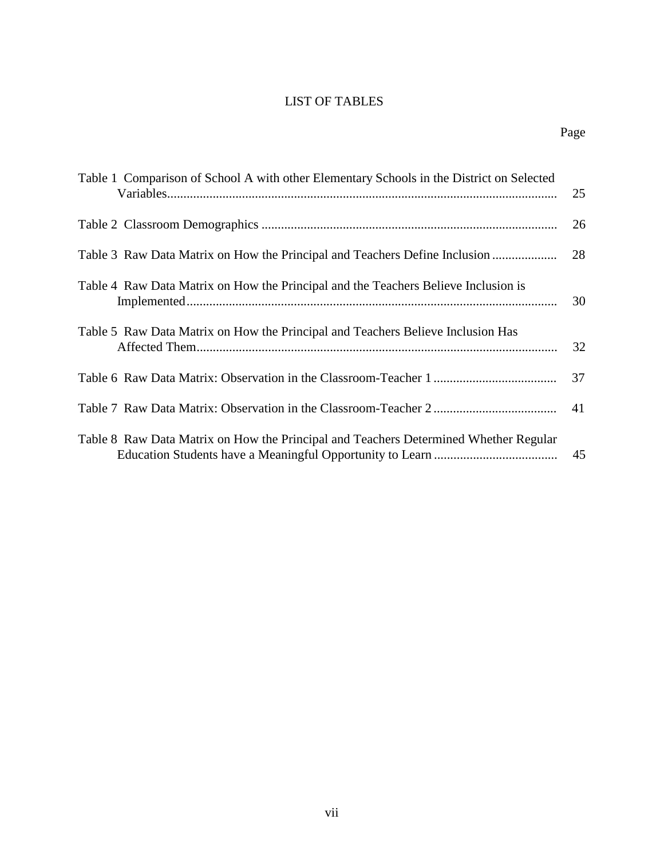## LIST OF TABLES

| Table 1 Comparison of School A with other Elementary Schools in the District on Selected | 25 |
|------------------------------------------------------------------------------------------|----|
|                                                                                          | 26 |
| Table 3 Raw Data Matrix on How the Principal and Teachers Define Inclusion               | 28 |
| Table 4 Raw Data Matrix on How the Principal and the Teachers Believe Inclusion is       | 30 |
| Table 5 Raw Data Matrix on How the Principal and Teachers Believe Inclusion Has          | 32 |
|                                                                                          | 37 |
|                                                                                          | 41 |
| Table 8 Raw Data Matrix on How the Principal and Teachers Determined Whether Regular     | 45 |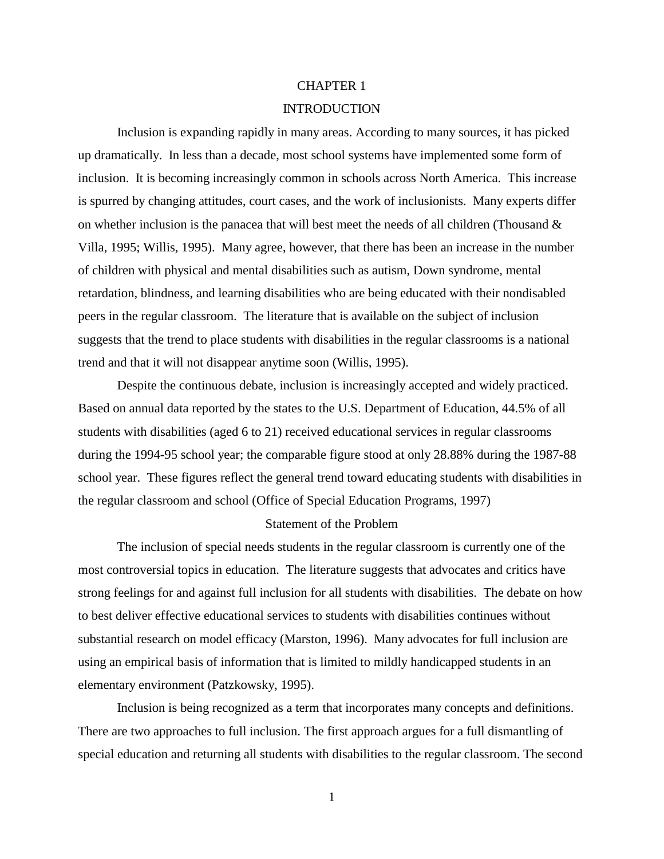#### CHAPTER 1

#### INTRODUCTION

Inclusion is expanding rapidly in many areas. According to many sources, it has picked up dramatically. In less than a decade, most school systems have implemented some form of inclusion. It is becoming increasingly common in schools across North America. This increase is spurred by changing attitudes, court cases, and the work of inclusionists. Many experts differ on whether inclusion is the panacea that will best meet the needs of all children (Thousand  $\&$ Villa, 1995; Willis, 1995). Many agree, however, that there has been an increase in the number of children with physical and mental disabilities such as autism, Down syndrome, mental retardation, blindness, and learning disabilities who are being educated with their nondisabled peers in the regular classroom. The literature that is available on the subject of inclusion suggests that the trend to place students with disabilities in the regular classrooms is a national trend and that it will not disappear anytime soon (Willis, 1995).

Despite the continuous debate, inclusion is increasingly accepted and widely practiced. Based on annual data reported by the states to the U.S. Department of Education, 44.5% of all students with disabilities (aged 6 to 21) received educational services in regular classrooms during the 1994-95 school year; the comparable figure stood at only 28.88% during the 1987-88 school year. These figures reflect the general trend toward educating students with disabilities in the regular classroom and school (Office of Special Education Programs, 1997)

#### Statement of the Problem

The inclusion of special needs students in the regular classroom is currently one of the most controversial topics in education. The literature suggests that advocates and critics have strong feelings for and against full inclusion for all students with disabilities. The debate on how to best deliver effective educational services to students with disabilities continues without substantial research on model efficacy (Marston, 1996). Many advocates for full inclusion are using an empirical basis of information that is limited to mildly handicapped students in an elementary environment (Patzkowsky, 1995).

Inclusion is being recognized as a term that incorporates many concepts and definitions. There are two approaches to full inclusion. The first approach argues for a full dismantling of special education and returning all students with disabilities to the regular classroom. The second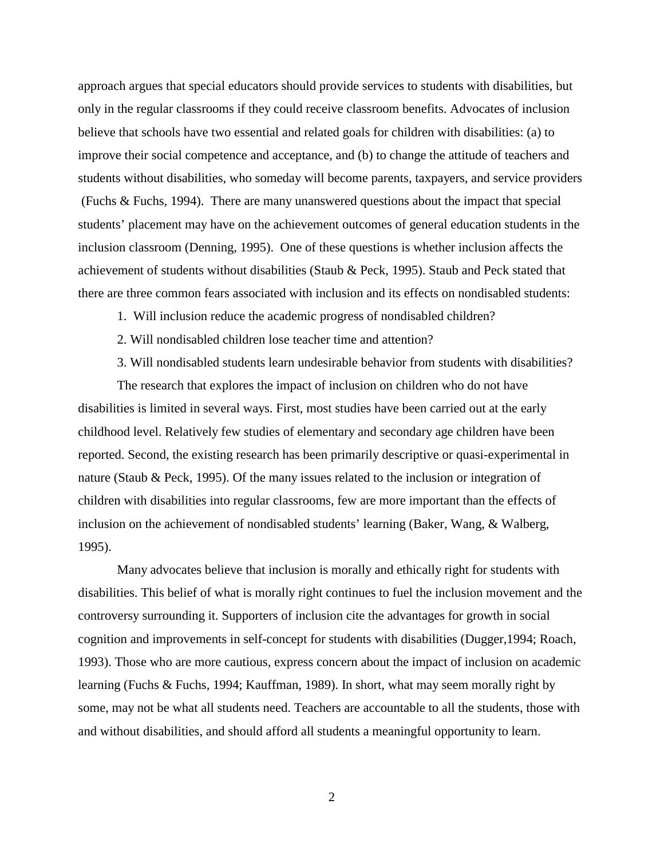approach argues that special educators should provide services to students with disabilities, but only in the regular classrooms if they could receive classroom benefits. Advocates of inclusion believe that schools have two essential and related goals for children with disabilities: (a) to improve their social competence and acceptance, and (b) to change the attitude of teachers and students without disabilities, who someday will become parents, taxpayers, and service providers (Fuchs & Fuchs, 1994). There are many unanswered questions about the impact that special students' placement may have on the achievement outcomes of general education students in the inclusion classroom (Denning, 1995). One of these questions is whether inclusion affects the achievement of students without disabilities (Staub & Peck, 1995). Staub and Peck stated that there are three common fears associated with inclusion and its effects on nondisabled students:

- 1. Will inclusion reduce the academic progress of nondisabled children?
- 2. Will nondisabled children lose teacher time and attention?
- 3. Will nondisabled students learn undesirable behavior from students with disabilities?

The research that explores the impact of inclusion on children who do not have disabilities is limited in several ways. First, most studies have been carried out at the early childhood level. Relatively few studies of elementary and secondary age children have been reported. Second, the existing research has been primarily descriptive or quasi-experimental in nature (Staub & Peck, 1995). Of the many issues related to the inclusion or integration of children with disabilities into regular classrooms, few are more important than the effects of inclusion on the achievement of nondisabled students' learning (Baker, Wang, & Walberg, 1995).

Many advocates believe that inclusion is morally and ethically right for students with disabilities. This belief of what is morally right continues to fuel the inclusion movement and the controversy surrounding it. Supporters of inclusion cite the advantages for growth in social cognition and improvements in self-concept for students with disabilities (Dugger,1994; Roach, 1993). Those who are more cautious, express concern about the impact of inclusion on academic learning (Fuchs & Fuchs, 1994; Kauffman, 1989). In short, what may seem morally right by some, may not be what all students need. Teachers are accountable to all the students, those with and without disabilities, and should afford all students a meaningful opportunity to learn.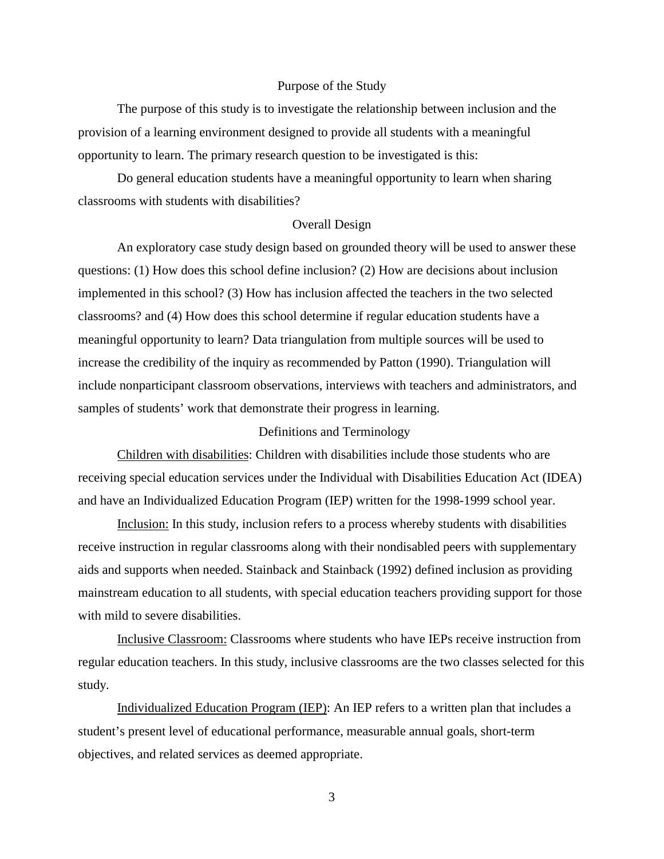#### Purpose of the Study

The purpose of this study is to investigate the relationship between inclusion and the provision of a learning environment designed to provide all students with a meaningful opportunity to learn. The primary research question to be investigated is this:

Do general education students have a meaningful opportunity to learn when sharing classrooms with students with disabilities?

#### Overall Design

An exploratory case study design based on grounded theory will be used to answer these questions: (1) How does this school define inclusion? (2) How are decisions about inclusion implemented in this school? (3) How has inclusion affected the teachers in the two selected classrooms? and (4) How does this school determine if regular education students have a meaningful opportunity to learn? Data triangulation from multiple sources will be used to increase the credibility of the inquiry as recommended by Patton (1990). Triangulation will include nonparticipant classroom observations, interviews with teachers and administrators, and samples of students' work that demonstrate their progress in learning.

## Definitions and Terminology

Children with disabilities: Children with disabilities include those students who are receiving special education services under the Individual with Disabilities Education Act (IDEA) and have an Individualized Education Program (IEP) written for the 1998-1999 school year.

Inclusion: In this study, inclusion refers to a process whereby students with disabilities receive instruction in regular classrooms along with their nondisabled peers with supplementary aids and supports when needed. Stainback and Stainback (1992) defined inclusion as providing mainstream education to all students, with special education teachers providing support for those with mild to severe disabilities.

Inclusive Classroom: Classrooms where students who have IEPs receive instruction from regular education teachers. In this study, inclusive classrooms are the two classes selected for this study.

Individualized Education Program (IEP): An IEP refers to a written plan that includes a student's present level of educational performance, measurable annual goals, short-term objectives, and related services as deemed appropriate.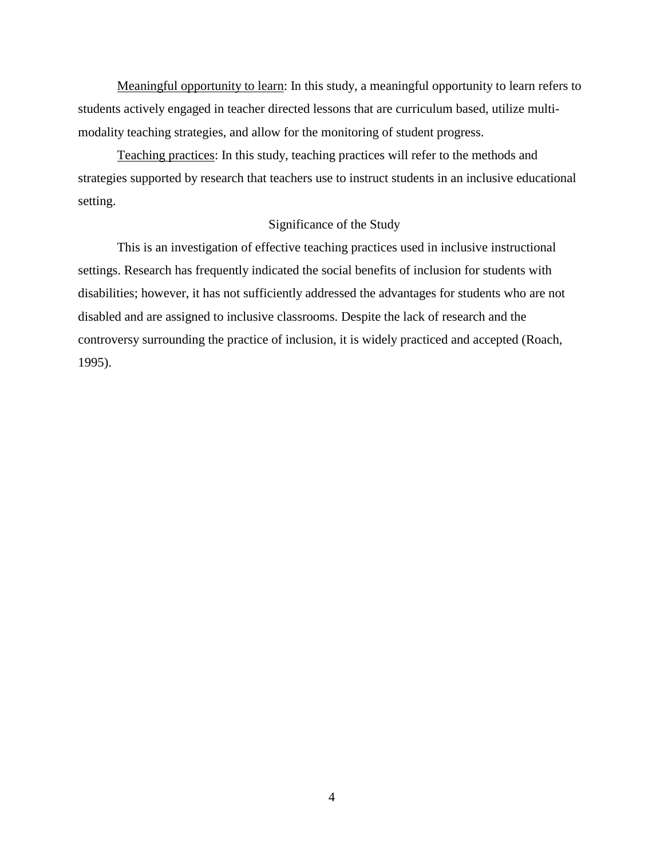Meaningful opportunity to learn: In this study, a meaningful opportunity to learn refers to students actively engaged in teacher directed lessons that are curriculum based, utilize multimodality teaching strategies, and allow for the monitoring of student progress.

Teaching practices: In this study, teaching practices will refer to the methods and strategies supported by research that teachers use to instruct students in an inclusive educational setting.

## Significance of the Study

This is an investigation of effective teaching practices used in inclusive instructional settings. Research has frequently indicated the social benefits of inclusion for students with disabilities; however, it has not sufficiently addressed the advantages for students who are not disabled and are assigned to inclusive classrooms. Despite the lack of research and the controversy surrounding the practice of inclusion, it is widely practiced and accepted (Roach, 1995).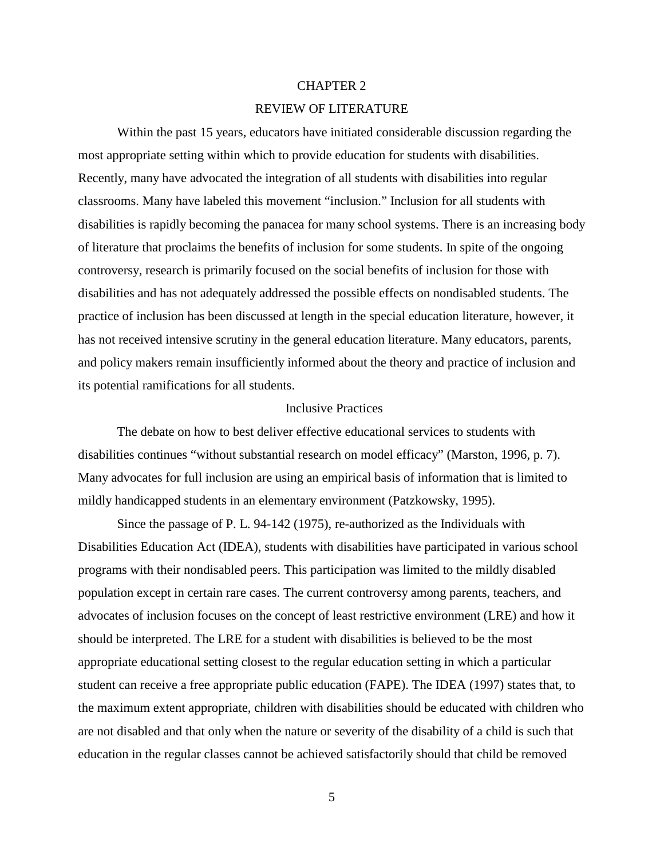#### CHAPTER 2

### REVIEW OF LITERATURE

Within the past 15 years, educators have initiated considerable discussion regarding the most appropriate setting within which to provide education for students with disabilities. Recently, many have advocated the integration of all students with disabilities into regular classrooms. Many have labeled this movement "inclusion." Inclusion for all students with disabilities is rapidly becoming the panacea for many school systems. There is an increasing body of literature that proclaims the benefits of inclusion for some students. In spite of the ongoing controversy, research is primarily focused on the social benefits of inclusion for those with disabilities and has not adequately addressed the possible effects on nondisabled students. The practice of inclusion has been discussed at length in the special education literature, however, it has not received intensive scrutiny in the general education literature. Many educators, parents, and policy makers remain insufficiently informed about the theory and practice of inclusion and its potential ramifications for all students.

#### Inclusive Practices

The debate on how to best deliver effective educational services to students with disabilities continues "without substantial research on model efficacy" (Marston, 1996, p. 7). Many advocates for full inclusion are using an empirical basis of information that is limited to mildly handicapped students in an elementary environment (Patzkowsky, 1995).

Since the passage of P. L. 94-142 (1975), re-authorized as the Individuals with Disabilities Education Act (IDEA), students with disabilities have participated in various school programs with their nondisabled peers. This participation was limited to the mildly disabled population except in certain rare cases. The current controversy among parents, teachers, and advocates of inclusion focuses on the concept of least restrictive environment (LRE) and how it should be interpreted. The LRE for a student with disabilities is believed to be the most appropriate educational setting closest to the regular education setting in which a particular student can receive a free appropriate public education (FAPE). The IDEA (1997) states that, to the maximum extent appropriate, children with disabilities should be educated with children who are not disabled and that only when the nature or severity of the disability of a child is such that education in the regular classes cannot be achieved satisfactorily should that child be removed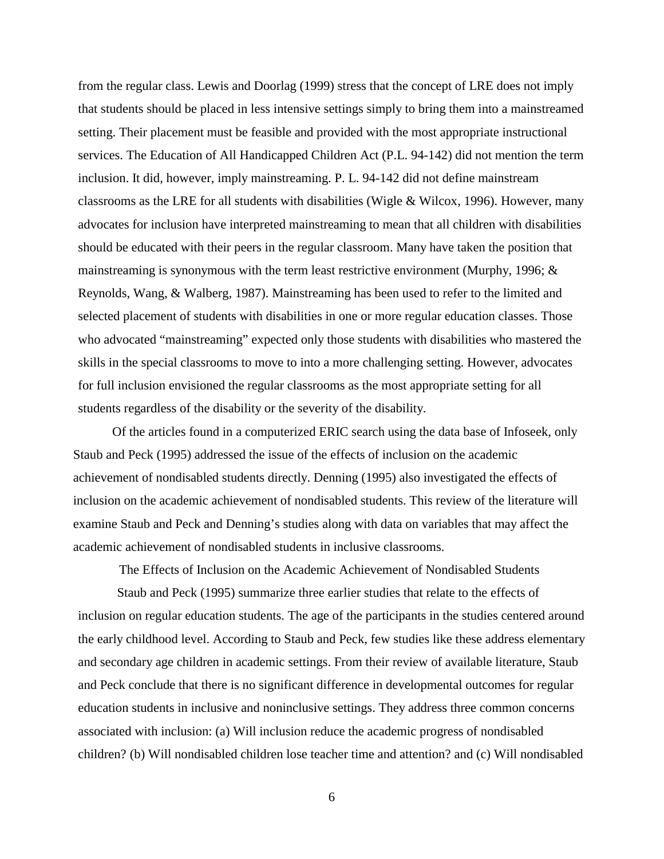from the regular class. Lewis and Doorlag (1999) stress that the concept of LRE does not imply that students should be placed in less intensive settings simply to bring them into a mainstreamed setting. Their placement must be feasible and provided with the most appropriate instructional services. The Education of All Handicapped Children Act (P.L. 94-142) did not mention the term inclusion. It did, however, imply mainstreaming. P. L. 94-142 did not define mainstream classrooms as the LRE for all students with disabilities (Wigle & Wilcox, 1996). However, many advocates for inclusion have interpreted mainstreaming to mean that all children with disabilities should be educated with their peers in the regular classroom. Many have taken the position that mainstreaming is synonymous with the term least restrictive environment (Murphy, 1996; & Reynolds, Wang, & Walberg, 1987). Mainstreaming has been used to refer to the limited and selected placement of students with disabilities in one or more regular education classes. Those who advocated "mainstreaming" expected only those students with disabilities who mastered the skills in the special classrooms to move to into a more challenging setting. However, advocates for full inclusion envisioned the regular classrooms as the most appropriate setting for all students regardless of the disability or the severity of the disability.

Of the articles found in a computerized ERIC search using the data base of Infoseek, only Staub and Peck (1995) addressed the issue of the effects of inclusion on the academic achievement of nondisabled students directly. Denning (1995) also investigated the effects of inclusion on the academic achievement of nondisabled students. This review of the literature will examine Staub and Peck and Denning's studies along with data on variables that may affect the academic achievement of nondisabled students in inclusive classrooms.

The Effects of Inclusion on the Academic Achievement of Nondisabled Students

Staub and Peck (1995) summarize three earlier studies that relate to the effects of inclusion on regular education students. The age of the participants in the studies centered around the early childhood level. According to Staub and Peck, few studies like these address elementary and secondary age children in academic settings. From their review of available literature, Staub and Peck conclude that there is no significant difference in developmental outcomes for regular education students in inclusive and noninclusive settings. They address three common concerns associated with inclusion: (a) Will inclusion reduce the academic progress of nondisabled children? (b) Will nondisabled children lose teacher time and attention? and (c) Will nondisabled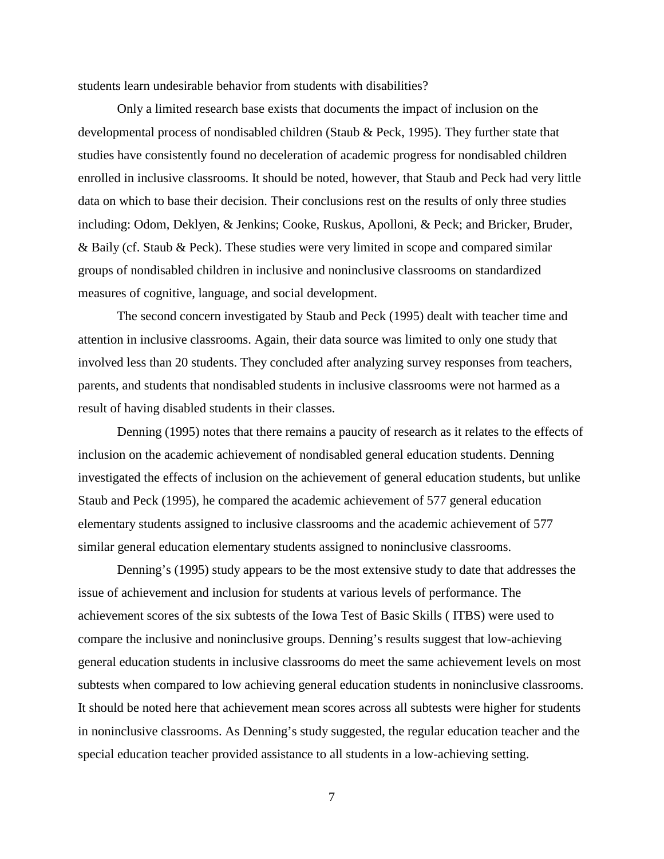students learn undesirable behavior from students with disabilities?

Only a limited research base exists that documents the impact of inclusion on the developmental process of nondisabled children (Staub & Peck, 1995). They further state that studies have consistently found no deceleration of academic progress for nondisabled children enrolled in inclusive classrooms. It should be noted, however, that Staub and Peck had very little data on which to base their decision. Their conclusions rest on the results of only three studies including: Odom, Deklyen, & Jenkins; Cooke, Ruskus, Apolloni, & Peck; and Bricker, Bruder, & Baily (cf. Staub & Peck). These studies were very limited in scope and compared similar groups of nondisabled children in inclusive and noninclusive classrooms on standardized measures of cognitive, language, and social development.

The second concern investigated by Staub and Peck (1995) dealt with teacher time and attention in inclusive classrooms. Again, their data source was limited to only one study that involved less than 20 students. They concluded after analyzing survey responses from teachers, parents, and students that nondisabled students in inclusive classrooms were not harmed as a result of having disabled students in their classes.

Denning (1995) notes that there remains a paucity of research as it relates to the effects of inclusion on the academic achievement of nondisabled general education students. Denning investigated the effects of inclusion on the achievement of general education students, but unlike Staub and Peck (1995), he compared the academic achievement of 577 general education elementary students assigned to inclusive classrooms and the academic achievement of 577 similar general education elementary students assigned to noninclusive classrooms.

Denning's (1995) study appears to be the most extensive study to date that addresses the issue of achievement and inclusion for students at various levels of performance. The achievement scores of the six subtests of the Iowa Test of Basic Skills ( ITBS) were used to compare the inclusive and noninclusive groups. Denning's results suggest that low-achieving general education students in inclusive classrooms do meet the same achievement levels on most subtests when compared to low achieving general education students in noninclusive classrooms. It should be noted here that achievement mean scores across all subtests were higher for students in noninclusive classrooms. As Denning's study suggested, the regular education teacher and the special education teacher provided assistance to all students in a low-achieving setting.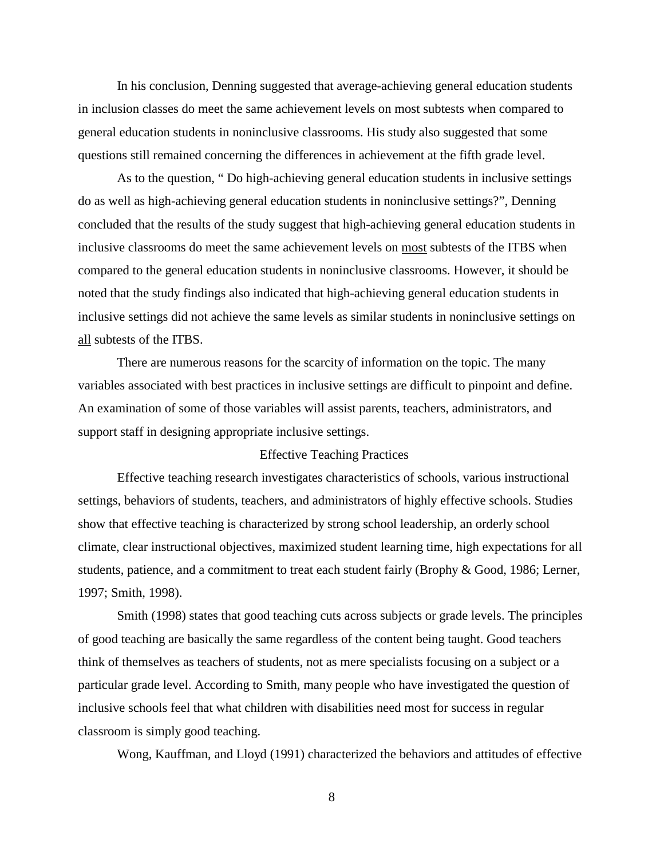In his conclusion, Denning suggested that average-achieving general education students in inclusion classes do meet the same achievement levels on most subtests when compared to general education students in noninclusive classrooms. His study also suggested that some questions still remained concerning the differences in achievement at the fifth grade level.

As to the question, " Do high-achieving general education students in inclusive settings do as well as high-achieving general education students in noninclusive settings?", Denning concluded that the results of the study suggest that high-achieving general education students in inclusive classrooms do meet the same achievement levels on most subtests of the ITBS when compared to the general education students in noninclusive classrooms. However, it should be noted that the study findings also indicated that high-achieving general education students in inclusive settings did not achieve the same levels as similar students in noninclusive settings on all subtests of the ITBS.

There are numerous reasons for the scarcity of information on the topic. The many variables associated with best practices in inclusive settings are difficult to pinpoint and define. An examination of some of those variables will assist parents, teachers, administrators, and support staff in designing appropriate inclusive settings.

## Effective Teaching Practices

Effective teaching research investigates characteristics of schools, various instructional settings, behaviors of students, teachers, and administrators of highly effective schools. Studies show that effective teaching is characterized by strong school leadership, an orderly school climate, clear instructional objectives, maximized student learning time, high expectations for all students, patience, and a commitment to treat each student fairly (Brophy & Good, 1986; Lerner, 1997; Smith, 1998).

Smith (1998) states that good teaching cuts across subjects or grade levels. The principles of good teaching are basically the same regardless of the content being taught. Good teachers think of themselves as teachers of students, not as mere specialists focusing on a subject or a particular grade level. According to Smith, many people who have investigated the question of inclusive schools feel that what children with disabilities need most for success in regular classroom is simply good teaching.

Wong, Kauffman, and Lloyd (1991) characterized the behaviors and attitudes of effective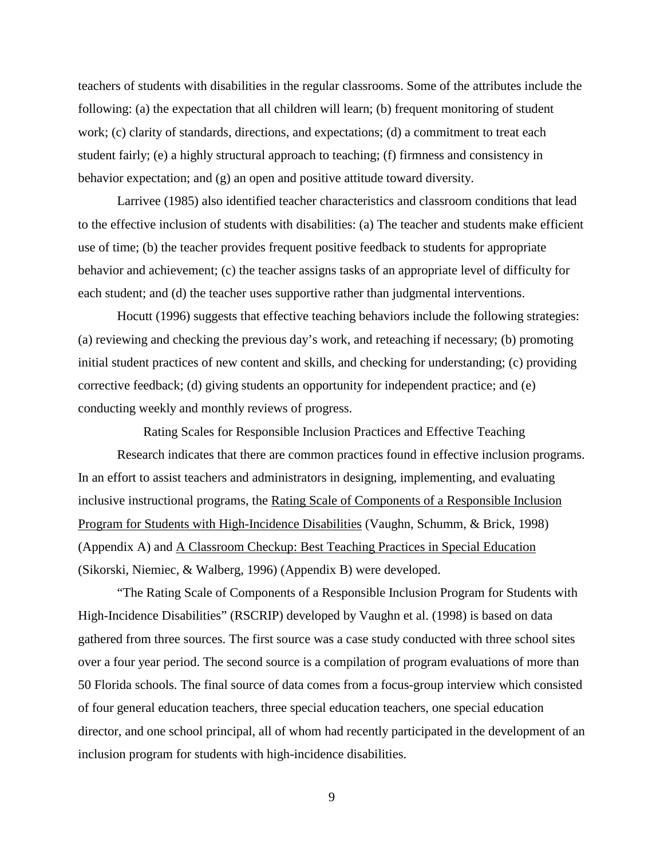teachers of students with disabilities in the regular classrooms. Some of the attributes include the following: (a) the expectation that all children will learn; (b) frequent monitoring of student work; (c) clarity of standards, directions, and expectations; (d) a commitment to treat each student fairly; (e) a highly structural approach to teaching; (f) firmness and consistency in behavior expectation; and (g) an open and positive attitude toward diversity.

Larrivee (1985) also identified teacher characteristics and classroom conditions that lead to the effective inclusion of students with disabilities: (a) The teacher and students make efficient use of time; (b) the teacher provides frequent positive feedback to students for appropriate behavior and achievement; (c) the teacher assigns tasks of an appropriate level of difficulty for each student; and (d) the teacher uses supportive rather than judgmental interventions.

Hocutt (1996) suggests that effective teaching behaviors include the following strategies: (a) reviewing and checking the previous day's work, and reteaching if necessary; (b) promoting initial student practices of new content and skills, and checking for understanding; (c) providing corrective feedback; (d) giving students an opportunity for independent practice; and (e) conducting weekly and monthly reviews of progress.

Rating Scales for Responsible Inclusion Practices and Effective Teaching Research indicates that there are common practices found in effective inclusion programs. In an effort to assist teachers and administrators in designing, implementing, and evaluating inclusive instructional programs, the Rating Scale of Components of a Responsible Inclusion Program for Students with High-Incidence Disabilities (Vaughn, Schumm, & Brick, 1998) (Appendix A) and A Classroom Checkup: Best Teaching Practices in Special Education (Sikorski, Niemiec, & Walberg, 1996) (Appendix B) were developed.

"The Rating Scale of Components of a Responsible Inclusion Program for Students with High-Incidence Disabilities" (RSCRIP) developed by Vaughn et al. (1998) is based on data gathered from three sources. The first source was a case study conducted with three school sites over a four year period. The second source is a compilation of program evaluations of more than 50 Florida schools. The final source of data comes from a focus-group interview which consisted of four general education teachers, three special education teachers, one special education director, and one school principal, all of whom had recently participated in the development of an inclusion program for students with high-incidence disabilities.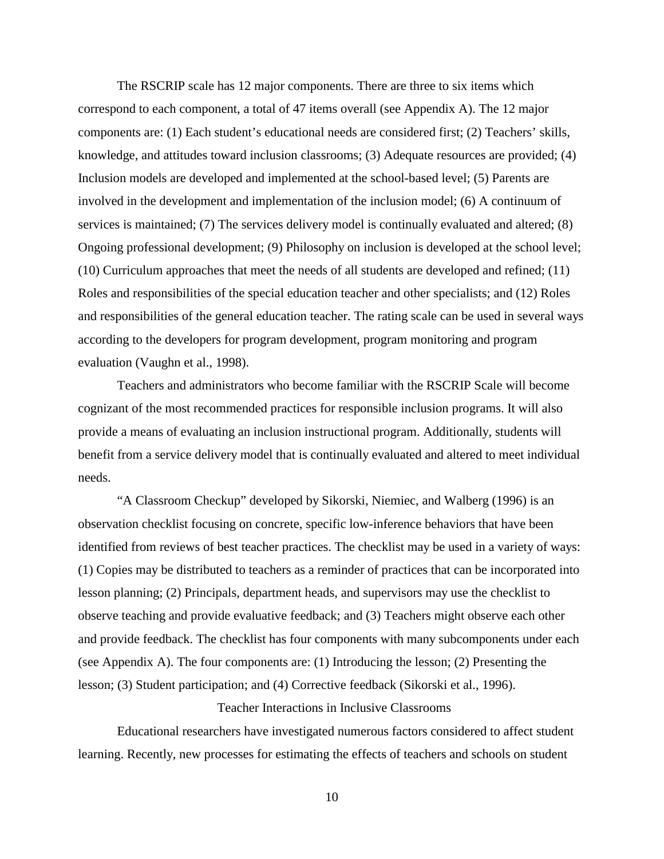The RSCRIP scale has 12 major components. There are three to six items which correspond to each component, a total of 47 items overall (see Appendix A). The 12 major components are: (1) Each student's educational needs are considered first; (2) Teachers' skills, knowledge, and attitudes toward inclusion classrooms; (3) Adequate resources are provided; (4) Inclusion models are developed and implemented at the school-based level; (5) Parents are involved in the development and implementation of the inclusion model; (6) A continuum of services is maintained; (7) The services delivery model is continually evaluated and altered; (8) Ongoing professional development; (9) Philosophy on inclusion is developed at the school level; (10) Curriculum approaches that meet the needs of all students are developed and refined; (11) Roles and responsibilities of the special education teacher and other specialists; and (12) Roles and responsibilities of the general education teacher. The rating scale can be used in several ways according to the developers for program development, program monitoring and program evaluation (Vaughn et al., 1998).

Teachers and administrators who become familiar with the RSCRIP Scale will become cognizant of the most recommended practices for responsible inclusion programs. It will also provide a means of evaluating an inclusion instructional program. Additionally, students will benefit from a service delivery model that is continually evaluated and altered to meet individual needs.

"A Classroom Checkup" developed by Sikorski, Niemiec, and Walberg (1996) is an observation checklist focusing on concrete, specific low-inference behaviors that have been identified from reviews of best teacher practices. The checklist may be used in a variety of ways: (1) Copies may be distributed to teachers as a reminder of practices that can be incorporated into lesson planning; (2) Principals, department heads, and supervisors may use the checklist to observe teaching and provide evaluative feedback; and (3) Teachers might observe each other and provide feedback. The checklist has four components with many subcomponents under each (see Appendix A). The four components are: (1) Introducing the lesson; (2) Presenting the lesson; (3) Student participation; and (4) Corrective feedback (Sikorski et al., 1996).

Teacher Interactions in Inclusive Classrooms

Educational researchers have investigated numerous factors considered to affect student learning. Recently, new processes for estimating the effects of teachers and schools on student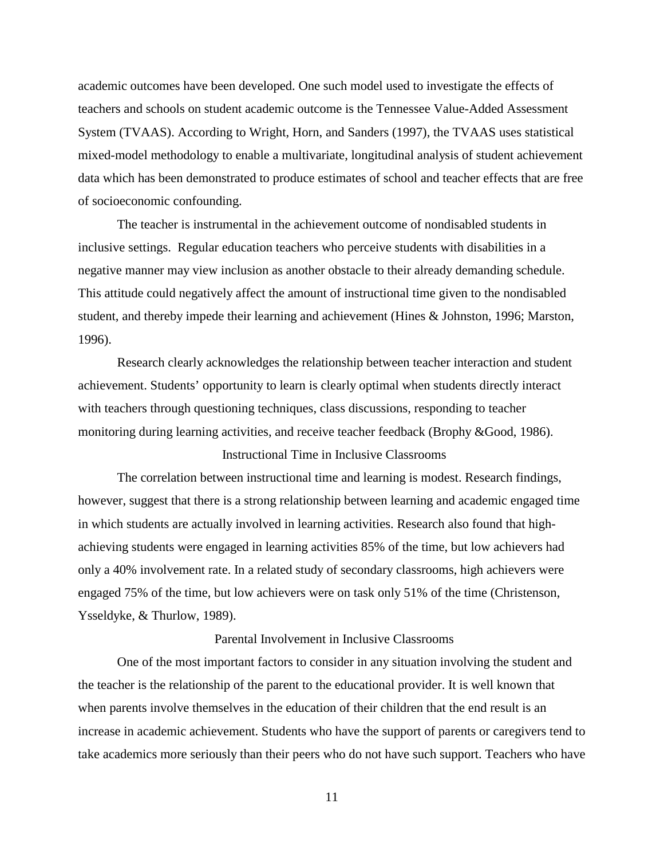academic outcomes have been developed. One such model used to investigate the effects of teachers and schools on student academic outcome is the Tennessee Value-Added Assessment System (TVAAS). According to Wright, Horn, and Sanders (1997), the TVAAS uses statistical mixed-model methodology to enable a multivariate, longitudinal analysis of student achievement data which has been demonstrated to produce estimates of school and teacher effects that are free of socioeconomic confounding.

The teacher is instrumental in the achievement outcome of nondisabled students in inclusive settings. Regular education teachers who perceive students with disabilities in a negative manner may view inclusion as another obstacle to their already demanding schedule. This attitude could negatively affect the amount of instructional time given to the nondisabled student, and thereby impede their learning and achievement (Hines & Johnston, 1996; Marston, 1996).

Research clearly acknowledges the relationship between teacher interaction and student achievement. Students' opportunity to learn is clearly optimal when students directly interact with teachers through questioning techniques, class discussions, responding to teacher monitoring during learning activities, and receive teacher feedback (Brophy &Good, 1986).

## Instructional Time in Inclusive Classrooms

The correlation between instructional time and learning is modest. Research findings, however, suggest that there is a strong relationship between learning and academic engaged time in which students are actually involved in learning activities. Research also found that highachieving students were engaged in learning activities 85% of the time, but low achievers had only a 40% involvement rate. In a related study of secondary classrooms, high achievers were engaged 75% of the time, but low achievers were on task only 51% of the time (Christenson, Ysseldyke, & Thurlow, 1989).

### Parental Involvement in Inclusive Classrooms

One of the most important factors to consider in any situation involving the student and the teacher is the relationship of the parent to the educational provider. It is well known that when parents involve themselves in the education of their children that the end result is an increase in academic achievement. Students who have the support of parents or caregivers tend to take academics more seriously than their peers who do not have such support. Teachers who have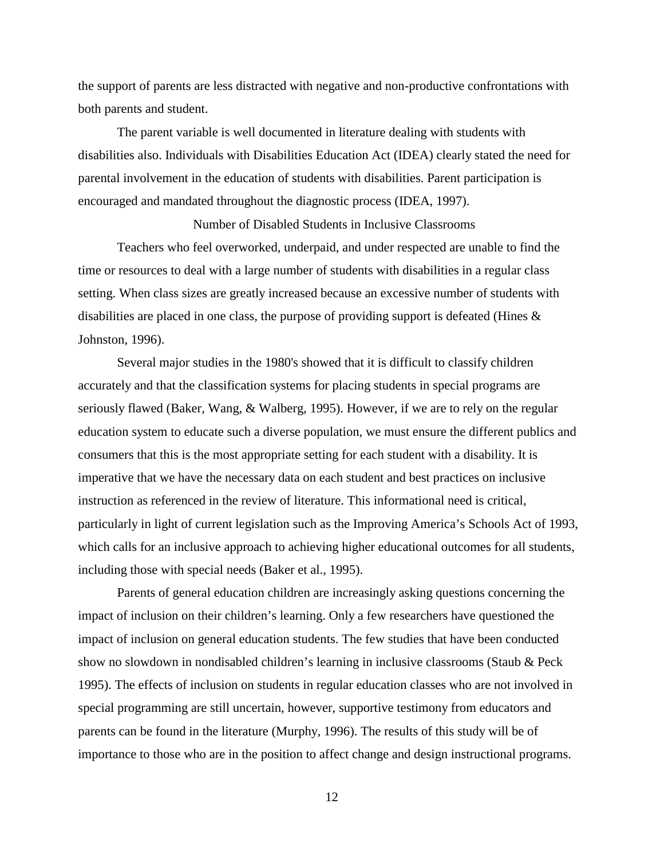the support of parents are less distracted with negative and non-productive confrontations with both parents and student.

The parent variable is well documented in literature dealing with students with disabilities also. Individuals with Disabilities Education Act (IDEA) clearly stated the need for parental involvement in the education of students with disabilities. Parent participation is encouraged and mandated throughout the diagnostic process (IDEA, 1997).

Number of Disabled Students in Inclusive Classrooms Teachers who feel overworked, underpaid, and under respected are unable to find the time or resources to deal with a large number of students with disabilities in a regular class setting. When class sizes are greatly increased because an excessive number of students with disabilities are placed in one class, the purpose of providing support is defeated (Hines & Johnston, 1996).

Several major studies in the 1980's showed that it is difficult to classify children accurately and that the classification systems for placing students in special programs are seriously flawed (Baker, Wang, & Walberg, 1995). However, if we are to rely on the regular education system to educate such a diverse population, we must ensure the different publics and consumers that this is the most appropriate setting for each student with a disability. It is imperative that we have the necessary data on each student and best practices on inclusive instruction as referenced in the review of literature. This informational need is critical, particularly in light of current legislation such as the Improving America's Schools Act of 1993, which calls for an inclusive approach to achieving higher educational outcomes for all students, including those with special needs (Baker et al., 1995).

Parents of general education children are increasingly asking questions concerning the impact of inclusion on their children's learning. Only a few researchers have questioned the impact of inclusion on general education students. The few studies that have been conducted show no slowdown in nondisabled children's learning in inclusive classrooms (Staub & Peck 1995). The effects of inclusion on students in regular education classes who are not involved in special programming are still uncertain, however, supportive testimony from educators and parents can be found in the literature (Murphy, 1996). The results of this study will be of importance to those who are in the position to affect change and design instructional programs.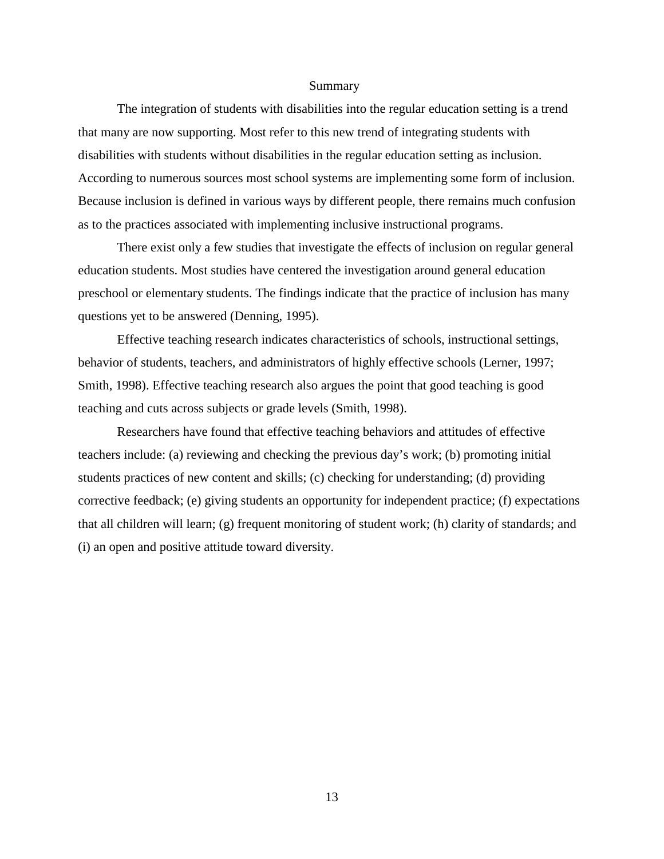#### Summary

The integration of students with disabilities into the regular education setting is a trend that many are now supporting. Most refer to this new trend of integrating students with disabilities with students without disabilities in the regular education setting as inclusion. According to numerous sources most school systems are implementing some form of inclusion. Because inclusion is defined in various ways by different people, there remains much confusion as to the practices associated with implementing inclusive instructional programs.

There exist only a few studies that investigate the effects of inclusion on regular general education students. Most studies have centered the investigation around general education preschool or elementary students. The findings indicate that the practice of inclusion has many questions yet to be answered (Denning, 1995).

Effective teaching research indicates characteristics of schools, instructional settings, behavior of students, teachers, and administrators of highly effective schools (Lerner, 1997; Smith, 1998). Effective teaching research also argues the point that good teaching is good teaching and cuts across subjects or grade levels (Smith, 1998).

Researchers have found that effective teaching behaviors and attitudes of effective teachers include: (a) reviewing and checking the previous day's work; (b) promoting initial students practices of new content and skills; (c) checking for understanding; (d) providing corrective feedback; (e) giving students an opportunity for independent practice; (f) expectations that all children will learn; (g) frequent monitoring of student work; (h) clarity of standards; and (i) an open and positive attitude toward diversity.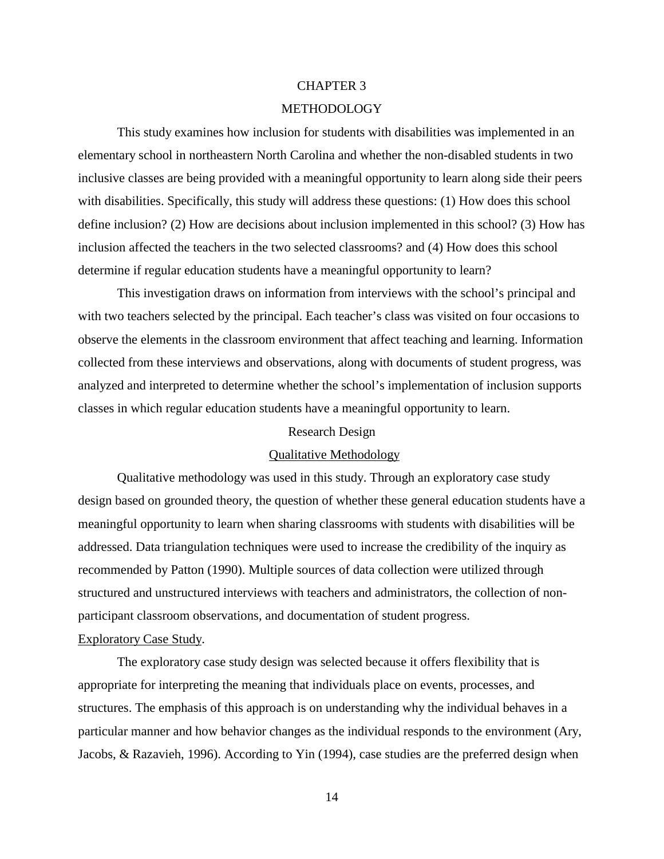## CHAPTER 3

## METHODOLOGY

This study examines how inclusion for students with disabilities was implemented in an elementary school in northeastern North Carolina and whether the non-disabled students in two inclusive classes are being provided with a meaningful opportunity to learn along side their peers with disabilities. Specifically, this study will address these questions: (1) How does this school define inclusion? (2) How are decisions about inclusion implemented in this school? (3) How has inclusion affected the teachers in the two selected classrooms? and (4) How does this school determine if regular education students have a meaningful opportunity to learn?

This investigation draws on information from interviews with the school's principal and with two teachers selected by the principal. Each teacher's class was visited on four occasions to observe the elements in the classroom environment that affect teaching and learning. Information collected from these interviews and observations, along with documents of student progress, was analyzed and interpreted to determine whether the school's implementation of inclusion supports classes in which regular education students have a meaningful opportunity to learn.

#### Research Design

#### Qualitative Methodology

Qualitative methodology was used in this study. Through an exploratory case study design based on grounded theory, the question of whether these general education students have a meaningful opportunity to learn when sharing classrooms with students with disabilities will be addressed. Data triangulation techniques were used to increase the credibility of the inquiry as recommended by Patton (1990). Multiple sources of data collection were utilized through structured and unstructured interviews with teachers and administrators, the collection of nonparticipant classroom observations, and documentation of student progress.

### Exploratory Case Study.

The exploratory case study design was selected because it offers flexibility that is appropriate for interpreting the meaning that individuals place on events, processes, and structures. The emphasis of this approach is on understanding why the individual behaves in a particular manner and how behavior changes as the individual responds to the environment (Ary, Jacobs, & Razavieh, 1996). According to Yin (1994), case studies are the preferred design when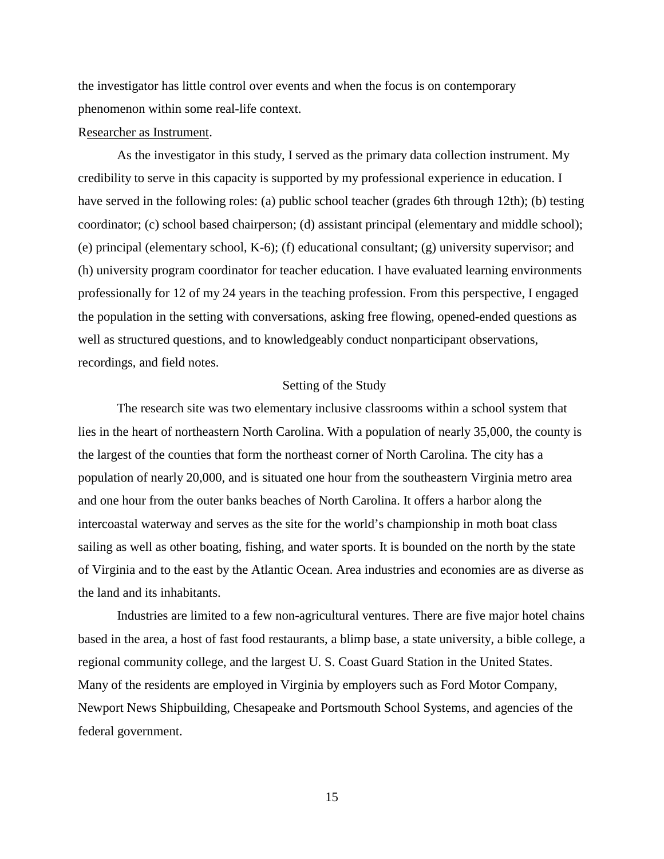the investigator has little control over events and when the focus is on contemporary phenomenon within some real-life context.

#### Researcher as Instrument.

As the investigator in this study, I served as the primary data collection instrument. My credibility to serve in this capacity is supported by my professional experience in education. I have served in the following roles: (a) public school teacher (grades 6th through 12th); (b) testing coordinator; (c) school based chairperson; (d) assistant principal (elementary and middle school); (e) principal (elementary school, K-6); (f) educational consultant; (g) university supervisor; and (h) university program coordinator for teacher education. I have evaluated learning environments professionally for 12 of my 24 years in the teaching profession. From this perspective, I engaged the population in the setting with conversations, asking free flowing, opened-ended questions as well as structured questions, and to knowledgeably conduct nonparticipant observations, recordings, and field notes.

### Setting of the Study

The research site was two elementary inclusive classrooms within a school system that lies in the heart of northeastern North Carolina. With a population of nearly 35,000, the county is the largest of the counties that form the northeast corner of North Carolina. The city has a population of nearly 20,000, and is situated one hour from the southeastern Virginia metro area and one hour from the outer banks beaches of North Carolina. It offers a harbor along the intercoastal waterway and serves as the site for the world's championship in moth boat class sailing as well as other boating, fishing, and water sports. It is bounded on the north by the state of Virginia and to the east by the Atlantic Ocean. Area industries and economies are as diverse as the land and its inhabitants.

Industries are limited to a few non-agricultural ventures. There are five major hotel chains based in the area, a host of fast food restaurants, a blimp base, a state university, a bible college, a regional community college, and the largest U. S. Coast Guard Station in the United States. Many of the residents are employed in Virginia by employers such as Ford Motor Company, Newport News Shipbuilding, Chesapeake and Portsmouth School Systems, and agencies of the federal government.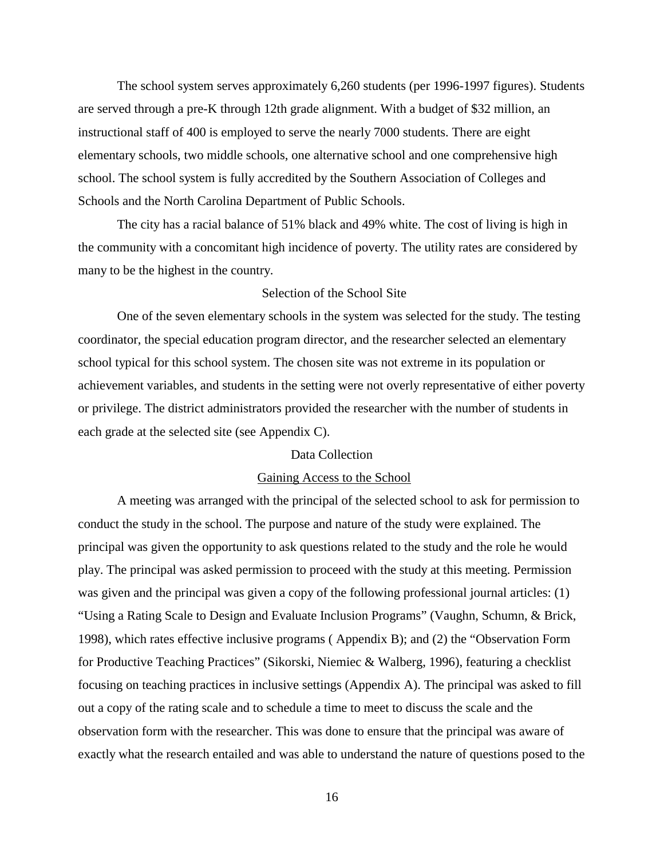The school system serves approximately 6,260 students (per 1996-1997 figures). Students are served through a pre-K through 12th grade alignment. With a budget of \$32 million, an instructional staff of 400 is employed to serve the nearly 7000 students. There are eight elementary schools, two middle schools, one alternative school and one comprehensive high school. The school system is fully accredited by the Southern Association of Colleges and Schools and the North Carolina Department of Public Schools.

The city has a racial balance of 51% black and 49% white. The cost of living is high in the community with a concomitant high incidence of poverty. The utility rates are considered by many to be the highest in the country.

#### Selection of the School Site

One of the seven elementary schools in the system was selected for the study. The testing coordinator, the special education program director, and the researcher selected an elementary school typical for this school system. The chosen site was not extreme in its population or achievement variables, and students in the setting were not overly representative of either poverty or privilege. The district administrators provided the researcher with the number of students in each grade at the selected site (see Appendix C).

## Data Collection

#### Gaining Access to the School

A meeting was arranged with the principal of the selected school to ask for permission to conduct the study in the school. The purpose and nature of the study were explained. The principal was given the opportunity to ask questions related to the study and the role he would play. The principal was asked permission to proceed with the study at this meeting. Permission was given and the principal was given a copy of the following professional journal articles: (1) "Using a Rating Scale to Design and Evaluate Inclusion Programs" (Vaughn, Schumn, & Brick, 1998), which rates effective inclusive programs ( Appendix B); and (2) the "Observation Form for Productive Teaching Practices" (Sikorski, Niemiec & Walberg, 1996), featuring a checklist focusing on teaching practices in inclusive settings (Appendix A). The principal was asked to fill out a copy of the rating scale and to schedule a time to meet to discuss the scale and the observation form with the researcher. This was done to ensure that the principal was aware of exactly what the research entailed and was able to understand the nature of questions posed to the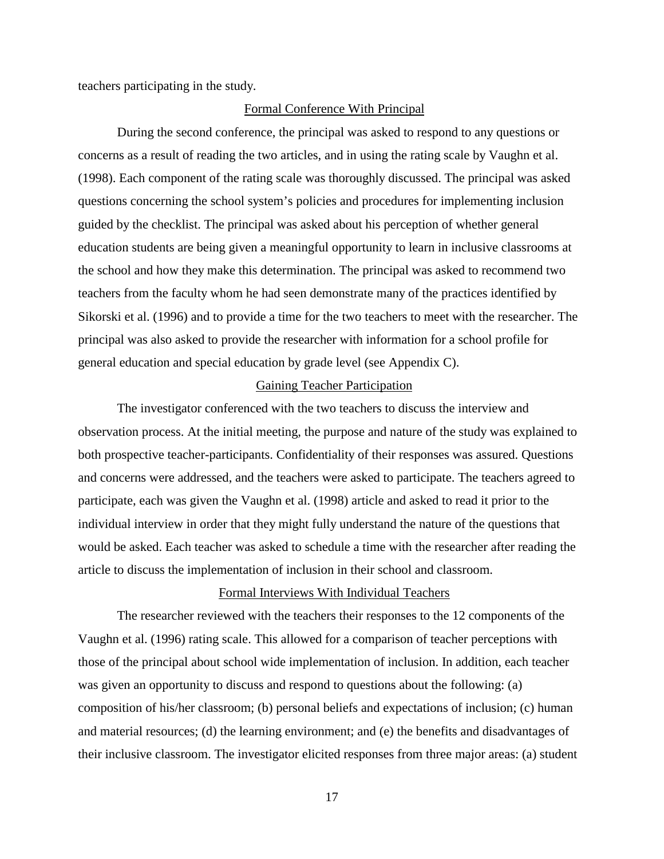teachers participating in the study.

#### Formal Conference With Principal

During the second conference, the principal was asked to respond to any questions or concerns as a result of reading the two articles, and in using the rating scale by Vaughn et al. (1998). Each component of the rating scale was thoroughly discussed. The principal was asked questions concerning the school system's policies and procedures for implementing inclusion guided by the checklist. The principal was asked about his perception of whether general education students are being given a meaningful opportunity to learn in inclusive classrooms at the school and how they make this determination. The principal was asked to recommend two teachers from the faculty whom he had seen demonstrate many of the practices identified by Sikorski et al. (1996) and to provide a time for the two teachers to meet with the researcher. The principal was also asked to provide the researcher with information for a school profile for general education and special education by grade level (see Appendix C).

#### Gaining Teacher Participation

The investigator conferenced with the two teachers to discuss the interview and observation process. At the initial meeting, the purpose and nature of the study was explained to both prospective teacher-participants. Confidentiality of their responses was assured. Questions and concerns were addressed, and the teachers were asked to participate. The teachers agreed to participate, each was given the Vaughn et al. (1998) article and asked to read it prior to the individual interview in order that they might fully understand the nature of the questions that would be asked. Each teacher was asked to schedule a time with the researcher after reading the article to discuss the implementation of inclusion in their school and classroom.

#### Formal Interviews With Individual Teachers

The researcher reviewed with the teachers their responses to the 12 components of the Vaughn et al. (1996) rating scale. This allowed for a comparison of teacher perceptions with those of the principal about school wide implementation of inclusion. In addition, each teacher was given an opportunity to discuss and respond to questions about the following: (a) composition of his/her classroom; (b) personal beliefs and expectations of inclusion; (c) human and material resources; (d) the learning environment; and (e) the benefits and disadvantages of their inclusive classroom. The investigator elicited responses from three major areas: (a) student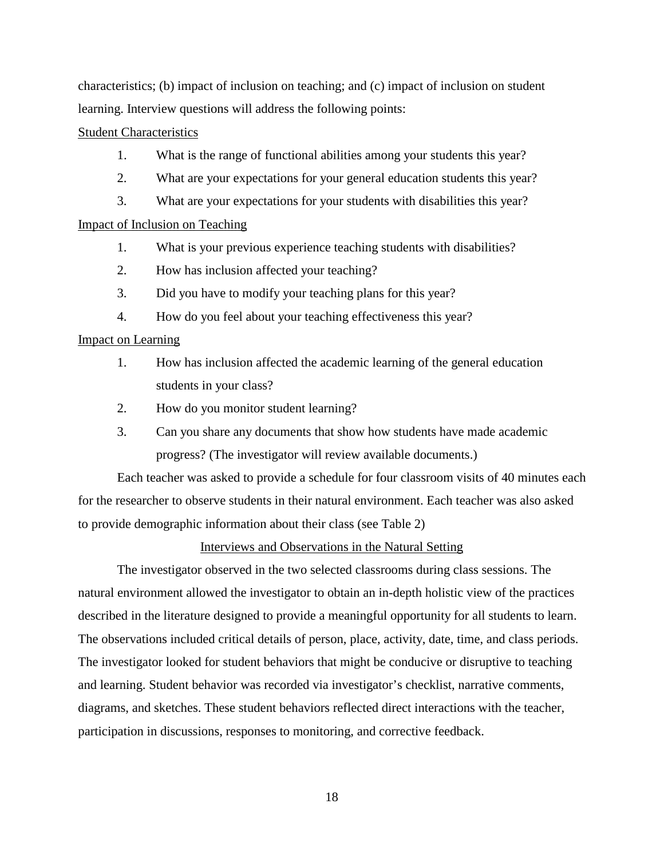characteristics; (b) impact of inclusion on teaching; and (c) impact of inclusion on student learning. Interview questions will address the following points:

#### Student Characteristics

- 1. What is the range of functional abilities among your students this year?
- 2. What are your expectations for your general education students this year?
- 3. What are your expectations for your students with disabilities this year?

### Impact of Inclusion on Teaching

- 1. What is your previous experience teaching students with disabilities?
- 2. How has inclusion affected your teaching?
- 3. Did you have to modify your teaching plans for this year?
- 4. How do you feel about your teaching effectiveness this year?

### Impact on Learning

- 1. How has inclusion affected the academic learning of the general education students in your class?
- 2. How do you monitor student learning?
- 3. Can you share any documents that show how students have made academic progress? (The investigator will review available documents.)

Each teacher was asked to provide a schedule for four classroom visits of 40 minutes each for the researcher to observe students in their natural environment. Each teacher was also asked to provide demographic information about their class (see Table 2)

### Interviews and Observations in the Natural Setting

The investigator observed in the two selected classrooms during class sessions. The natural environment allowed the investigator to obtain an in-depth holistic view of the practices described in the literature designed to provide a meaningful opportunity for all students to learn. The observations included critical details of person, place, activity, date, time, and class periods. The investigator looked for student behaviors that might be conducive or disruptive to teaching and learning. Student behavior was recorded via investigator's checklist, narrative comments, diagrams, and sketches. These student behaviors reflected direct interactions with the teacher, participation in discussions, responses to monitoring, and corrective feedback.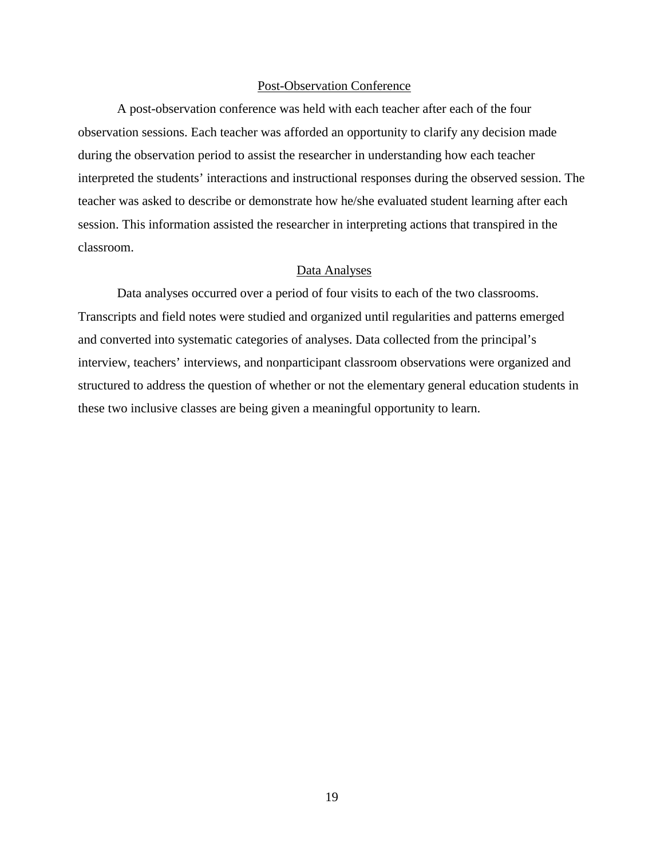#### Post-Observation Conference

A post-observation conference was held with each teacher after each of the four observation sessions. Each teacher was afforded an opportunity to clarify any decision made during the observation period to assist the researcher in understanding how each teacher interpreted the students' interactions and instructional responses during the observed session. The teacher was asked to describe or demonstrate how he/she evaluated student learning after each session. This information assisted the researcher in interpreting actions that transpired in the classroom.

### Data Analyses

Data analyses occurred over a period of four visits to each of the two classrooms. Transcripts and field notes were studied and organized until regularities and patterns emerged and converted into systematic categories of analyses. Data collected from the principal's interview, teachers' interviews, and nonparticipant classroom observations were organized and structured to address the question of whether or not the elementary general education students in these two inclusive classes are being given a meaningful opportunity to learn.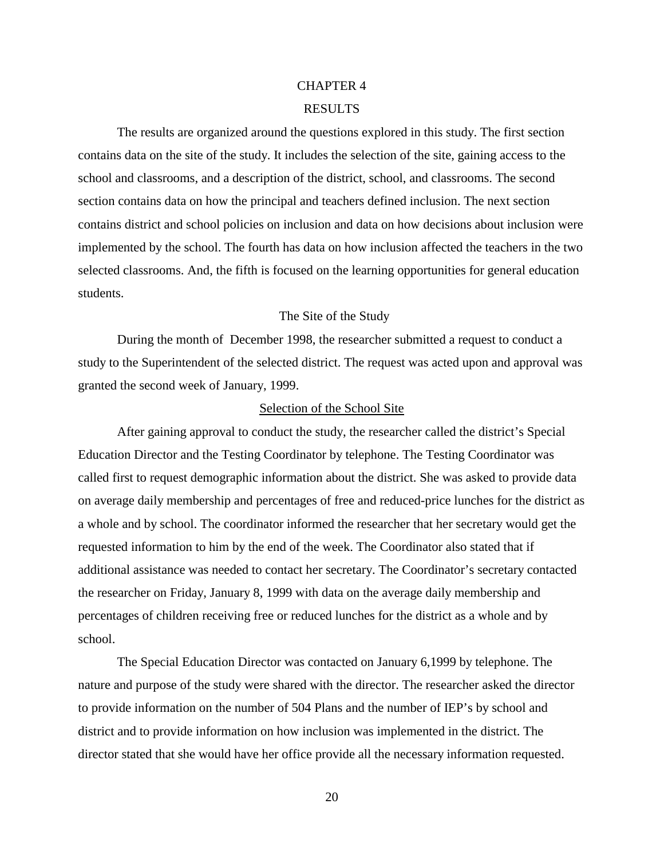## CHAPTER 4

#### RESULTS

The results are organized around the questions explored in this study. The first section contains data on the site of the study. It includes the selection of the site, gaining access to the school and classrooms, and a description of the district, school, and classrooms. The second section contains data on how the principal and teachers defined inclusion. The next section contains district and school policies on inclusion and data on how decisions about inclusion were implemented by the school. The fourth has data on how inclusion affected the teachers in the two selected classrooms. And, the fifth is focused on the learning opportunities for general education students.

## The Site of the Study

During the month of December 1998, the researcher submitted a request to conduct a study to the Superintendent of the selected district. The request was acted upon and approval was granted the second week of January, 1999.

#### Selection of the School Site

After gaining approval to conduct the study, the researcher called the district's Special Education Director and the Testing Coordinator by telephone. The Testing Coordinator was called first to request demographic information about the district. She was asked to provide data on average daily membership and percentages of free and reduced-price lunches for the district as a whole and by school. The coordinator informed the researcher that her secretary would get the requested information to him by the end of the week. The Coordinator also stated that if additional assistance was needed to contact her secretary. The Coordinator's secretary contacted the researcher on Friday, January 8, 1999 with data on the average daily membership and percentages of children receiving free or reduced lunches for the district as a whole and by school.

The Special Education Director was contacted on January 6,1999 by telephone. The nature and purpose of the study were shared with the director. The researcher asked the director to provide information on the number of 504 Plans and the number of IEP's by school and district and to provide information on how inclusion was implemented in the district. The director stated that she would have her office provide all the necessary information requested.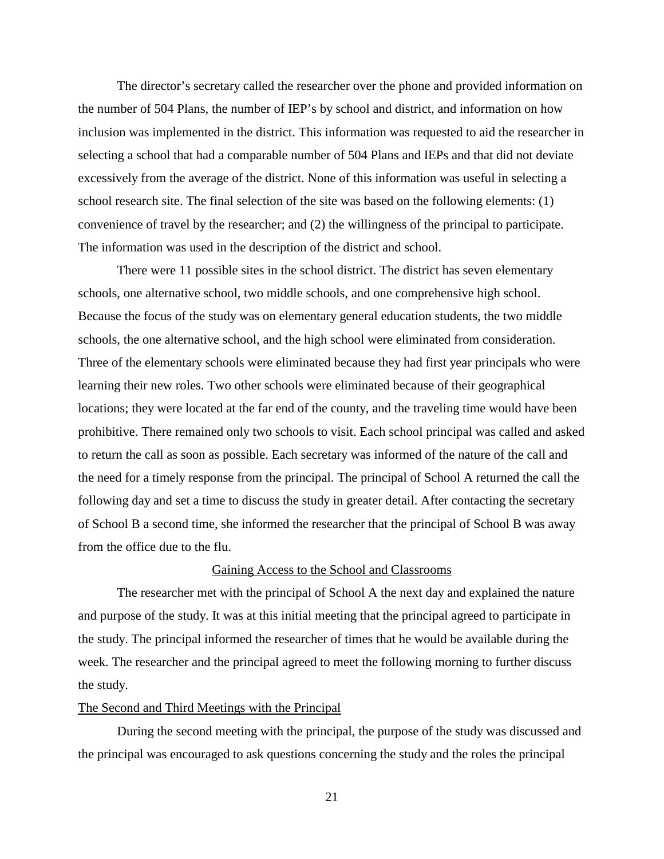The director's secretary called the researcher over the phone and provided information on the number of 504 Plans, the number of IEP's by school and district, and information on how inclusion was implemented in the district. This information was requested to aid the researcher in selecting a school that had a comparable number of 504 Plans and IEPs and that did not deviate excessively from the average of the district. None of this information was useful in selecting a school research site. The final selection of the site was based on the following elements: (1) convenience of travel by the researcher; and (2) the willingness of the principal to participate. The information was used in the description of the district and school.

There were 11 possible sites in the school district. The district has seven elementary schools, one alternative school, two middle schools, and one comprehensive high school. Because the focus of the study was on elementary general education students, the two middle schools, the one alternative school, and the high school were eliminated from consideration. Three of the elementary schools were eliminated because they had first year principals who were learning their new roles. Two other schools were eliminated because of their geographical locations; they were located at the far end of the county, and the traveling time would have been prohibitive. There remained only two schools to visit. Each school principal was called and asked to return the call as soon as possible. Each secretary was informed of the nature of the call and the need for a timely response from the principal. The principal of School A returned the call the following day and set a time to discuss the study in greater detail. After contacting the secretary of School B a second time, she informed the researcher that the principal of School B was away from the office due to the flu.

#### Gaining Access to the School and Classrooms

The researcher met with the principal of School A the next day and explained the nature and purpose of the study. It was at this initial meeting that the principal agreed to participate in the study. The principal informed the researcher of times that he would be available during the week. The researcher and the principal agreed to meet the following morning to further discuss the study.

#### The Second and Third Meetings with the Principal

During the second meeting with the principal, the purpose of the study was discussed and the principal was encouraged to ask questions concerning the study and the roles the principal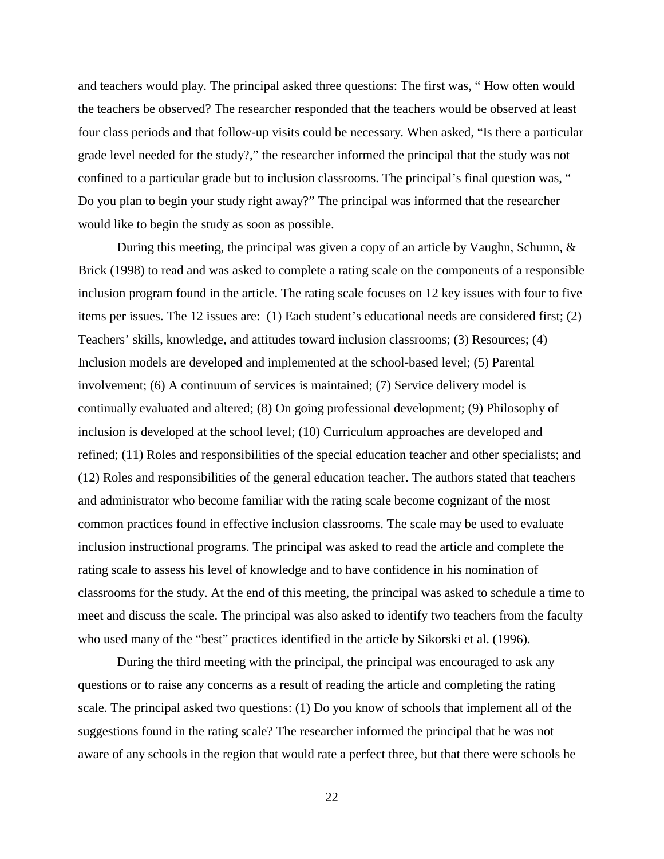and teachers would play. The principal asked three questions: The first was, " How often would the teachers be observed? The researcher responded that the teachers would be observed at least four class periods and that follow-up visits could be necessary. When asked, "Is there a particular grade level needed for the study?," the researcher informed the principal that the study was not confined to a particular grade but to inclusion classrooms. The principal's final question was, " Do you plan to begin your study right away?" The principal was informed that the researcher would like to begin the study as soon as possible.

During this meeting, the principal was given a copy of an article by Vaughn, Schumn, & Brick (1998) to read and was asked to complete a rating scale on the components of a responsible inclusion program found in the article. The rating scale focuses on 12 key issues with four to five items per issues. The 12 issues are: (1) Each student's educational needs are considered first; (2) Teachers' skills, knowledge, and attitudes toward inclusion classrooms; (3) Resources; (4) Inclusion models are developed and implemented at the school-based level; (5) Parental involvement; (6) A continuum of services is maintained; (7) Service delivery model is continually evaluated and altered; (8) On going professional development; (9) Philosophy of inclusion is developed at the school level; (10) Curriculum approaches are developed and refined; (11) Roles and responsibilities of the special education teacher and other specialists; and (12) Roles and responsibilities of the general education teacher. The authors stated that teachers and administrator who become familiar with the rating scale become cognizant of the most common practices found in effective inclusion classrooms. The scale may be used to evaluate inclusion instructional programs. The principal was asked to read the article and complete the rating scale to assess his level of knowledge and to have confidence in his nomination of classrooms for the study. At the end of this meeting, the principal was asked to schedule a time to meet and discuss the scale. The principal was also asked to identify two teachers from the faculty who used many of the "best" practices identified in the article by Sikorski et al. (1996).

During the third meeting with the principal, the principal was encouraged to ask any questions or to raise any concerns as a result of reading the article and completing the rating scale. The principal asked two questions: (1) Do you know of schools that implement all of the suggestions found in the rating scale? The researcher informed the principal that he was not aware of any schools in the region that would rate a perfect three, but that there were schools he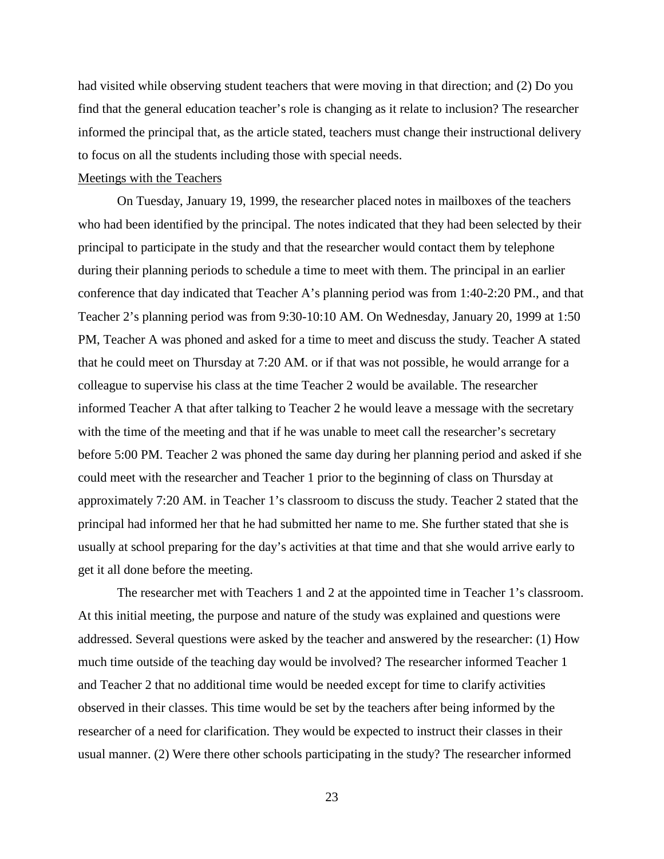had visited while observing student teachers that were moving in that direction; and (2) Do you find that the general education teacher's role is changing as it relate to inclusion? The researcher informed the principal that, as the article stated, teachers must change their instructional delivery to focus on all the students including those with special needs.

### Meetings with the Teachers

On Tuesday, January 19, 1999, the researcher placed notes in mailboxes of the teachers who had been identified by the principal. The notes indicated that they had been selected by their principal to participate in the study and that the researcher would contact them by telephone during their planning periods to schedule a time to meet with them. The principal in an earlier conference that day indicated that Teacher A's planning period was from 1:40-2:20 PM., and that Teacher 2's planning period was from 9:30-10:10 AM. On Wednesday, January 20, 1999 at 1:50 PM, Teacher A was phoned and asked for a time to meet and discuss the study. Teacher A stated that he could meet on Thursday at 7:20 AM. or if that was not possible, he would arrange for a colleague to supervise his class at the time Teacher 2 would be available. The researcher informed Teacher A that after talking to Teacher 2 he would leave a message with the secretary with the time of the meeting and that if he was unable to meet call the researcher's secretary before 5:00 PM. Teacher 2 was phoned the same day during her planning period and asked if she could meet with the researcher and Teacher 1 prior to the beginning of class on Thursday at approximately 7:20 AM. in Teacher 1's classroom to discuss the study. Teacher 2 stated that the principal had informed her that he had submitted her name to me. She further stated that she is usually at school preparing for the day's activities at that time and that she would arrive early to get it all done before the meeting.

The researcher met with Teachers 1 and 2 at the appointed time in Teacher 1's classroom. At this initial meeting, the purpose and nature of the study was explained and questions were addressed. Several questions were asked by the teacher and answered by the researcher: (1) How much time outside of the teaching day would be involved? The researcher informed Teacher 1 and Teacher 2 that no additional time would be needed except for time to clarify activities observed in their classes. This time would be set by the teachers after being informed by the researcher of a need for clarification. They would be expected to instruct their classes in their usual manner. (2) Were there other schools participating in the study? The researcher informed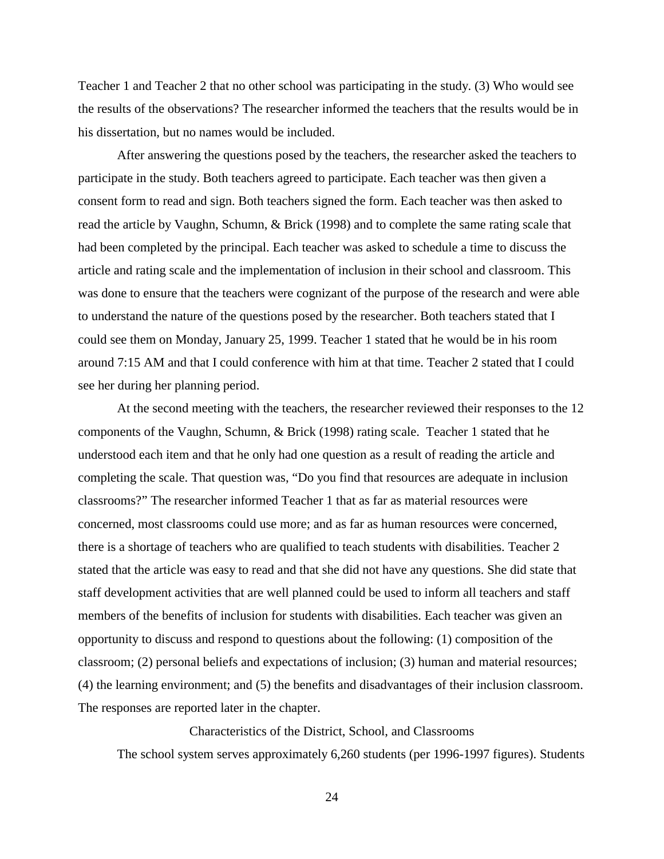Teacher 1 and Teacher 2 that no other school was participating in the study. (3) Who would see the results of the observations? The researcher informed the teachers that the results would be in his dissertation, but no names would be included.

After answering the questions posed by the teachers, the researcher asked the teachers to participate in the study. Both teachers agreed to participate. Each teacher was then given a consent form to read and sign. Both teachers signed the form. Each teacher was then asked to read the article by Vaughn, Schumn, & Brick (1998) and to complete the same rating scale that had been completed by the principal. Each teacher was asked to schedule a time to discuss the article and rating scale and the implementation of inclusion in their school and classroom. This was done to ensure that the teachers were cognizant of the purpose of the research and were able to understand the nature of the questions posed by the researcher. Both teachers stated that I could see them on Monday, January 25, 1999. Teacher 1 stated that he would be in his room around 7:15 AM and that I could conference with him at that time. Teacher 2 stated that I could see her during her planning period.

At the second meeting with the teachers, the researcher reviewed their responses to the 12 components of the Vaughn, Schumn, & Brick (1998) rating scale. Teacher 1 stated that he understood each item and that he only had one question as a result of reading the article and completing the scale. That question was, "Do you find that resources are adequate in inclusion classrooms?" The researcher informed Teacher 1 that as far as material resources were concerned, most classrooms could use more; and as far as human resources were concerned, there is a shortage of teachers who are qualified to teach students with disabilities. Teacher 2 stated that the article was easy to read and that she did not have any questions. She did state that staff development activities that are well planned could be used to inform all teachers and staff members of the benefits of inclusion for students with disabilities. Each teacher was given an opportunity to discuss and respond to questions about the following: (1) composition of the classroom; (2) personal beliefs and expectations of inclusion; (3) human and material resources; (4) the learning environment; and (5) the benefits and disadvantages of their inclusion classroom. The responses are reported later in the chapter.

Characteristics of the District, School, and Classrooms The school system serves approximately 6,260 students (per 1996-1997 figures). Students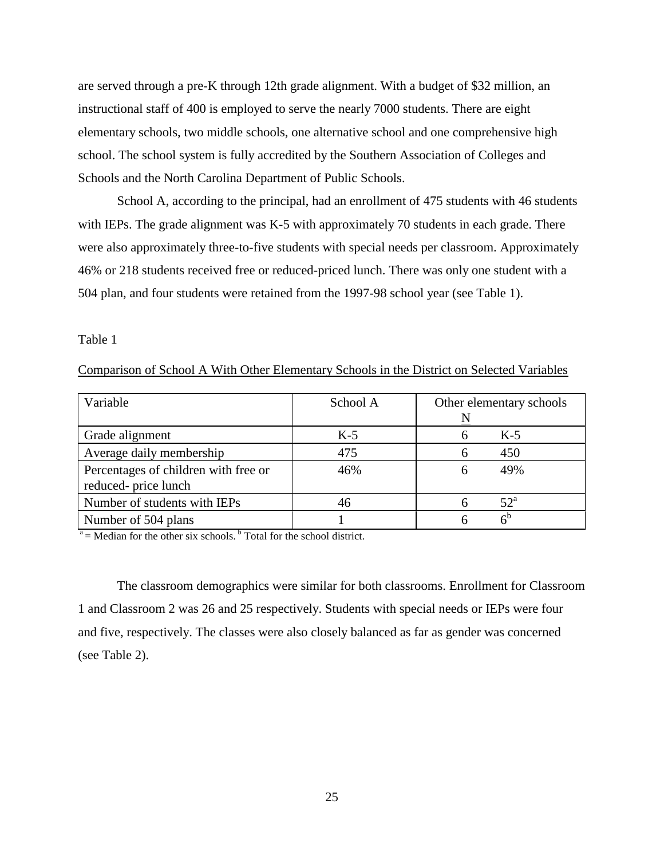are served through a pre-K through 12th grade alignment. With a budget of \$32 million, an instructional staff of 400 is employed to serve the nearly 7000 students. There are eight elementary schools, two middle schools, one alternative school and one comprehensive high school. The school system is fully accredited by the Southern Association of Colleges and Schools and the North Carolina Department of Public Schools.

School A, according to the principal, had an enrollment of 475 students with 46 students with IEPs. The grade alignment was K-5 with approximately 70 students in each grade. There were also approximately three-to-five students with special needs per classroom. Approximately 46% or 218 students received free or reduced-priced lunch. There was only one student with a 504 plan, and four students were retained from the 1997-98 school year (see Table 1).

Table 1

|  |  |  |  |  | Comparison of School A With Other Elementary Schools in the District on Selected Variables |  |  |  |  |
|--|--|--|--|--|--------------------------------------------------------------------------------------------|--|--|--|--|
|--|--|--|--|--|--------------------------------------------------------------------------------------------|--|--|--|--|

| Variable                                                    | School A | Other elementary schools |
|-------------------------------------------------------------|----------|--------------------------|
| Grade alignment                                             | $K-5$    | $K-5$                    |
| Average daily membership                                    | 475      | 450                      |
| Percentages of children with free or<br>reduced-price lunch | 46%      | 49%                      |
| Number of students with IEPs                                |          | $52^{\mathrm{a}}$        |
| Number of 504 plans                                         |          |                          |

 $a =$ Median for the other six schools.  $b$  Total for the school district.

The classroom demographics were similar for both classrooms. Enrollment for Classroom 1 and Classroom 2 was 26 and 25 respectively. Students with special needs or IEPs were four and five, respectively. The classes were also closely balanced as far as gender was concerned (see Table 2).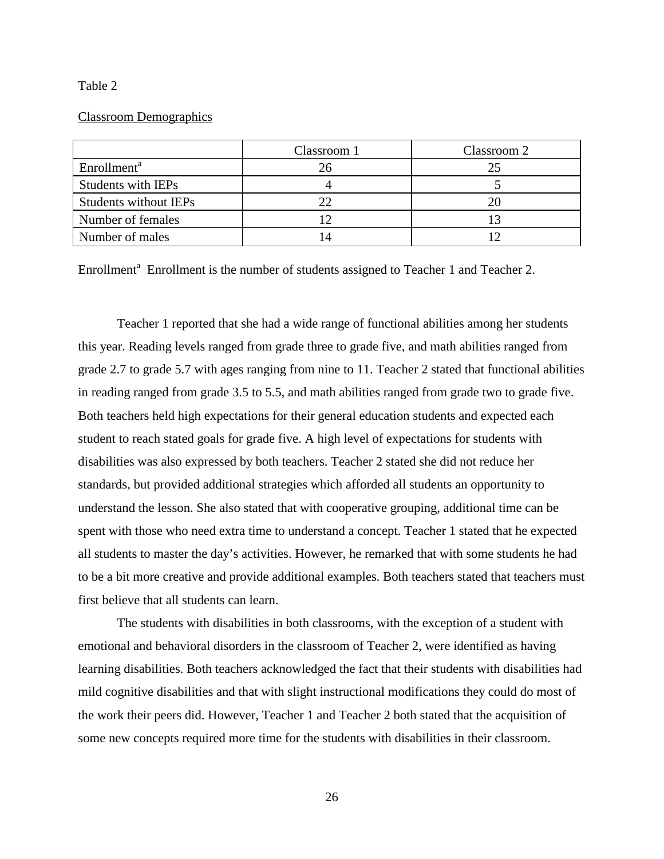#### Table 2

### Classroom Demographics

|                         | Classroom 1 | Classroom 2 |
|-------------------------|-------------|-------------|
| Enrollment <sup>a</sup> | 26          | 25          |
| Students with IEPs      |             |             |
| Students without IEPs   |             |             |
| Number of females       |             |             |
| Number of males         |             |             |

Enrollment<sup>a</sup> Enrollment is the number of students assigned to Teacher 1 and Teacher 2.

Teacher 1 reported that she had a wide range of functional abilities among her students this year. Reading levels ranged from grade three to grade five, and math abilities ranged from grade 2.7 to grade 5.7 with ages ranging from nine to 11. Teacher 2 stated that functional abilities in reading ranged from grade 3.5 to 5.5, and math abilities ranged from grade two to grade five. Both teachers held high expectations for their general education students and expected each student to reach stated goals for grade five. A high level of expectations for students with disabilities was also expressed by both teachers. Teacher 2 stated she did not reduce her standards, but provided additional strategies which afforded all students an opportunity to understand the lesson. She also stated that with cooperative grouping, additional time can be spent with those who need extra time to understand a concept. Teacher 1 stated that he expected all students to master the day's activities. However, he remarked that with some students he had to be a bit more creative and provide additional examples. Both teachers stated that teachers must first believe that all students can learn.

The students with disabilities in both classrooms, with the exception of a student with emotional and behavioral disorders in the classroom of Teacher 2, were identified as having learning disabilities. Both teachers acknowledged the fact that their students with disabilities had mild cognitive disabilities and that with slight instructional modifications they could do most of the work their peers did. However, Teacher 1 and Teacher 2 both stated that the acquisition of some new concepts required more time for the students with disabilities in their classroom.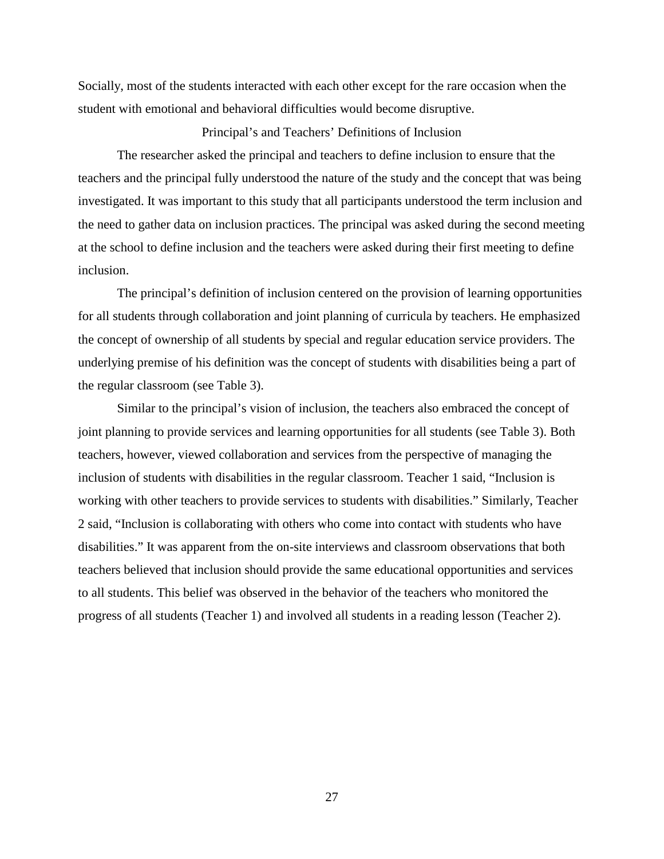Socially, most of the students interacted with each other except for the rare occasion when the student with emotional and behavioral difficulties would become disruptive.

## Principal's and Teachers' Definitions of Inclusion

The researcher asked the principal and teachers to define inclusion to ensure that the teachers and the principal fully understood the nature of the study and the concept that was being investigated. It was important to this study that all participants understood the term inclusion and the need to gather data on inclusion practices. The principal was asked during the second meeting at the school to define inclusion and the teachers were asked during their first meeting to define inclusion.

The principal's definition of inclusion centered on the provision of learning opportunities for all students through collaboration and joint planning of curricula by teachers. He emphasized the concept of ownership of all students by special and regular education service providers. The underlying premise of his definition was the concept of students with disabilities being a part of the regular classroom (see Table 3).

Similar to the principal's vision of inclusion, the teachers also embraced the concept of joint planning to provide services and learning opportunities for all students (see Table 3). Both teachers, however, viewed collaboration and services from the perspective of managing the inclusion of students with disabilities in the regular classroom. Teacher 1 said, "Inclusion is working with other teachers to provide services to students with disabilities." Similarly, Teacher 2 said, "Inclusion is collaborating with others who come into contact with students who have disabilities." It was apparent from the on-site interviews and classroom observations that both teachers believed that inclusion should provide the same educational opportunities and services to all students. This belief was observed in the behavior of the teachers who monitored the progress of all students (Teacher 1) and involved all students in a reading lesson (Teacher 2).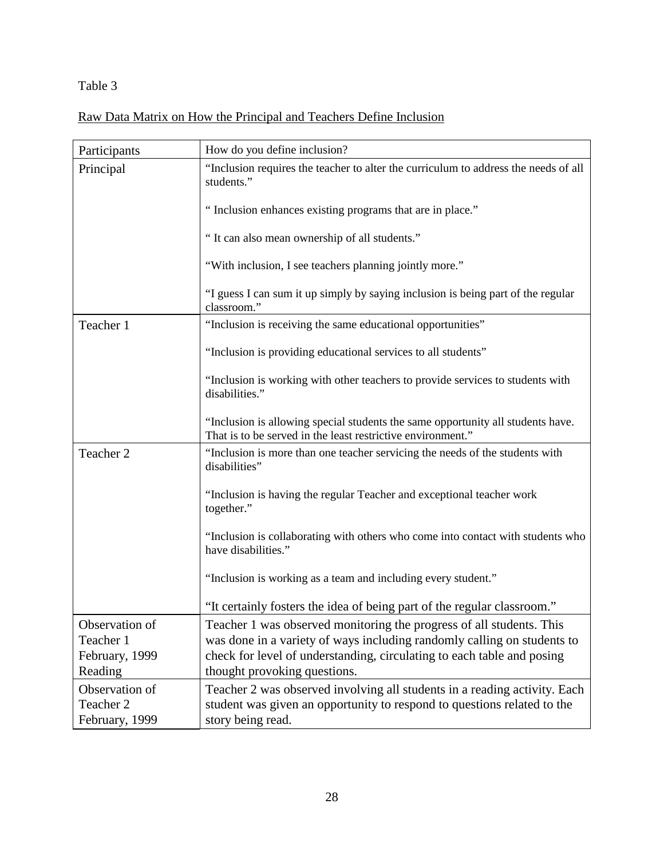## Table 3

# Raw Data Matrix on How the Principal and Teachers Define Inclusion

| Participants              | How do you define inclusion?                                                                                                                   |
|---------------------------|------------------------------------------------------------------------------------------------------------------------------------------------|
| Principal                 | "Inclusion requires the teacher to alter the curriculum to address the needs of all<br>students."                                              |
|                           | "Inclusion enhances existing programs that are in place."                                                                                      |
|                           | "It can also mean ownership of all students."                                                                                                  |
|                           | "With inclusion, I see teachers planning jointly more."                                                                                        |
|                           | "I guess I can sum it up simply by saying inclusion is being part of the regular<br>classroom."                                                |
| Teacher 1                 | "Inclusion is receiving the same educational opportunities"                                                                                    |
|                           | "Inclusion is providing educational services to all students"                                                                                  |
|                           | "Inclusion is working with other teachers to provide services to students with<br>disabilities."                                               |
|                           | "Inclusion is allowing special students the same opportunity all students have.<br>That is to be served in the least restrictive environment." |
| Teacher 2                 | "Inclusion is more than one teacher servicing the needs of the students with<br>disabilities"                                                  |
|                           | "Inclusion is having the regular Teacher and exceptional teacher work<br>together."                                                            |
|                           | "Inclusion is collaborating with others who come into contact with students who<br>have disabilities."                                         |
|                           | "Inclusion is working as a team and including every student."                                                                                  |
|                           | "It certainly fosters the idea of being part of the regular classroom."                                                                        |
| Observation of            | Teacher 1 was observed monitoring the progress of all students. This                                                                           |
| Teacher 1                 | was done in a variety of ways including randomly calling on students to                                                                        |
| February, 1999<br>Reading | check for level of understanding, circulating to each table and posing<br>thought provoking questions.                                         |
| Observation of            | Teacher 2 was observed involving all students in a reading activity. Each                                                                      |
| Teacher 2                 | student was given an opportunity to respond to questions related to the                                                                        |
| February, 1999            | story being read.                                                                                                                              |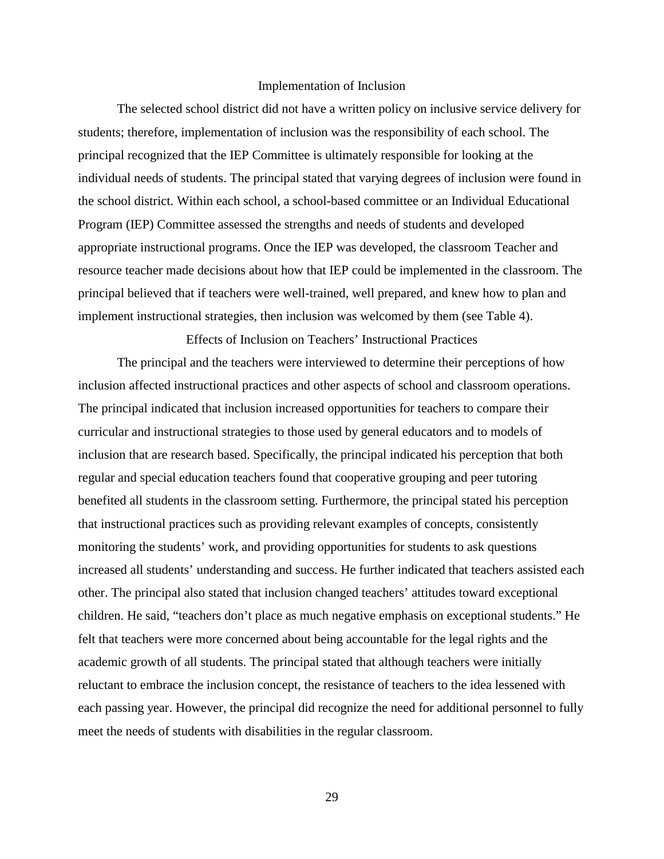#### Implementation of Inclusion

The selected school district did not have a written policy on inclusive service delivery for students; therefore, implementation of inclusion was the responsibility of each school. The principal recognized that the IEP Committee is ultimately responsible for looking at the individual needs of students. The principal stated that varying degrees of inclusion were found in the school district. Within each school, a school-based committee or an Individual Educational Program (IEP) Committee assessed the strengths and needs of students and developed appropriate instructional programs. Once the IEP was developed, the classroom Teacher and resource teacher made decisions about how that IEP could be implemented in the classroom. The principal believed that if teachers were well-trained, well prepared, and knew how to plan and implement instructional strategies, then inclusion was welcomed by them (see Table 4).

Effects of Inclusion on Teachers' Instructional Practices

The principal and the teachers were interviewed to determine their perceptions of how inclusion affected instructional practices and other aspects of school and classroom operations. The principal indicated that inclusion increased opportunities for teachers to compare their curricular and instructional strategies to those used by general educators and to models of inclusion that are research based. Specifically, the principal indicated his perception that both regular and special education teachers found that cooperative grouping and peer tutoring benefited all students in the classroom setting. Furthermore, the principal stated his perception that instructional practices such as providing relevant examples of concepts, consistently monitoring the students' work, and providing opportunities for students to ask questions increased all students' understanding and success. He further indicated that teachers assisted each other. The principal also stated that inclusion changed teachers' attitudes toward exceptional children. He said, "teachers don't place as much negative emphasis on exceptional students." He felt that teachers were more concerned about being accountable for the legal rights and the academic growth of all students. The principal stated that although teachers were initially reluctant to embrace the inclusion concept, the resistance of teachers to the idea lessened with each passing year. However, the principal did recognize the need for additional personnel to fully meet the needs of students with disabilities in the regular classroom.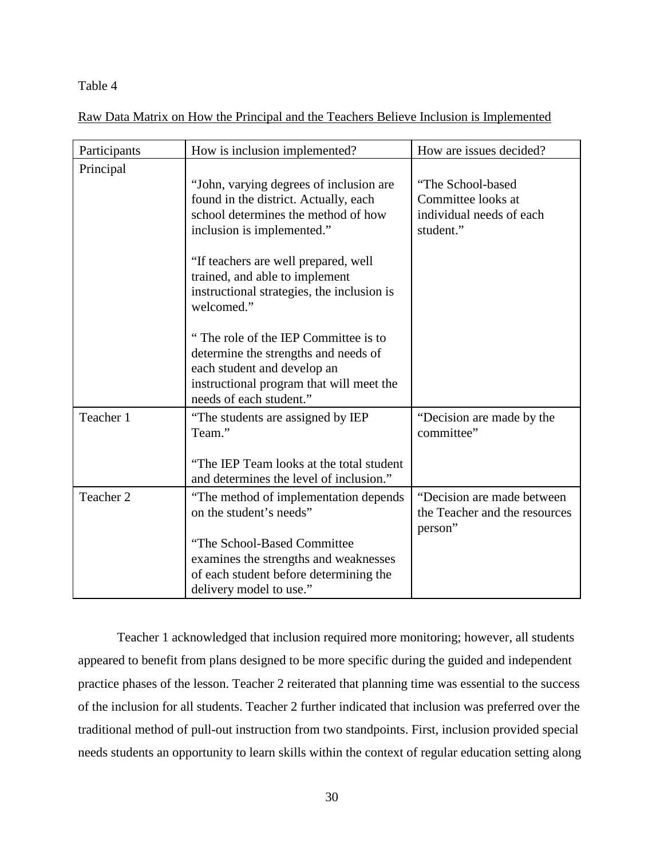## Table 4

| Participants | How is inclusion implemented?                                                                                                                                                                                                                                                                                                                                                                              | How are issues decided?                                                          |
|--------------|------------------------------------------------------------------------------------------------------------------------------------------------------------------------------------------------------------------------------------------------------------------------------------------------------------------------------------------------------------------------------------------------------------|----------------------------------------------------------------------------------|
| Principal    | "John, varying degrees of inclusion are<br>found in the district. Actually, each<br>school determines the method of how<br>inclusion is implemented."<br>"If teachers are well prepared, well<br>trained, and able to implement<br>instructional strategies, the inclusion is<br>welcomed."<br>"The role of the IEP Committee is to<br>determine the strengths and needs of<br>each student and develop an | "The School-based<br>Committee looks at<br>individual needs of each<br>student." |
|              | instructional program that will meet the<br>needs of each student."                                                                                                                                                                                                                                                                                                                                        |                                                                                  |
| Teacher 1    | "The students are assigned by IEP<br>Team."<br>"The IEP Team looks at the total student                                                                                                                                                                                                                                                                                                                    | "Decision are made by the<br>committee"                                          |
|              | and determines the level of inclusion."                                                                                                                                                                                                                                                                                                                                                                    |                                                                                  |
| Teacher 2    | "The method of implementation depends"<br>on the student's needs"                                                                                                                                                                                                                                                                                                                                          | "Decision are made between<br>the Teacher and the resources<br>person"           |
|              | "The School-Based Committee<br>examines the strengths and weaknesses<br>of each student before determining the<br>delivery model to use."                                                                                                                                                                                                                                                                  |                                                                                  |

Raw Data Matrix on How the Principal and the Teachers Believe Inclusion is Implemented

Teacher 1 acknowledged that inclusion required more monitoring; however, all students appeared to benefit from plans designed to be more specific during the guided and independent practice phases of the lesson. Teacher 2 reiterated that planning time was essential to the success of the inclusion for all students. Teacher 2 further indicated that inclusion was preferred over the traditional method of pull-out instruction from two standpoints. First, inclusion provided special needs students an opportunity to learn skills within the context of regular education setting along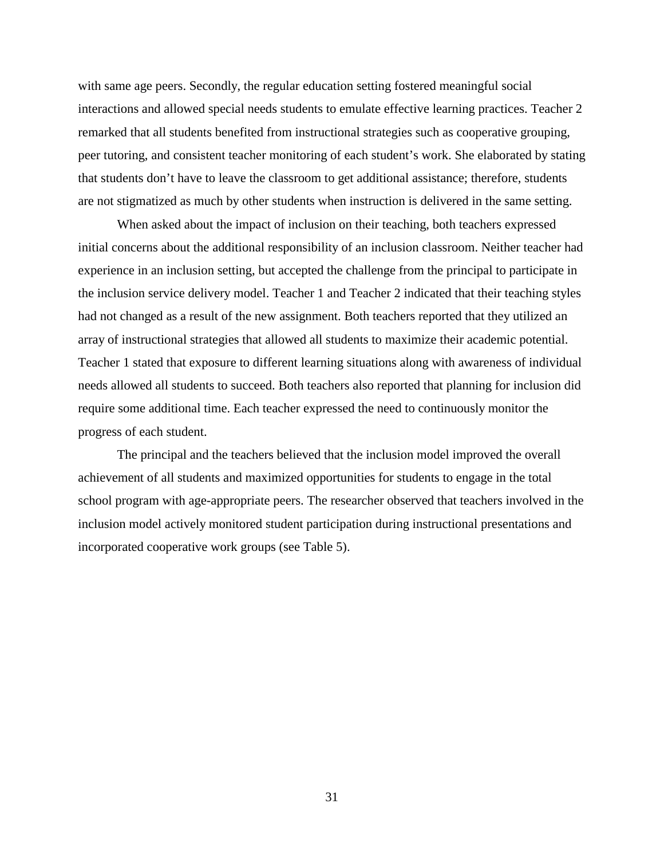with same age peers. Secondly, the regular education setting fostered meaningful social interactions and allowed special needs students to emulate effective learning practices. Teacher 2 remarked that all students benefited from instructional strategies such as cooperative grouping, peer tutoring, and consistent teacher monitoring of each student's work. She elaborated by stating that students don't have to leave the classroom to get additional assistance; therefore, students are not stigmatized as much by other students when instruction is delivered in the same setting.

When asked about the impact of inclusion on their teaching, both teachers expressed initial concerns about the additional responsibility of an inclusion classroom. Neither teacher had experience in an inclusion setting, but accepted the challenge from the principal to participate in the inclusion service delivery model. Teacher 1 and Teacher 2 indicated that their teaching styles had not changed as a result of the new assignment. Both teachers reported that they utilized an array of instructional strategies that allowed all students to maximize their academic potential. Teacher 1 stated that exposure to different learning situations along with awareness of individual needs allowed all students to succeed. Both teachers also reported that planning for inclusion did require some additional time. Each teacher expressed the need to continuously monitor the progress of each student.

The principal and the teachers believed that the inclusion model improved the overall achievement of all students and maximized opportunities for students to engage in the total school program with age-appropriate peers. The researcher observed that teachers involved in the inclusion model actively monitored student participation during instructional presentations and incorporated cooperative work groups (see Table 5).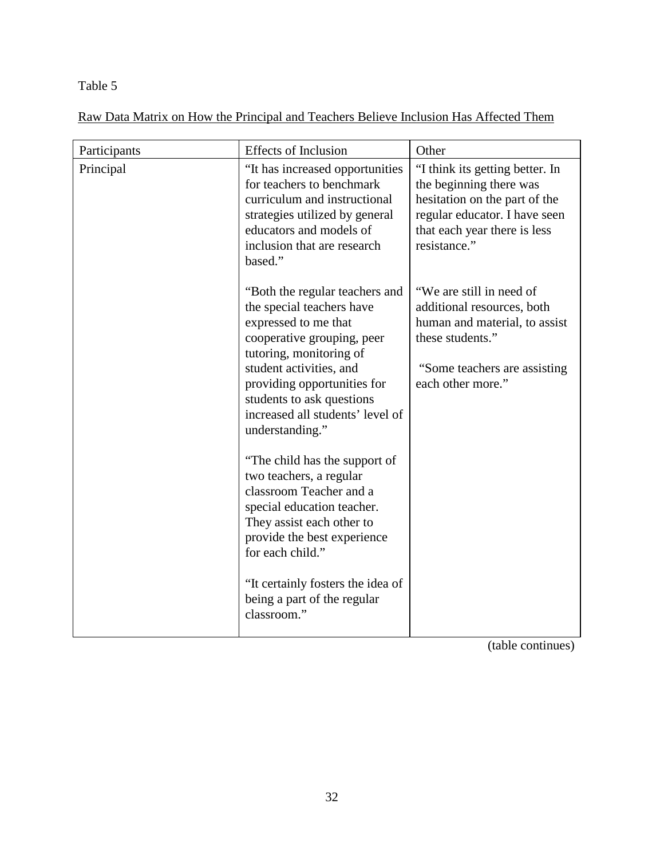## Table 5

Raw Data Matrix on How the Principal and Teachers Believe Inclusion Has Affected Them

| Participants | <b>Effects of Inclusion</b>                                                                                                                                                                                                                                                                | Other                                                                                                                                                                        |
|--------------|--------------------------------------------------------------------------------------------------------------------------------------------------------------------------------------------------------------------------------------------------------------------------------------------|------------------------------------------------------------------------------------------------------------------------------------------------------------------------------|
| Principal    | "It has increased opportunities<br>for teachers to benchmark<br>curriculum and instructional<br>strategies utilized by general<br>educators and models of<br>inclusion that are research<br>based."                                                                                        | "I think its getting better. In<br>the beginning there was<br>hesitation on the part of the<br>regular educator. I have seen<br>that each year there is less<br>resistance." |
|              | "Both the regular teachers and<br>the special teachers have<br>expressed to me that<br>cooperative grouping, peer<br>tutoring, monitoring of<br>student activities, and<br>providing opportunities for<br>students to ask questions<br>increased all students' level of<br>understanding." | "We are still in need of<br>additional resources, both<br>human and material, to assist<br>these students."<br>"Some teachers are assisting<br>each other more."             |
|              | "The child has the support of<br>two teachers, a regular<br>classroom Teacher and a<br>special education teacher.<br>They assist each other to<br>provide the best experience<br>for each child."                                                                                          |                                                                                                                                                                              |
|              | "It certainly fosters the idea of<br>being a part of the regular<br>classroom."                                                                                                                                                                                                            |                                                                                                                                                                              |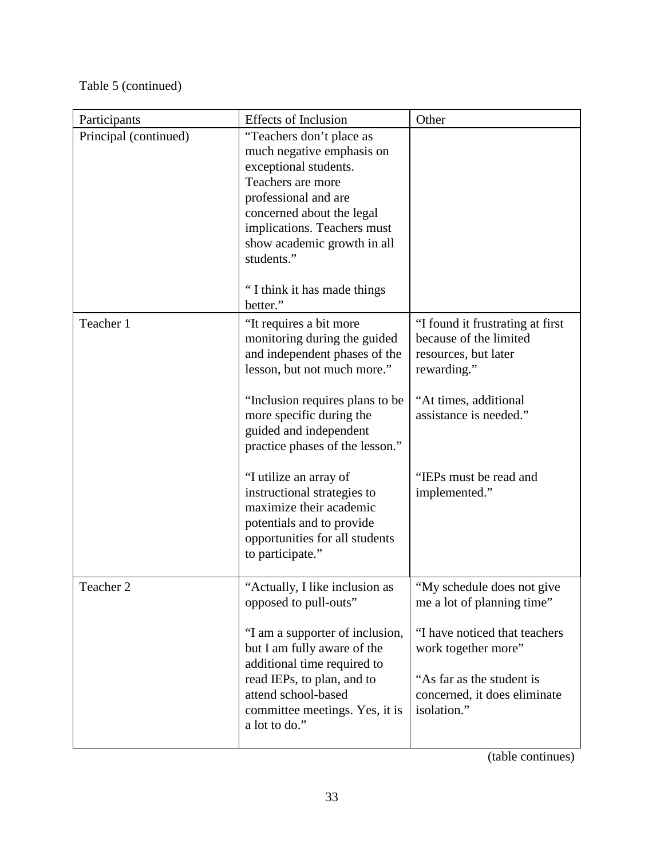# Table 5 (continued)

| Participants          | <b>Effects of Inclusion</b>                                                                                                                                                                                                                                                                                                                                                                                                | Other                                                                                                                                                                                           |
|-----------------------|----------------------------------------------------------------------------------------------------------------------------------------------------------------------------------------------------------------------------------------------------------------------------------------------------------------------------------------------------------------------------------------------------------------------------|-------------------------------------------------------------------------------------------------------------------------------------------------------------------------------------------------|
| Principal (continued) | "Teachers don't place as<br>much negative emphasis on<br>exceptional students.<br>Teachers are more<br>professional and are<br>concerned about the legal<br>implications. Teachers must<br>show academic growth in all<br>students."<br>"I think it has made things                                                                                                                                                        |                                                                                                                                                                                                 |
|                       | better."                                                                                                                                                                                                                                                                                                                                                                                                                   |                                                                                                                                                                                                 |
| Teacher 1             | "It requires a bit more<br>monitoring during the guided<br>and independent phases of the<br>lesson, but not much more."<br>"Inclusion requires plans to be<br>more specific during the<br>guided and independent<br>practice phases of the lesson."<br>"I utilize an array of<br>instructional strategies to<br>maximize their academic<br>potentials and to provide<br>opportunities for all students<br>to participate." | "I found it frustrating at first<br>because of the limited<br>resources, but later<br>rewarding."<br>"At times, additional<br>assistance is needed."<br>"IEPs must be read and<br>implemented." |
| Teacher 2             | "Actually, I like inclusion as<br>opposed to pull-outs"                                                                                                                                                                                                                                                                                                                                                                    | "My schedule does not give<br>me a lot of planning time"                                                                                                                                        |
|                       | "I am a supporter of inclusion,<br>but I am fully aware of the<br>additional time required to<br>read IEPs, to plan, and to<br>attend school-based<br>committee meetings. Yes, it is<br>a lot to do."                                                                                                                                                                                                                      | "I have noticed that teachers<br>work together more"<br>"As far as the student is<br>concerned, it does eliminate<br>isolation."                                                                |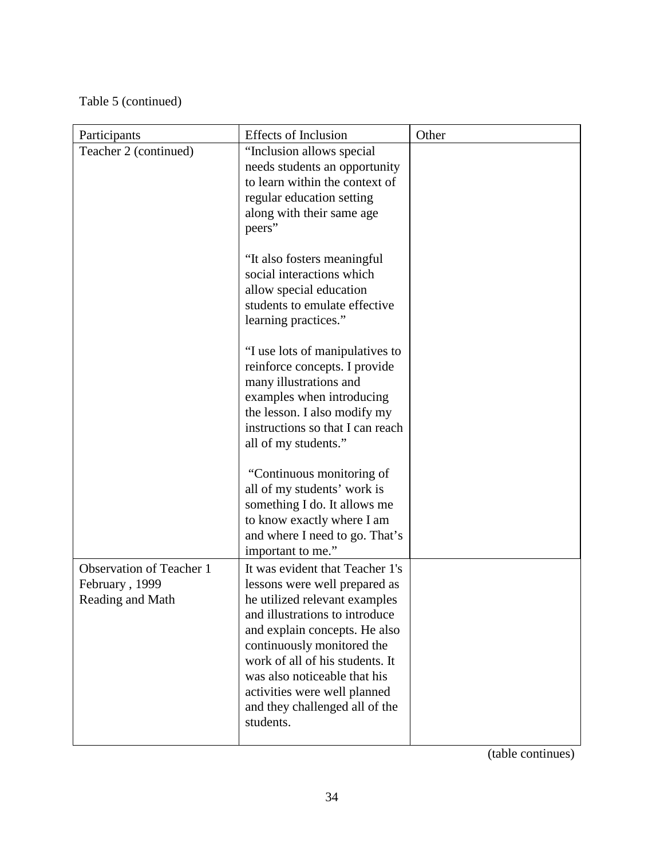# Table 5 (continued)

| Participants                                                          | <b>Effects of Inclusion</b>                                                                                                                                                                                                                                                                                                                          | Other |
|-----------------------------------------------------------------------|------------------------------------------------------------------------------------------------------------------------------------------------------------------------------------------------------------------------------------------------------------------------------------------------------------------------------------------------------|-------|
| Teacher 2 (continued)                                                 | "Inclusion allows special<br>needs students an opportunity<br>to learn within the context of<br>regular education setting<br>along with their same age<br>peers"                                                                                                                                                                                     |       |
|                                                                       | "It also fosters meaningful<br>social interactions which<br>allow special education<br>students to emulate effective<br>learning practices."                                                                                                                                                                                                         |       |
|                                                                       | "I use lots of manipulatives to<br>reinforce concepts. I provide<br>many illustrations and<br>examples when introducing<br>the lesson. I also modify my<br>instructions so that I can reach<br>all of my students."                                                                                                                                  |       |
|                                                                       | "Continuous monitoring of<br>all of my students' work is<br>something I do. It allows me<br>to know exactly where I am<br>and where I need to go. That's<br>important to me."                                                                                                                                                                        |       |
| <b>Observation of Teacher 1</b><br>February, 1999<br>Reading and Math | It was evident that Teacher 1's<br>lessons were well prepared as<br>he utilized relevant examples<br>and illustrations to introduce<br>and explain concepts. He also<br>continuously monitored the<br>work of all of his students. It<br>was also noticeable that his<br>activities were well planned<br>and they challenged all of the<br>students. |       |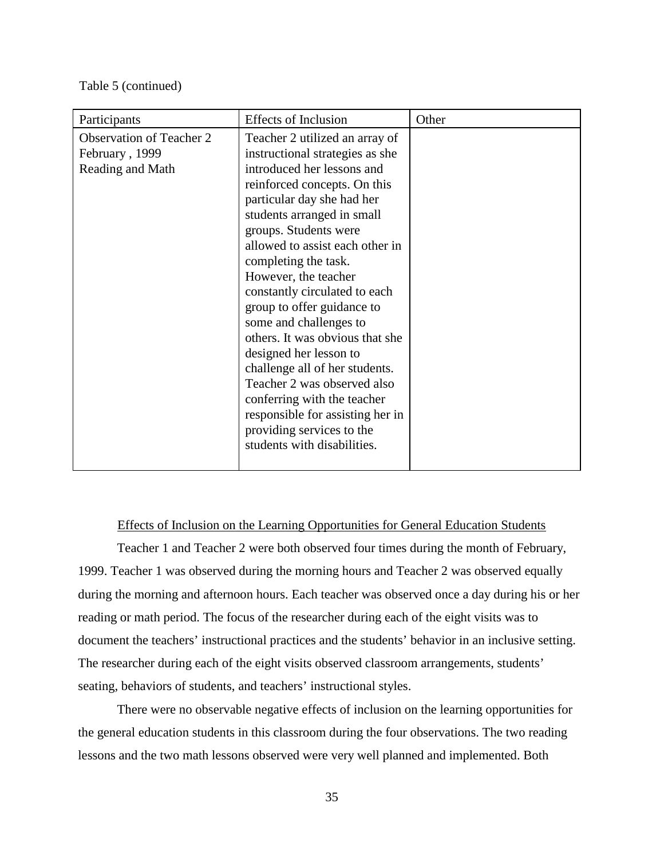#### Table 5 (continued)

| Participants                                                          | <b>Effects of Inclusion</b>                                                                                                                                                                                                                                                                                                                                                                                                                                                                                                                                                                                                                                   | Other |
|-----------------------------------------------------------------------|---------------------------------------------------------------------------------------------------------------------------------------------------------------------------------------------------------------------------------------------------------------------------------------------------------------------------------------------------------------------------------------------------------------------------------------------------------------------------------------------------------------------------------------------------------------------------------------------------------------------------------------------------------------|-------|
| <b>Observation of Teacher 2</b><br>February, 1999<br>Reading and Math | Teacher 2 utilized an array of<br>instructional strategies as she<br>introduced her lessons and<br>reinforced concepts. On this<br>particular day she had her<br>students arranged in small<br>groups. Students were<br>allowed to assist each other in<br>completing the task.<br>However, the teacher<br>constantly circulated to each<br>group to offer guidance to<br>some and challenges to<br>others. It was obvious that she<br>designed her lesson to<br>challenge all of her students.<br>Teacher 2 was observed also<br>conferring with the teacher<br>responsible for assisting her in<br>providing services to the<br>students with disabilities. |       |
|                                                                       |                                                                                                                                                                                                                                                                                                                                                                                                                                                                                                                                                                                                                                                               |       |

## Effects of Inclusion on the Learning Opportunities for General Education Students

Teacher 1 and Teacher 2 were both observed four times during the month of February, 1999. Teacher 1 was observed during the morning hours and Teacher 2 was observed equally during the morning and afternoon hours. Each teacher was observed once a day during his or her reading or math period. The focus of the researcher during each of the eight visits was to document the teachers' instructional practices and the students' behavior in an inclusive setting. The researcher during each of the eight visits observed classroom arrangements, students' seating, behaviors of students, and teachers' instructional styles.

There were no observable negative effects of inclusion on the learning opportunities for the general education students in this classroom during the four observations. The two reading lessons and the two math lessons observed were very well planned and implemented. Both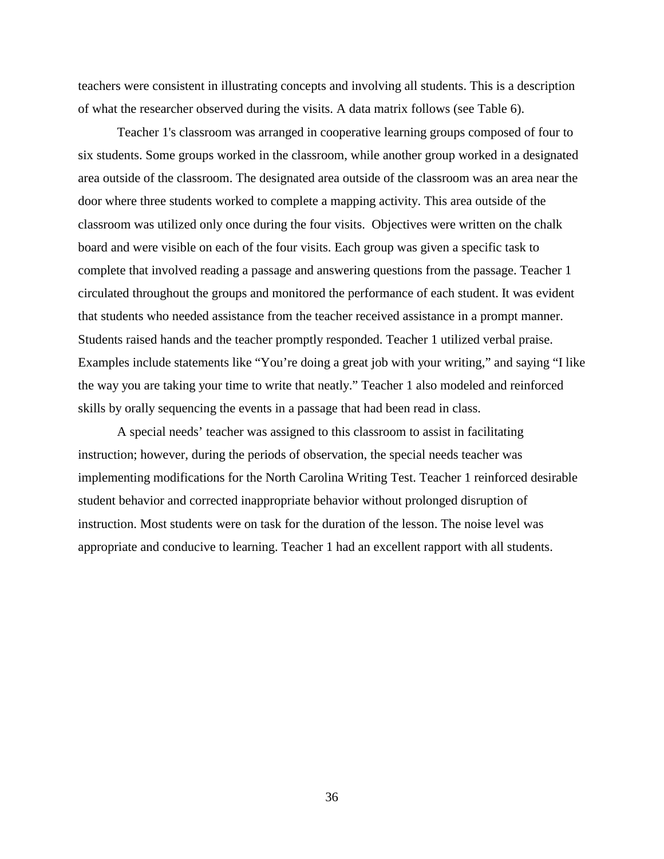teachers were consistent in illustrating concepts and involving all students. This is a description of what the researcher observed during the visits. A data matrix follows (see Table 6).

Teacher 1's classroom was arranged in cooperative learning groups composed of four to six students. Some groups worked in the classroom, while another group worked in a designated area outside of the classroom. The designated area outside of the classroom was an area near the door where three students worked to complete a mapping activity. This area outside of the classroom was utilized only once during the four visits. Objectives were written on the chalk board and were visible on each of the four visits. Each group was given a specific task to complete that involved reading a passage and answering questions from the passage. Teacher 1 circulated throughout the groups and monitored the performance of each student. It was evident that students who needed assistance from the teacher received assistance in a prompt manner. Students raised hands and the teacher promptly responded. Teacher 1 utilized verbal praise. Examples include statements like "You're doing a great job with your writing," and saying "I like the way you are taking your time to write that neatly." Teacher 1 also modeled and reinforced skills by orally sequencing the events in a passage that had been read in class.

A special needs' teacher was assigned to this classroom to assist in facilitating instruction; however, during the periods of observation, the special needs teacher was implementing modifications for the North Carolina Writing Test. Teacher 1 reinforced desirable student behavior and corrected inappropriate behavior without prolonged disruption of instruction. Most students were on task for the duration of the lesson. The noise level was appropriate and conducive to learning. Teacher 1 had an excellent rapport with all students.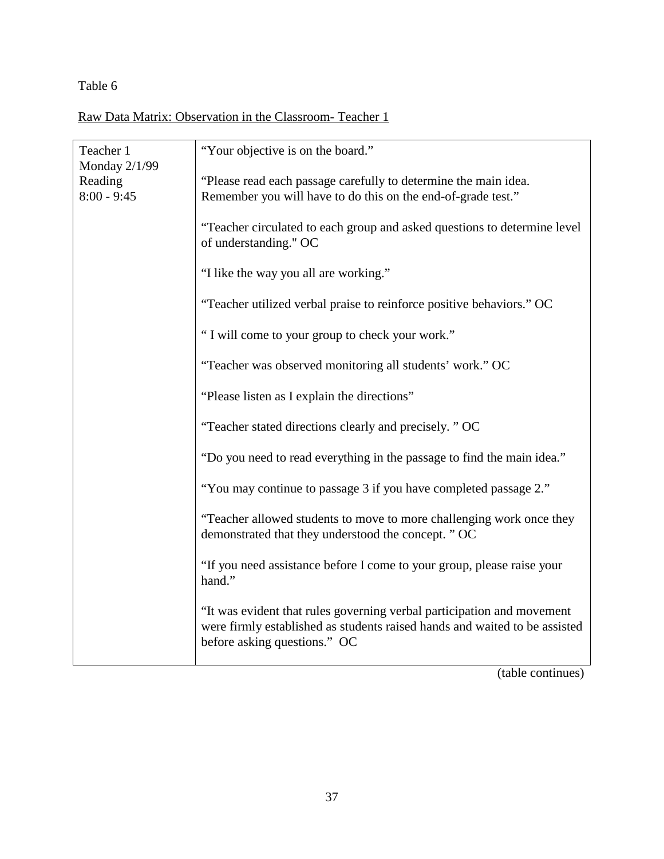## Table 6

Raw Data Matrix: Observation in the Classroom- Teacher 1

| Teacher 1                                 | "Your objective is on the board."                                                                                                                                                    |
|-------------------------------------------|--------------------------------------------------------------------------------------------------------------------------------------------------------------------------------------|
| Monday 2/1/99<br>Reading<br>$8:00 - 9:45$ | "Please read each passage carefully to determine the main idea.<br>Remember you will have to do this on the end-of-grade test."                                                      |
|                                           | "Teacher circulated to each group and asked questions to determine level<br>of understanding." OC                                                                                    |
|                                           | "I like the way you all are working."                                                                                                                                                |
|                                           | "Teacher utilized verbal praise to reinforce positive behaviors." OC                                                                                                                 |
|                                           | "I will come to your group to check your work."                                                                                                                                      |
|                                           | "Teacher was observed monitoring all students' work." OC                                                                                                                             |
|                                           | "Please listen as I explain the directions"                                                                                                                                          |
|                                           | "Teacher stated directions clearly and precisely. " OC                                                                                                                               |
|                                           | "Do you need to read everything in the passage to find the main idea."                                                                                                               |
|                                           | "You may continue to passage 3 if you have completed passage 2."                                                                                                                     |
|                                           | "Teacher allowed students to move to more challenging work once they<br>demonstrated that they understood the concept. " OC                                                          |
|                                           | "If you need assistance before I come to your group, please raise your<br>hand."                                                                                                     |
|                                           | "It was evident that rules governing verbal participation and movement<br>were firmly established as students raised hands and waited to be assisted<br>before asking questions." OC |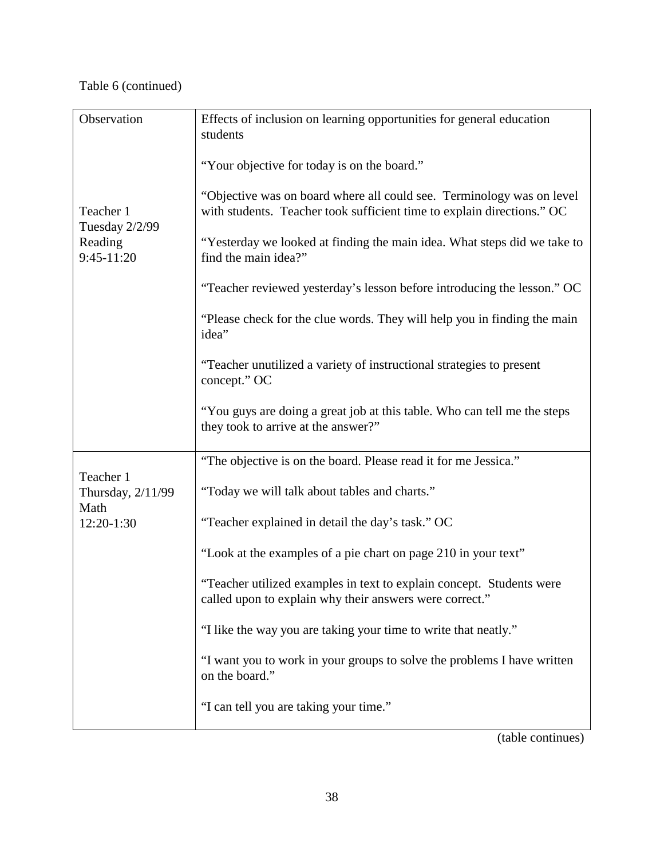# Table 6 (continued)

| Observation                    | Effects of inclusion on learning opportunities for general education<br>students                                                                |
|--------------------------------|-------------------------------------------------------------------------------------------------------------------------------------------------|
|                                | "Your objective for today is on the board."                                                                                                     |
| Teacher 1<br>Tuesday 2/2/99    | "Objective was on board where all could see. Terminology was on level<br>with students. Teacher took sufficient time to explain directions." OC |
| Reading<br>9:45-11:20          | "Yesterday we looked at finding the main idea. What steps did we take to<br>find the main idea?"                                                |
|                                | "Teacher reviewed yesterday's lesson before introducing the lesson." OC                                                                         |
|                                | "Please check for the clue words. They will help you in finding the main<br>idea"                                                               |
|                                | "Teacher unutilized a variety of instructional strategies to present<br>concept." OC                                                            |
|                                | "You guys are doing a great job at this table. Who can tell me the steps<br>they took to arrive at the answer?"                                 |
|                                | "The objective is on the board. Please read it for me Jessica."                                                                                 |
| Teacher 1<br>Thursday, 2/11/99 | "Today we will talk about tables and charts."                                                                                                   |
| Math<br>12:20-1:30             | "Teacher explained in detail the day's task." OC                                                                                                |
|                                | "Look at the examples of a pie chart on page 210 in your text"                                                                                  |
|                                | "Teacher utilized examples in text to explain concept. Students were<br>called upon to explain why their answers were correct."                 |
|                                | "I like the way you are taking your time to write that neatly."                                                                                 |
|                                | "I want you to work in your groups to solve the problems I have written<br>on the board."                                                       |
|                                | "I can tell you are taking your time."                                                                                                          |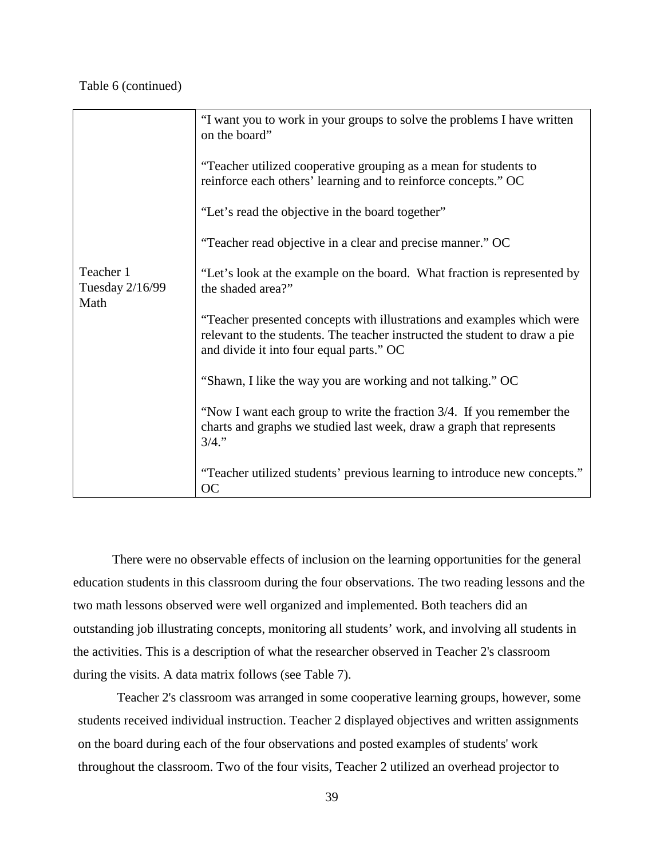## Table 6 (continued)

|                                      | "I want you to work in your groups to solve the problems I have written<br>on the board"                                                                                                         |
|--------------------------------------|--------------------------------------------------------------------------------------------------------------------------------------------------------------------------------------------------|
|                                      | "Teacher utilized cooperative grouping as a mean for students to<br>reinforce each others' learning and to reinforce concepts." OC                                                               |
|                                      | "Let's read the objective in the board together"                                                                                                                                                 |
|                                      | "Teacher read objective in a clear and precise manner." OC                                                                                                                                       |
| Teacher 1<br>Tuesday 2/16/99<br>Math | "Let's look at the example on the board. What fraction is represented by<br>the shaded area?"                                                                                                    |
|                                      | "Teacher presented concepts with illustrations and examples which were<br>relevant to the students. The teacher instructed the student to draw a pie<br>and divide it into four equal parts." OC |
|                                      | "Shawn, I like the way you are working and not talking." OC                                                                                                                                      |
|                                      | "Now I want each group to write the fraction 3/4. If you remember the<br>charts and graphs we studied last week, draw a graph that represents<br>3/4."                                           |
|                                      | "Teacher utilized students' previous learning to introduce new concepts."<br><b>OC</b>                                                                                                           |

There were no observable effects of inclusion on the learning opportunities for the general education students in this classroom during the four observations. The two reading lessons and the two math lessons observed were well organized and implemented. Both teachers did an outstanding job illustrating concepts, monitoring all students' work, and involving all students in the activities. This is a description of what the researcher observed in Teacher 2's classroom during the visits. A data matrix follows (see Table 7).

Teacher 2's classroom was arranged in some cooperative learning groups, however, some students received individual instruction. Teacher 2 displayed objectives and written assignments on the board during each of the four observations and posted examples of students' work throughout the classroom. Two of the four visits, Teacher 2 utilized an overhead projector to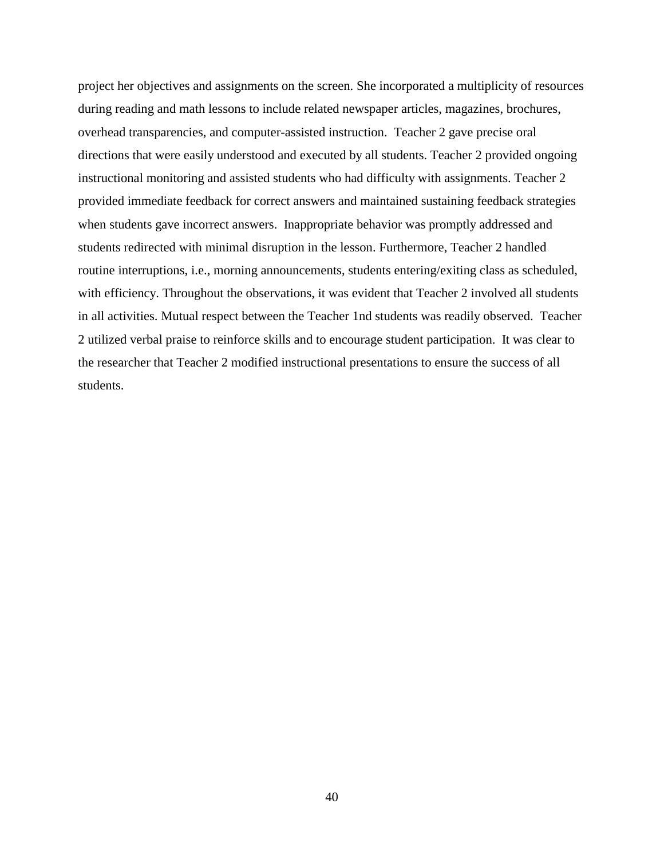project her objectives and assignments on the screen. She incorporated a multiplicity of resources during reading and math lessons to include related newspaper articles, magazines, brochures, overhead transparencies, and computer-assisted instruction. Teacher 2 gave precise oral directions that were easily understood and executed by all students. Teacher 2 provided ongoing instructional monitoring and assisted students who had difficulty with assignments. Teacher 2 provided immediate feedback for correct answers and maintained sustaining feedback strategies when students gave incorrect answers. Inappropriate behavior was promptly addressed and students redirected with minimal disruption in the lesson. Furthermore, Teacher 2 handled routine interruptions, i.e., morning announcements, students entering/exiting class as scheduled, with efficiency. Throughout the observations, it was evident that Teacher 2 involved all students in all activities. Mutual respect between the Teacher 1nd students was readily observed. Teacher 2 utilized verbal praise to reinforce skills and to encourage student participation. It was clear to the researcher that Teacher 2 modified instructional presentations to ensure the success of all students.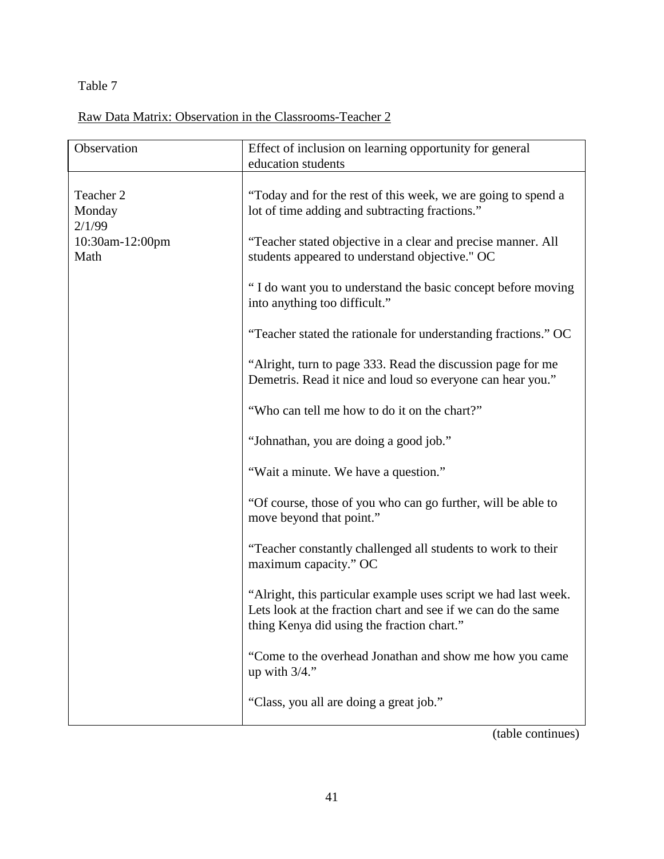Table 7

Raw Data Matrix: Observation in the Classrooms-Teacher 2

| Observation                   | Effect of inclusion on learning opportunity for general<br>education students                                                                                                  |
|-------------------------------|--------------------------------------------------------------------------------------------------------------------------------------------------------------------------------|
|                               |                                                                                                                                                                                |
| Teacher 2<br>Monday<br>2/1/99 | "Today and for the rest of this week, we are going to spend a<br>lot of time adding and subtracting fractions."                                                                |
| 10:30am-12:00pm<br>Math       | "Teacher stated objective in a clear and precise manner. All<br>students appeared to understand objective." OC                                                                 |
|                               | "I do want you to understand the basic concept before moving<br>into anything too difficult."                                                                                  |
|                               | "Teacher stated the rationale for understanding fractions." OC                                                                                                                 |
|                               | "Alright, turn to page 333. Read the discussion page for me<br>Demetris. Read it nice and loud so everyone can hear you."                                                      |
|                               | "Who can tell me how to do it on the chart?"                                                                                                                                   |
|                               | "Johnathan, you are doing a good job."                                                                                                                                         |
|                               | "Wait a minute. We have a question."                                                                                                                                           |
|                               | "Of course, those of you who can go further, will be able to<br>move beyond that point."                                                                                       |
|                               | "Teacher constantly challenged all students to work to their<br>maximum capacity." OC                                                                                          |
|                               | "Alright, this particular example uses script we had last week.<br>Lets look at the fraction chart and see if we can do the same<br>thing Kenya did using the fraction chart." |
|                               | "Come to the overhead Jonathan and show me how you came<br>up with $3/4$ ."                                                                                                    |
|                               | "Class, you all are doing a great job."                                                                                                                                        |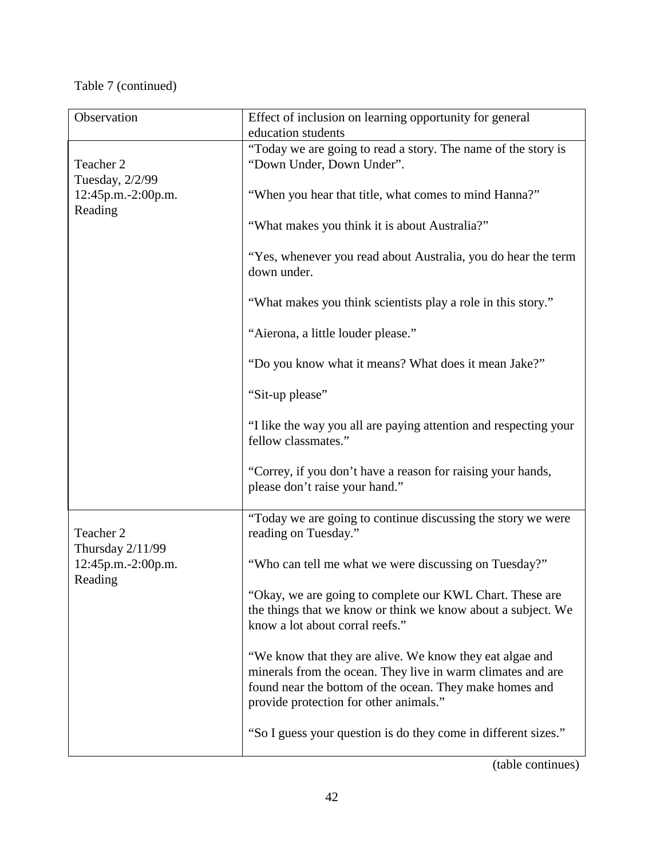# Table 7 (continued)

| Observation                                      | Effect of inclusion on learning opportunity for general                                                                                                                                                                      |  |  |
|--------------------------------------------------|------------------------------------------------------------------------------------------------------------------------------------------------------------------------------------------------------------------------------|--|--|
|                                                  | education students                                                                                                                                                                                                           |  |  |
| Teacher 2                                        | "Today we are going to read a story. The name of the story is<br>"Down Under, Down Under".                                                                                                                                   |  |  |
| Tuesday, 2/2/99<br>12:45p.m.-2:00p.m.<br>Reading | "When you hear that title, what comes to mind Hanna?"                                                                                                                                                                        |  |  |
|                                                  | "What makes you think it is about Australia?"                                                                                                                                                                                |  |  |
|                                                  | "Yes, whenever you read about Australia, you do hear the term<br>down under.                                                                                                                                                 |  |  |
|                                                  | "What makes you think scientists play a role in this story."                                                                                                                                                                 |  |  |
|                                                  | "Aierona, a little louder please."                                                                                                                                                                                           |  |  |
|                                                  | "Do you know what it means? What does it mean Jake?"                                                                                                                                                                         |  |  |
|                                                  | "Sit-up please"                                                                                                                                                                                                              |  |  |
|                                                  | "I like the way you all are paying attention and respecting your<br>fellow classmates."                                                                                                                                      |  |  |
|                                                  | "Correy, if you don't have a reason for raising your hands,<br>please don't raise your hand."                                                                                                                                |  |  |
| Teacher 2<br>Thursday 2/11/99                    | "Today we are going to continue discussing the story we were<br>reading on Tuesday."                                                                                                                                         |  |  |
| 12:45p.m.-2:00p.m.<br>Reading                    | "Who can tell me what we were discussing on Tuesday?"                                                                                                                                                                        |  |  |
|                                                  | "Okay, we are going to complete our KWL Chart. These are<br>the things that we know or think we know about a subject. We<br>know a lot about corral reefs."                                                                  |  |  |
|                                                  | "We know that they are alive. We know they eat algae and<br>minerals from the ocean. They live in warm climates and are<br>found near the bottom of the ocean. They make homes and<br>provide protection for other animals." |  |  |
|                                                  | "So I guess your question is do they come in different sizes."                                                                                                                                                               |  |  |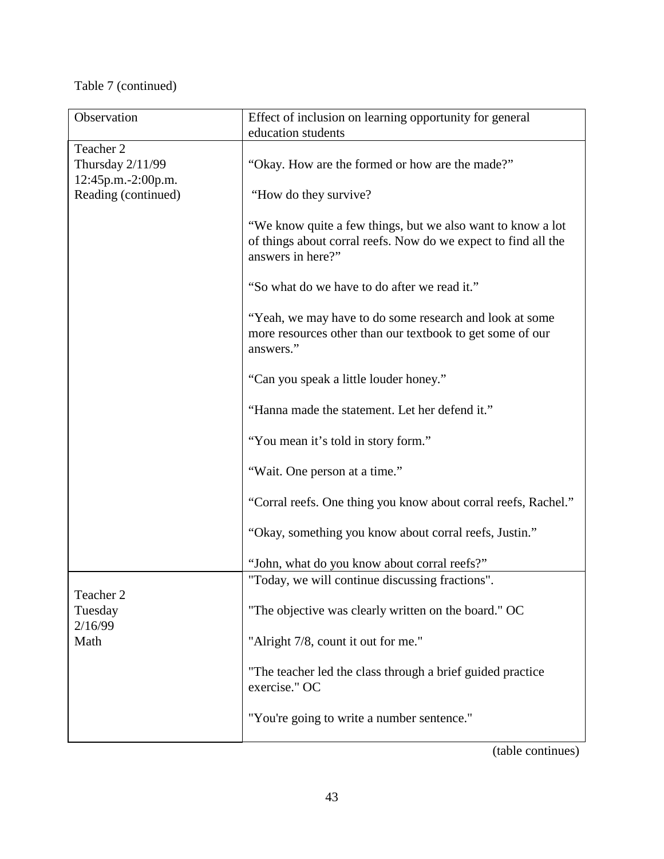# Table 7 (continued)

| Observation         | Effect of inclusion on learning opportunity for general                                                                                            |
|---------------------|----------------------------------------------------------------------------------------------------------------------------------------------------|
|                     | education students                                                                                                                                 |
| Teacher 2           |                                                                                                                                                    |
| Thursday 2/11/99    | "Okay. How are the formed or how are the made?"                                                                                                    |
| 12:45p.m.-2:00p.m.  |                                                                                                                                                    |
| Reading (continued) | "How do they survive?                                                                                                                              |
|                     | "We know quite a few things, but we also want to know a lot<br>of things about corral reefs. Now do we expect to find all the<br>answers in here?" |
|                     | "So what do we have to do after we read it."                                                                                                       |
|                     | "Yeah, we may have to do some research and look at some<br>more resources other than our textbook to get some of our<br>answers."                  |
|                     | "Can you speak a little louder honey."                                                                                                             |
|                     | "Hanna made the statement. Let her defend it."                                                                                                     |
|                     | "You mean it's told in story form."                                                                                                                |
|                     | "Wait. One person at a time."                                                                                                                      |
|                     | "Corral reefs. One thing you know about corral reefs, Rachel."                                                                                     |
|                     | "Okay, something you know about corral reefs, Justin."                                                                                             |
|                     | "John, what do you know about corral reefs?"                                                                                                       |
|                     | "Today, we will continue discussing fractions".                                                                                                    |
| Teacher 2           |                                                                                                                                                    |
| Tuesday             | "The objective was clearly written on the board." OC                                                                                               |
| 2/16/99<br>Math     | "Alright 7/8, count it out for me."                                                                                                                |
|                     | "The teacher led the class through a brief guided practice<br>exercise." OC                                                                        |
|                     | "You're going to write a number sentence."                                                                                                         |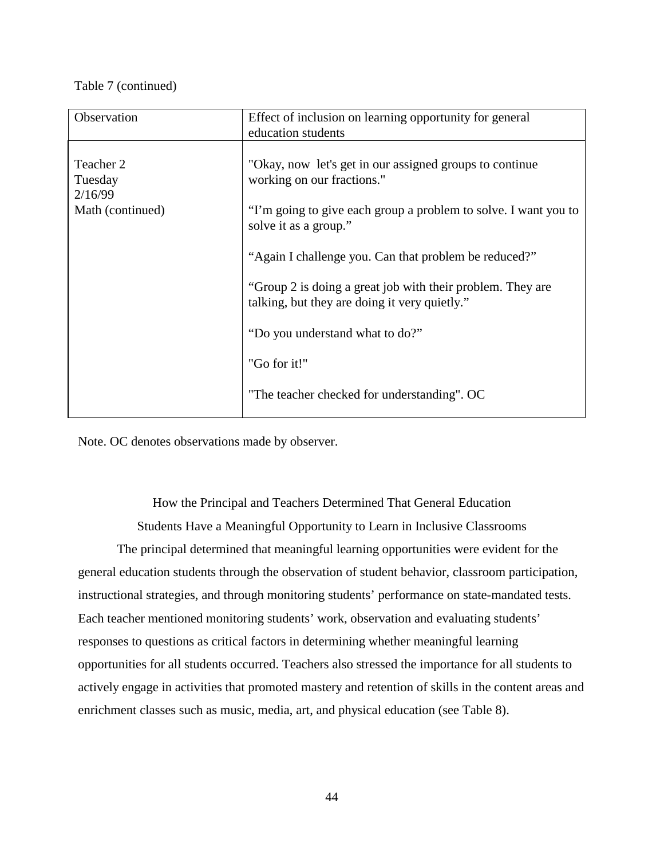## Table 7 (continued)

| Observation                                         | Effect of inclusion on learning opportunity for general<br>education students                                                                                                                                                                                                                                                                                                                                                                               |
|-----------------------------------------------------|-------------------------------------------------------------------------------------------------------------------------------------------------------------------------------------------------------------------------------------------------------------------------------------------------------------------------------------------------------------------------------------------------------------------------------------------------------------|
| Teacher 2<br>Tuesday<br>2/16/99<br>Math (continued) | "Okay, now let's get in our assigned groups to continue<br>working on our fractions."<br>"I'm going to give each group a problem to solve. I want you to<br>solve it as a group."<br>"Again I challenge you. Can that problem be reduced?"<br>"Group 2 is doing a great job with their problem. They are<br>talking, but they are doing it very quietly."<br>"Do you understand what to do?"<br>"Go for it!"<br>"The teacher checked for understanding". OC |

Note. OC denotes observations made by observer.

How the Principal and Teachers Determined That General Education Students Have a Meaningful Opportunity to Learn in Inclusive Classrooms

The principal determined that meaningful learning opportunities were evident for the general education students through the observation of student behavior, classroom participation, instructional strategies, and through monitoring students' performance on state-mandated tests. Each teacher mentioned monitoring students' work, observation and evaluating students' responses to questions as critical factors in determining whether meaningful learning opportunities for all students occurred. Teachers also stressed the importance for all students to actively engage in activities that promoted mastery and retention of skills in the content areas and enrichment classes such as music, media, art, and physical education (see Table 8).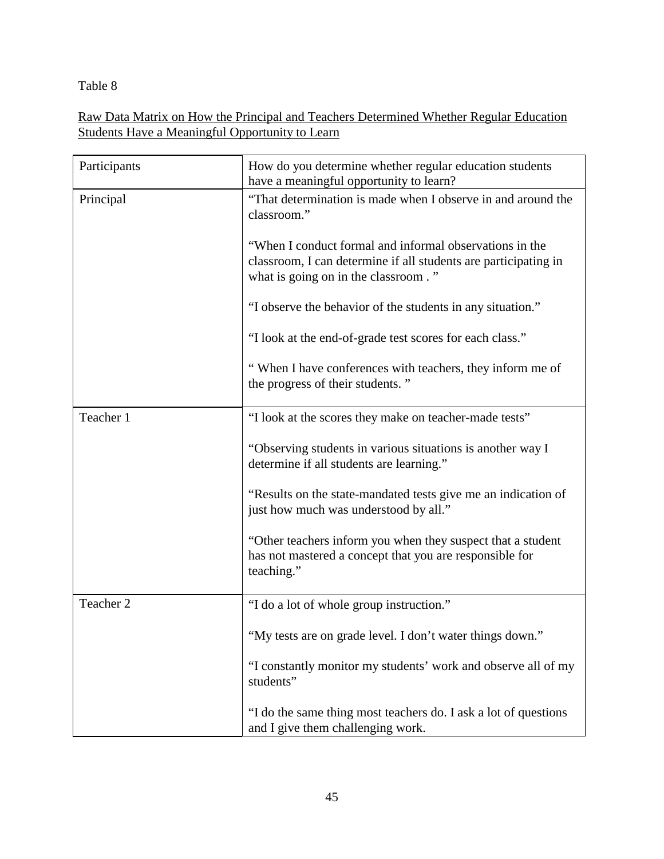Table 8

Raw Data Matrix on How the Principal and Teachers Determined Whether Regular Education Students Have a Meaningful Opportunity to Learn

| Participants | How do you determine whether regular education students<br>have a meaningful opportunity to learn?                                                                |
|--------------|-------------------------------------------------------------------------------------------------------------------------------------------------------------------|
| Principal    | "That determination is made when I observe in and around the<br>classroom."                                                                                       |
|              | "When I conduct formal and informal observations in the<br>classroom, I can determine if all students are participating in<br>what is going on in the classroom." |
|              | "I observe the behavior of the students in any situation."                                                                                                        |
|              | "I look at the end-of-grade test scores for each class."                                                                                                          |
|              | "When I have conferences with teachers, they inform me of<br>the progress of their students."                                                                     |
| Teacher 1    | "I look at the scores they make on teacher-made tests"                                                                                                            |
|              | "Observing students in various situations is another way I<br>determine if all students are learning."                                                            |
|              | "Results on the state-mandated tests give me an indication of<br>just how much was understood by all."                                                            |
|              | "Other teachers inform you when they suspect that a student<br>has not mastered a concept that you are responsible for<br>teaching."                              |
| Teacher 2    | "I do a lot of whole group instruction."                                                                                                                          |
|              | "My tests are on grade level. I don't water things down."                                                                                                         |
|              | "I constantly monitor my students' work and observe all of my<br>students"                                                                                        |
|              | "I do the same thing most teachers do. I ask a lot of questions<br>and I give them challenging work.                                                              |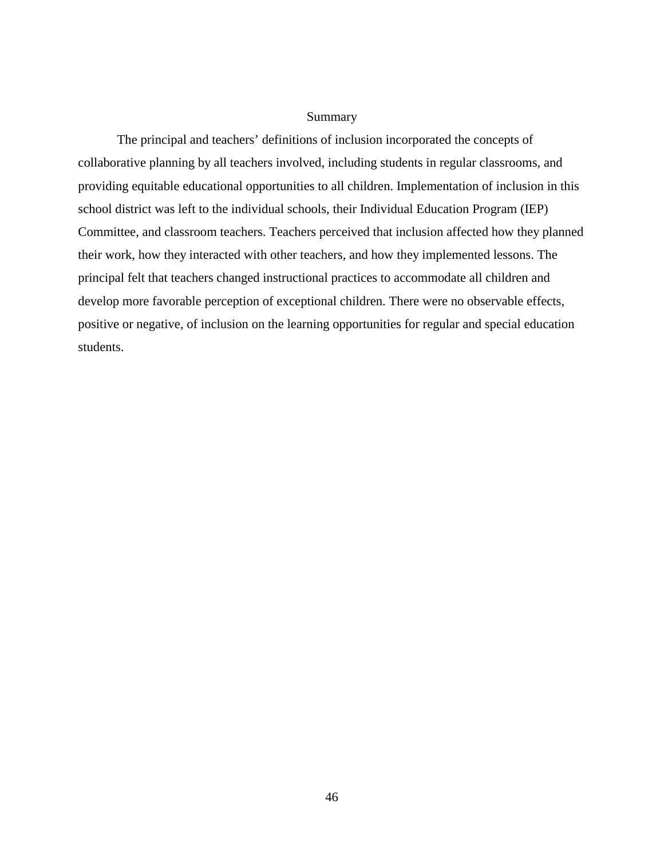### Summary

The principal and teachers' definitions of inclusion incorporated the concepts of collaborative planning by all teachers involved, including students in regular classrooms, and providing equitable educational opportunities to all children. Implementation of inclusion in this school district was left to the individual schools, their Individual Education Program (IEP) Committee, and classroom teachers. Teachers perceived that inclusion affected how they planned their work, how they interacted with other teachers, and how they implemented lessons. The principal felt that teachers changed instructional practices to accommodate all children and develop more favorable perception of exceptional children. There were no observable effects, positive or negative, of inclusion on the learning opportunities for regular and special education students.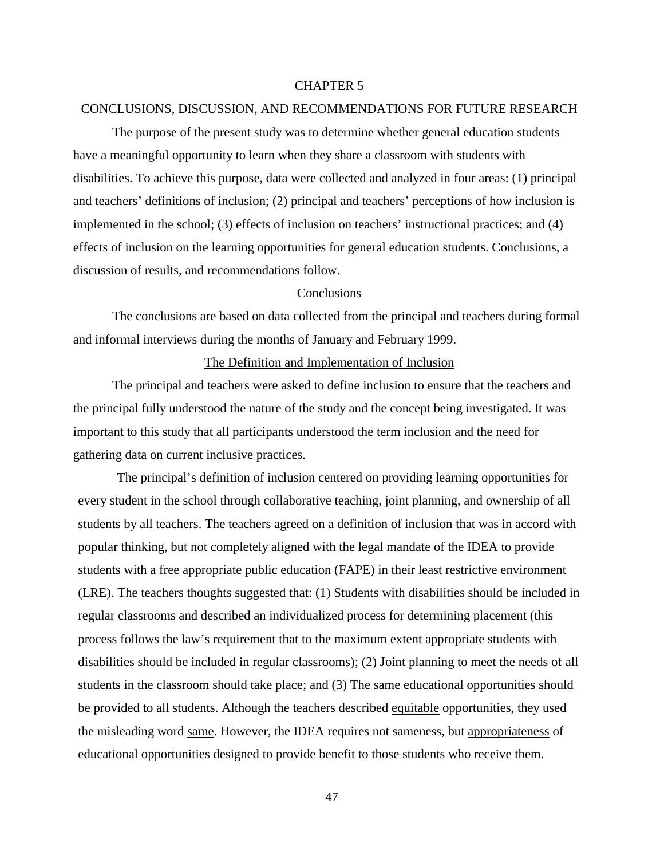#### CHAPTER 5

#### CONCLUSIONS, DISCUSSION, AND RECOMMENDATIONS FOR FUTURE RESEARCH

The purpose of the present study was to determine whether general education students have a meaningful opportunity to learn when they share a classroom with students with disabilities. To achieve this purpose, data were collected and analyzed in four areas: (1) principal and teachers' definitions of inclusion; (2) principal and teachers' perceptions of how inclusion is implemented in the school; (3) effects of inclusion on teachers' instructional practices; and (4) effects of inclusion on the learning opportunities for general education students. Conclusions, a discussion of results, and recommendations follow.

### **Conclusions**

The conclusions are based on data collected from the principal and teachers during formal and informal interviews during the months of January and February 1999.

#### The Definition and Implementation of Inclusion

The principal and teachers were asked to define inclusion to ensure that the teachers and the principal fully understood the nature of the study and the concept being investigated. It was important to this study that all participants understood the term inclusion and the need for gathering data on current inclusive practices.

The principal's definition of inclusion centered on providing learning opportunities for every student in the school through collaborative teaching, joint planning, and ownership of all students by all teachers. The teachers agreed on a definition of inclusion that was in accord with popular thinking, but not completely aligned with the legal mandate of the IDEA to provide students with a free appropriate public education (FAPE) in their least restrictive environment (LRE). The teachers thoughts suggested that: (1) Students with disabilities should be included in regular classrooms and described an individualized process for determining placement (this process follows the law's requirement that to the maximum extent appropriate students with disabilities should be included in regular classrooms); (2) Joint planning to meet the needs of all students in the classroom should take place; and (3) The same educational opportunities should be provided to all students. Although the teachers described equitable opportunities, they used the misleading word same. However, the IDEA requires not sameness, but appropriateness of educational opportunities designed to provide benefit to those students who receive them.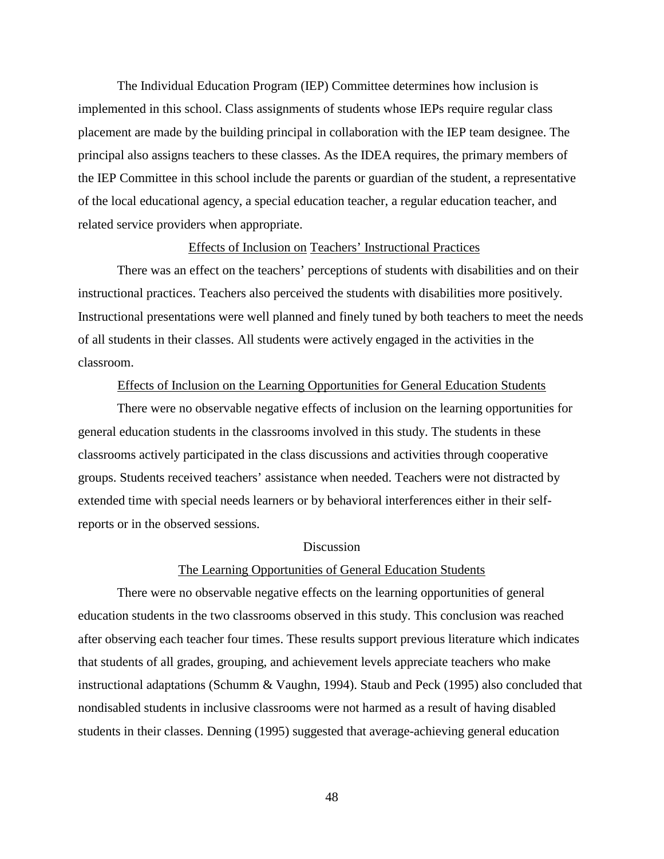The Individual Education Program (IEP) Committee determines how inclusion is implemented in this school. Class assignments of students whose IEPs require regular class placement are made by the building principal in collaboration with the IEP team designee. The principal also assigns teachers to these classes. As the IDEA requires, the primary members of the IEP Committee in this school include the parents or guardian of the student, a representative of the local educational agency, a special education teacher, a regular education teacher, and related service providers when appropriate.

#### Effects of Inclusion on Teachers' Instructional Practices

There was an effect on the teachers' perceptions of students with disabilities and on their instructional practices. Teachers also perceived the students with disabilities more positively. Instructional presentations were well planned and finely tuned by both teachers to meet the needs of all students in their classes. All students were actively engaged in the activities in the classroom.

### Effects of Inclusion on the Learning Opportunities for General Education Students

There were no observable negative effects of inclusion on the learning opportunities for general education students in the classrooms involved in this study. The students in these classrooms actively participated in the class discussions and activities through cooperative groups. Students received teachers' assistance when needed. Teachers were not distracted by extended time with special needs learners or by behavioral interferences either in their selfreports or in the observed sessions.

#### **Discussion**

#### The Learning Opportunities of General Education Students

There were no observable negative effects on the learning opportunities of general education students in the two classrooms observed in this study. This conclusion was reached after observing each teacher four times. These results support previous literature which indicates that students of all grades, grouping, and achievement levels appreciate teachers who make instructional adaptations (Schumm & Vaughn, 1994). Staub and Peck (1995) also concluded that nondisabled students in inclusive classrooms were not harmed as a result of having disabled students in their classes. Denning (1995) suggested that average-achieving general education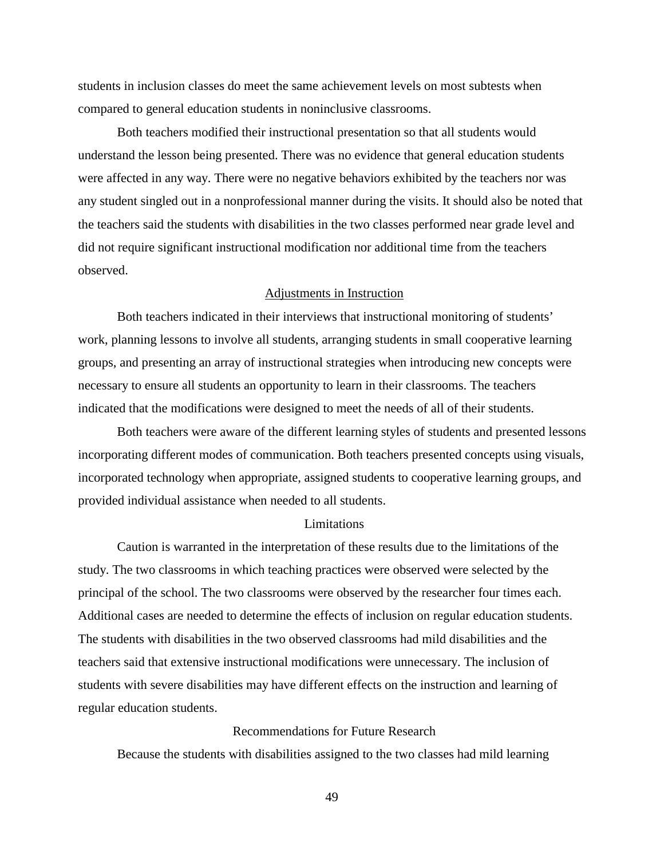students in inclusion classes do meet the same achievement levels on most subtests when compared to general education students in noninclusive classrooms.

Both teachers modified their instructional presentation so that all students would understand the lesson being presented. There was no evidence that general education students were affected in any way. There were no negative behaviors exhibited by the teachers nor was any student singled out in a nonprofessional manner during the visits. It should also be noted that the teachers said the students with disabilities in the two classes performed near grade level and did not require significant instructional modification nor additional time from the teachers observed.

### Adjustments in Instruction

Both teachers indicated in their interviews that instructional monitoring of students' work, planning lessons to involve all students, arranging students in small cooperative learning groups, and presenting an array of instructional strategies when introducing new concepts were necessary to ensure all students an opportunity to learn in their classrooms. The teachers indicated that the modifications were designed to meet the needs of all of their students.

Both teachers were aware of the different learning styles of students and presented lessons incorporating different modes of communication. Both teachers presented concepts using visuals, incorporated technology when appropriate, assigned students to cooperative learning groups, and provided individual assistance when needed to all students.

#### **Limitations**

Caution is warranted in the interpretation of these results due to the limitations of the study. The two classrooms in which teaching practices were observed were selected by the principal of the school. The two classrooms were observed by the researcher four times each. Additional cases are needed to determine the effects of inclusion on regular education students. The students with disabilities in the two observed classrooms had mild disabilities and the teachers said that extensive instructional modifications were unnecessary. The inclusion of students with severe disabilities may have different effects on the instruction and learning of regular education students.

### Recommendations for Future Research

Because the students with disabilities assigned to the two classes had mild learning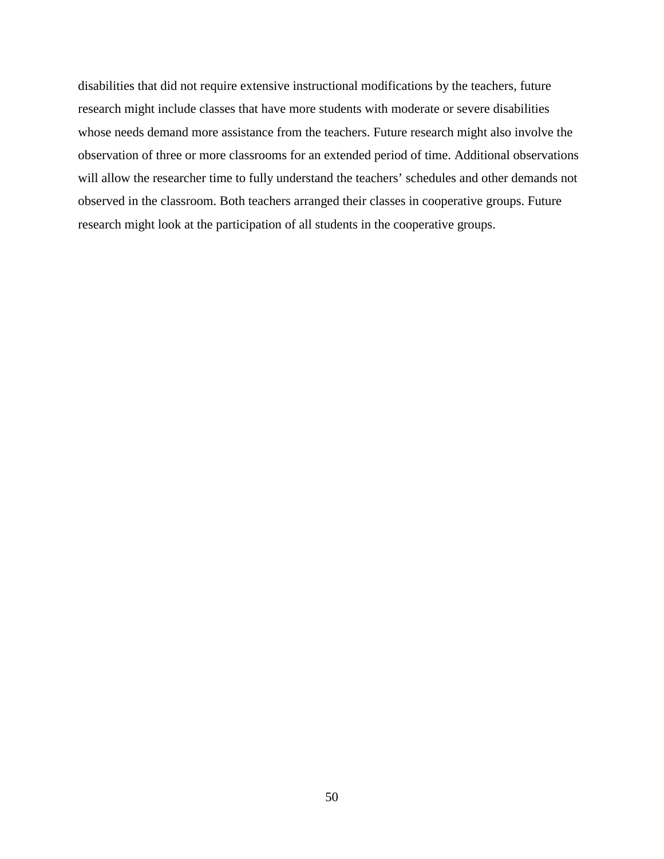disabilities that did not require extensive instructional modifications by the teachers, future research might include classes that have more students with moderate or severe disabilities whose needs demand more assistance from the teachers. Future research might also involve the observation of three or more classrooms for an extended period of time. Additional observations will allow the researcher time to fully understand the teachers' schedules and other demands not observed in the classroom. Both teachers arranged their classes in cooperative groups. Future research might look at the participation of all students in the cooperative groups.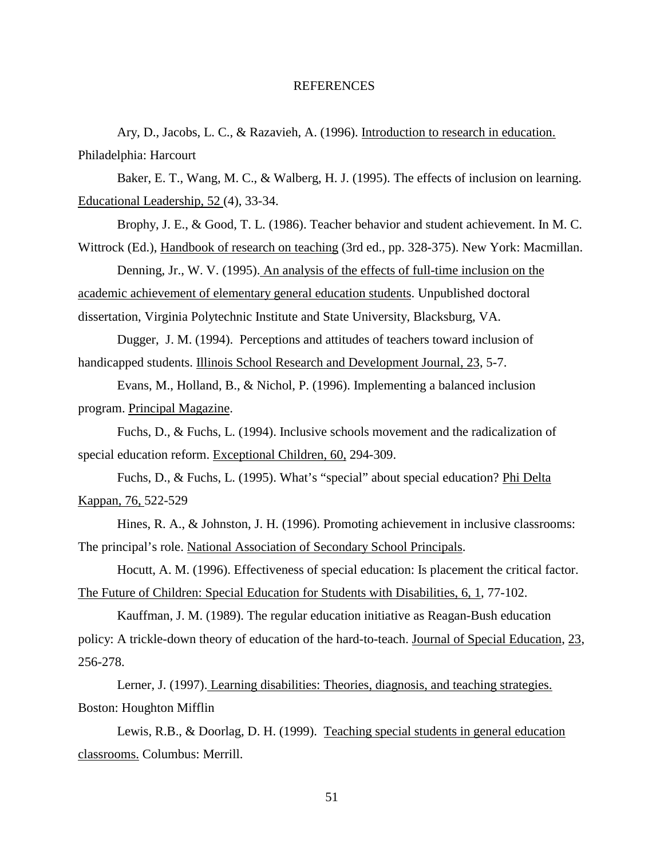#### REFERENCES

Ary, D., Jacobs, L. C., & Razavieh, A. (1996). Introduction to research in education. Philadelphia: Harcourt

Baker, E. T., Wang, M. C., & Walberg, H. J. (1995). The effects of inclusion on learning. Educational Leadership, 52 (4), 33-34.

Brophy, J. E., & Good, T. L. (1986). Teacher behavior and student achievement. In M. C. Wittrock (Ed.), Handbook of research on teaching (3rd ed., pp. 328-375). New York: Macmillan.

Denning, Jr., W. V. (1995). An analysis of the effects of full-time inclusion on the academic achievement of elementary general education students. Unpublished doctoral dissertation, Virginia Polytechnic Institute and State University, Blacksburg, VA.

Dugger, J. M. (1994). Perceptions and attitudes of teachers toward inclusion of handicapped students. Illinois School Research and Development Journal, 23, 5-7.

Evans, M., Holland, B., & Nichol, P. (1996). Implementing a balanced inclusion program. Principal Magazine.

Fuchs, D., & Fuchs, L. (1994). Inclusive schools movement and the radicalization of special education reform. Exceptional Children, 60, 294-309.

Fuchs, D., & Fuchs, L. (1995). What's "special" about special education? Phi Delta Kappan, 76, 522-529

Hines, R. A., & Johnston, J. H. (1996). Promoting achievement in inclusive classrooms: The principal's role. National Association of Secondary School Principals.

Hocutt, A. M. (1996). Effectiveness of special education: Is placement the critical factor. The Future of Children: Special Education for Students with Disabilities, 6, 1, 77-102.

Kauffman, J. M. (1989). The regular education initiative as Reagan-Bush education policy: A trickle-down theory of education of the hard-to-teach. Journal of Special Education, 23, 256-278.

Lerner, J. (1997). Learning disabilities: Theories, diagnosis, and teaching strategies. Boston: Houghton Mifflin

Lewis, R.B., & Doorlag, D. H. (1999). Teaching special students in general education classrooms. Columbus: Merrill.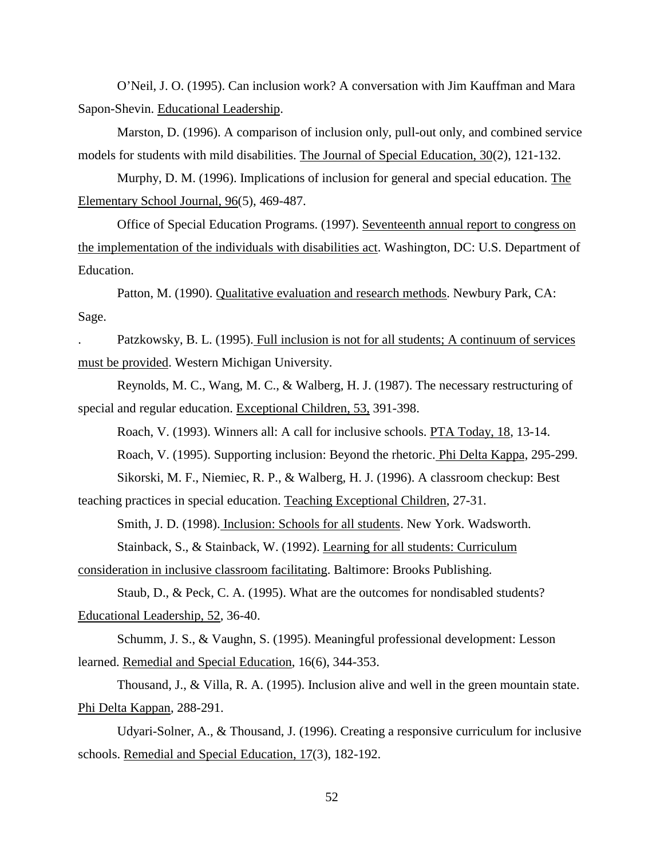O'Neil, J. O. (1995). Can inclusion work? A conversation with Jim Kauffman and Mara Sapon-Shevin. Educational Leadership.

Marston, D. (1996). A comparison of inclusion only, pull-out only, and combined service models for students with mild disabilities. The Journal of Special Education, 30(2), 121-132.

Murphy, D. M. (1996). Implications of inclusion for general and special education. The Elementary School Journal, 96(5), 469-487.

Office of Special Education Programs. (1997). Seventeenth annual report to congress on the implementation of the individuals with disabilities act. Washington, DC: U.S. Department of Education.

Patton, M. (1990). Qualitative evaluation and research methods. Newbury Park, CA: Sage.

. Patzkowsky, B. L. (1995). Full inclusion is not for all students; A continuum of services must be provided. Western Michigan University.

Reynolds, M. C., Wang, M. C., & Walberg, H. J. (1987). The necessary restructuring of special and regular education. Exceptional Children, 53, 391-398.

Roach, V. (1993). Winners all: A call for inclusive schools. PTA Today, 18, 13-14.

Roach, V. (1995). Supporting inclusion: Beyond the rhetoric. Phi Delta Kappa, 295-299.

Sikorski, M. F., Niemiec, R. P., & Walberg, H. J. (1996). A classroom checkup: Best

teaching practices in special education. Teaching Exceptional Children, 27-31.

Smith, J. D. (1998). Inclusion: Schools for all students. New York. Wadsworth.

Stainback, S., & Stainback, W. (1992). Learning for all students: Curriculum

consideration in inclusive classroom facilitating. Baltimore: Brooks Publishing.

Staub, D., & Peck, C. A. (1995). What are the outcomes for nondisabled students? Educational Leadership, 52, 36-40.

Schumm, J. S., & Vaughn, S. (1995). Meaningful professional development: Lesson learned. Remedial and Special Education, 16(6), 344-353.

Thousand, J., & Villa, R. A. (1995). Inclusion alive and well in the green mountain state. Phi Delta Kappan, 288-291.

Udyari-Solner, A., & Thousand, J. (1996). Creating a responsive curriculum for inclusive schools. Remedial and Special Education, 17(3), 182-192.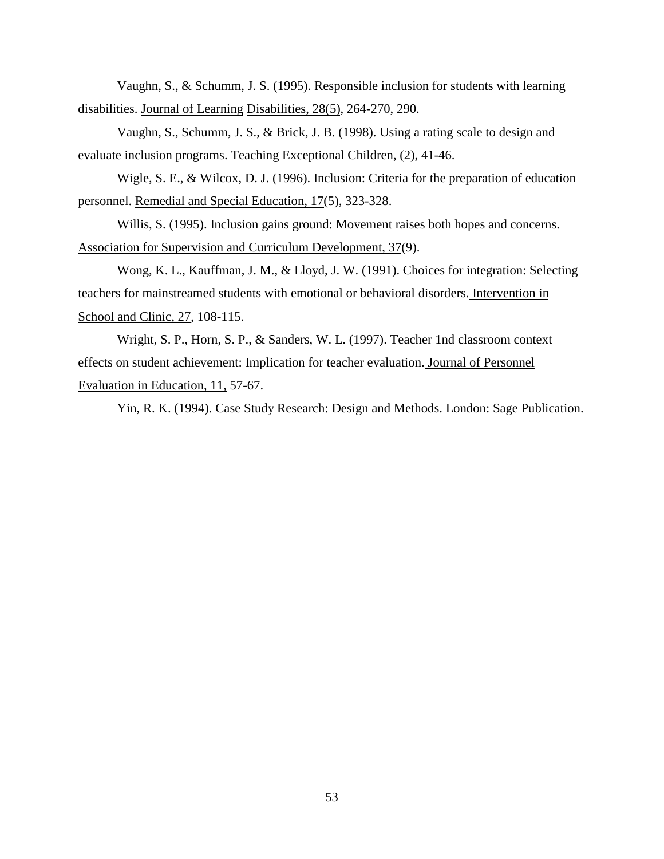Vaughn, S., & Schumm, J. S. (1995). Responsible inclusion for students with learning disabilities. Journal of Learning Disabilities, 28(5), 264-270, 290.

Vaughn, S., Schumm, J. S., & Brick, J. B. (1998). Using a rating scale to design and evaluate inclusion programs. Teaching Exceptional Children, (2), 41-46.

Wigle, S. E., & Wilcox, D. J. (1996). Inclusion: Criteria for the preparation of education personnel. Remedial and Special Education, 17(5), 323-328.

Willis, S. (1995). Inclusion gains ground: Movement raises both hopes and concerns. Association for Supervision and Curriculum Development, 37(9).

Wong, K. L., Kauffman, J. M., & Lloyd, J. W. (1991). Choices for integration: Selecting teachers for mainstreamed students with emotional or behavioral disorders. Intervention in School and Clinic, 27, 108-115.

Wright, S. P., Horn, S. P., & Sanders, W. L. (1997). Teacher 1nd classroom context effects on student achievement: Implication for teacher evaluation. Journal of Personnel Evaluation in Education, 11, 57-67.

Yin, R. K. (1994). Case Study Research: Design and Methods. London: Sage Publication.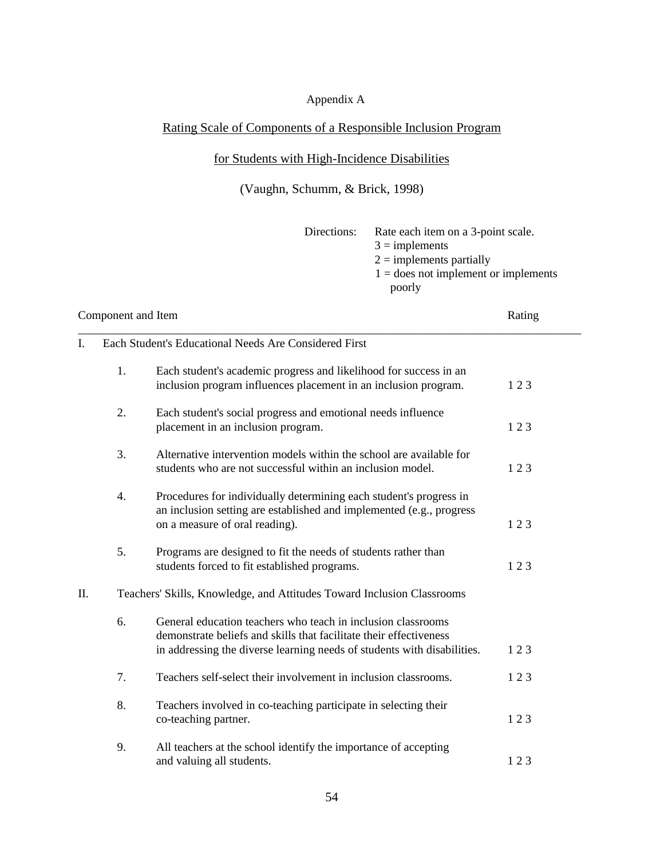## Appendix A

# Rating Scale of Components of a Responsible Inclusion Program

## for Students with High-Incidence Disabilities

# (Vaughn, Schumm, & Brick, 1998)

| Directions: | Rate each item on a 3-point scale.     |
|-------------|----------------------------------------|
|             | $3 =$ implements                       |
|             | $2 =$ implements partially             |
|             | $1 =$ does not implement or implements |
|             | poorly                                 |
|             |                                        |

| Component and Item |    |                                                                                                                                                                                                               | Rating |  |
|--------------------|----|---------------------------------------------------------------------------------------------------------------------------------------------------------------------------------------------------------------|--------|--|
| L.                 |    | Each Student's Educational Needs Are Considered First                                                                                                                                                         |        |  |
|                    | 1. | Each student's academic progress and likelihood for success in an<br>inclusion program influences placement in an inclusion program.                                                                          | 123    |  |
|                    | 2. | Each student's social progress and emotional needs influence<br>placement in an inclusion program.                                                                                                            | 123    |  |
|                    | 3. | Alternative intervention models within the school are available for<br>students who are not successful within an inclusion model.                                                                             | 123    |  |
|                    | 4. | Procedures for individually determining each student's progress in<br>an inclusion setting are established and implemented (e.g., progress<br>on a measure of oral reading).                                  | 123    |  |
|                    | 5. | Programs are designed to fit the needs of students rather than<br>students forced to fit established programs.                                                                                                | 123    |  |
| Π.                 |    | Teachers' Skills, Knowledge, and Attitudes Toward Inclusion Classrooms                                                                                                                                        |        |  |
|                    | 6. | General education teachers who teach in inclusion classrooms<br>demonstrate beliefs and skills that facilitate their effectiveness<br>in addressing the diverse learning needs of students with disabilities. | 123    |  |
|                    | 7. | Teachers self-select their involvement in inclusion classrooms.                                                                                                                                               | 123    |  |
|                    | 8. | Teachers involved in co-teaching participate in selecting their<br>co-teaching partner.                                                                                                                       | 123    |  |
|                    | 9. | All teachers at the school identify the importance of accepting<br>and valuing all students.                                                                                                                  | 123    |  |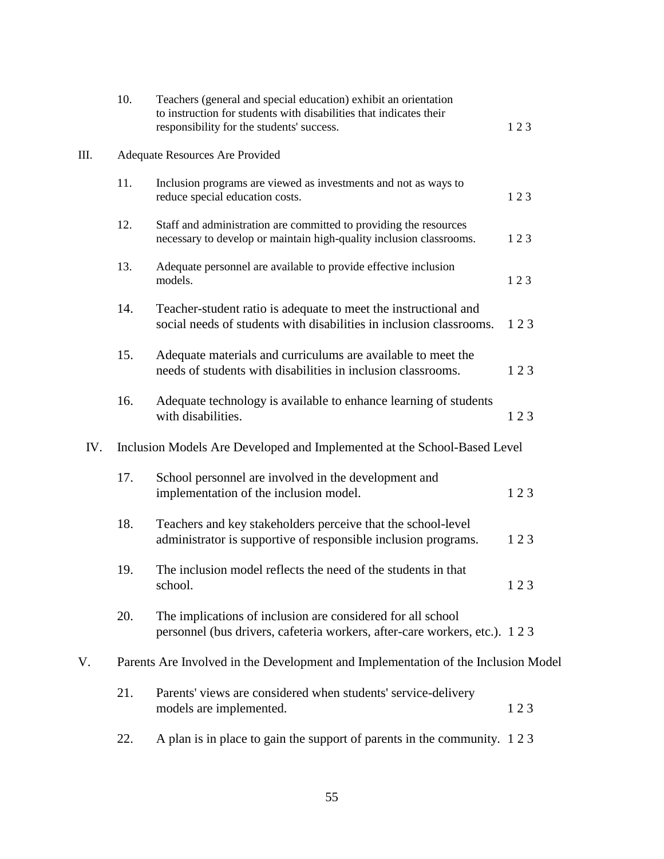|     | 10. | Teachers (general and special education) exhibit an orientation<br>to instruction for students with disabilities that indicates their<br>responsibility for the students' success. | 123 |  |  |
|-----|-----|------------------------------------------------------------------------------------------------------------------------------------------------------------------------------------|-----|--|--|
| Ш.  |     | Adequate Resources Are Provided                                                                                                                                                    |     |  |  |
|     | 11. | Inclusion programs are viewed as investments and not as ways to<br>reduce special education costs.                                                                                 | 123 |  |  |
|     | 12. | Staff and administration are committed to providing the resources<br>necessary to develop or maintain high-quality inclusion classrooms.                                           | 123 |  |  |
|     | 13. | Adequate personnel are available to provide effective inclusion<br>models.                                                                                                         | 123 |  |  |
|     | 14. | Teacher-student ratio is adequate to meet the instructional and<br>social needs of students with disabilities in inclusion classrooms.                                             | 123 |  |  |
|     | 15. | Adequate materials and curriculums are available to meet the<br>needs of students with disabilities in inclusion classrooms.                                                       | 123 |  |  |
|     | 16. | Adequate technology is available to enhance learning of students<br>with disabilities.                                                                                             | 123 |  |  |
| IV. |     | Inclusion Models Are Developed and Implemented at the School-Based Level                                                                                                           |     |  |  |
|     | 17. | School personnel are involved in the development and<br>implementation of the inclusion model.                                                                                     | 123 |  |  |
|     | 18. | Teachers and key stakeholders perceive that the school-level<br>administrator is supportive of responsible inclusion programs.                                                     | 123 |  |  |
|     | 19. | The inclusion model reflects the need of the students in that<br>school.                                                                                                           | 123 |  |  |
|     | 20. | The implications of inclusion are considered for all school<br>personnel (bus drivers, cafeteria workers, after-care workers, etc.). 123                                           |     |  |  |
| V.  |     | Parents Are Involved in the Development and Implementation of the Inclusion Model                                                                                                  |     |  |  |
|     | 21. | Parents' views are considered when students' service-delivery<br>models are implemented.                                                                                           | 123 |  |  |
|     | 22. | A plan is in place to gain the support of parents in the community. 123                                                                                                            |     |  |  |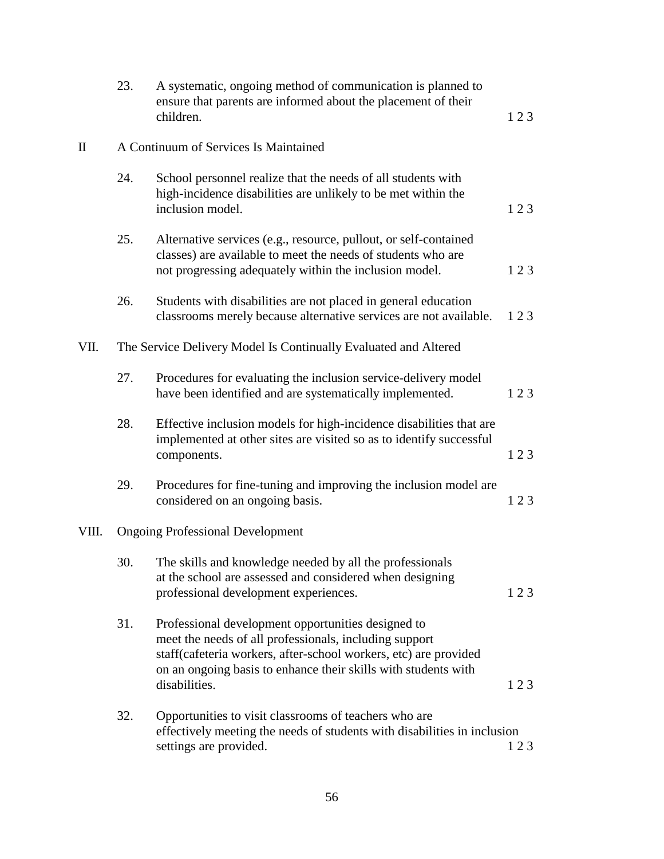|             | 23. | A systematic, ongoing method of communication is planned to<br>ensure that parents are informed about the placement of their<br>children.                                                                                                                           | 123 |
|-------------|-----|---------------------------------------------------------------------------------------------------------------------------------------------------------------------------------------------------------------------------------------------------------------------|-----|
| $\rm _{II}$ |     | A Continuum of Services Is Maintained                                                                                                                                                                                                                               |     |
|             | 24. | School personnel realize that the needs of all students with<br>high-incidence disabilities are unlikely to be met within the<br>inclusion model.                                                                                                                   | 123 |
|             | 25. | Alternative services (e.g., resource, pullout, or self-contained<br>classes) are available to meet the needs of students who are<br>not progressing adequately within the inclusion model.                                                                          | 123 |
|             | 26. | Students with disabilities are not placed in general education<br>classrooms merely because alternative services are not available.                                                                                                                                 | 123 |
| VII.        |     | The Service Delivery Model Is Continually Evaluated and Altered                                                                                                                                                                                                     |     |
|             | 27. | Procedures for evaluating the inclusion service-delivery model<br>have been identified and are systematically implemented.                                                                                                                                          | 123 |
|             | 28. | Effective inclusion models for high-incidence disabilities that are<br>implemented at other sites are visited so as to identify successful<br>components.                                                                                                           | 123 |
|             | 29. | Procedures for fine-tuning and improving the inclusion model are<br>considered on an ongoing basis.                                                                                                                                                                 | 123 |
| VIII.       |     | <b>Ongoing Professional Development</b>                                                                                                                                                                                                                             |     |
|             | 30. | The skills and knowledge needed by all the professionals<br>at the school are assessed and considered when designing<br>professional development experiences.                                                                                                       | 123 |
|             | 31. | Professional development opportunities designed to<br>meet the needs of all professionals, including support<br>staff(cafeteria workers, after-school workers, etc) are provided<br>on an ongoing basis to enhance their skills with students with<br>disabilities. | 123 |
|             | 32. | Opportunities to visit classrooms of teachers who are<br>effectively meeting the needs of students with disabilities in inclusion<br>settings are provided.                                                                                                         | 123 |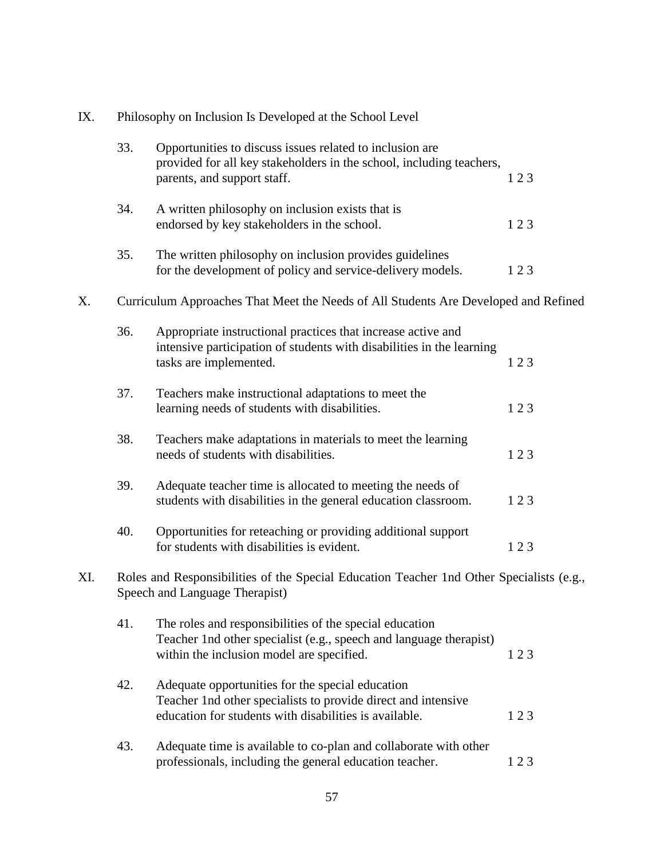| IX. | Philosophy on Inclusion Is Developed at the School Level |                                                                                                                                                                             |     |
|-----|----------------------------------------------------------|-----------------------------------------------------------------------------------------------------------------------------------------------------------------------------|-----|
|     | 33.                                                      | Opportunities to discuss issues related to inclusion are<br>provided for all key stakeholders in the school, including teachers,<br>parents, and support staff.             | 123 |
|     | 34.                                                      | A written philosophy on inclusion exists that is<br>endorsed by key stakeholders in the school.                                                                             | 123 |
|     | 35.                                                      | The written philosophy on inclusion provides guidelines<br>for the development of policy and service-delivery models.                                                       | 123 |
| X.  |                                                          | Curriculum Approaches That Meet the Needs of All Students Are Developed and Refined                                                                                         |     |
|     | 36.                                                      | Appropriate instructional practices that increase active and<br>intensive participation of students with disabilities in the learning<br>tasks are implemented.             | 123 |
|     | 37.                                                      | Teachers make instructional adaptations to meet the<br>learning needs of students with disabilities.                                                                        | 123 |
|     | 38.                                                      | Teachers make adaptations in materials to meet the learning<br>needs of students with disabilities.                                                                         | 123 |
|     | 39.                                                      | Adequate teacher time is allocated to meeting the needs of<br>students with disabilities in the general education classroom.                                                | 123 |
|     | 40.                                                      | Opportunities for reteaching or providing additional support<br>for students with disabilities is evident.                                                                  | 123 |
| XI. |                                                          | Roles and Responsibilities of the Special Education Teacher 1nd Other Specialists (e.g.,<br>Speech and Language Therapist)                                                  |     |
|     | 41.                                                      | The roles and responsibilities of the special education<br>Teacher 1nd other specialist (e.g., speech and language therapist)<br>within the inclusion model are specified.  | 123 |
|     | 42.                                                      | Adequate opportunities for the special education<br>Teacher 1nd other specialists to provide direct and intensive<br>education for students with disabilities is available. | 123 |
|     | 43.                                                      | Adequate time is available to co-plan and collaborate with other<br>professionals, including the general education teacher.                                                 | 123 |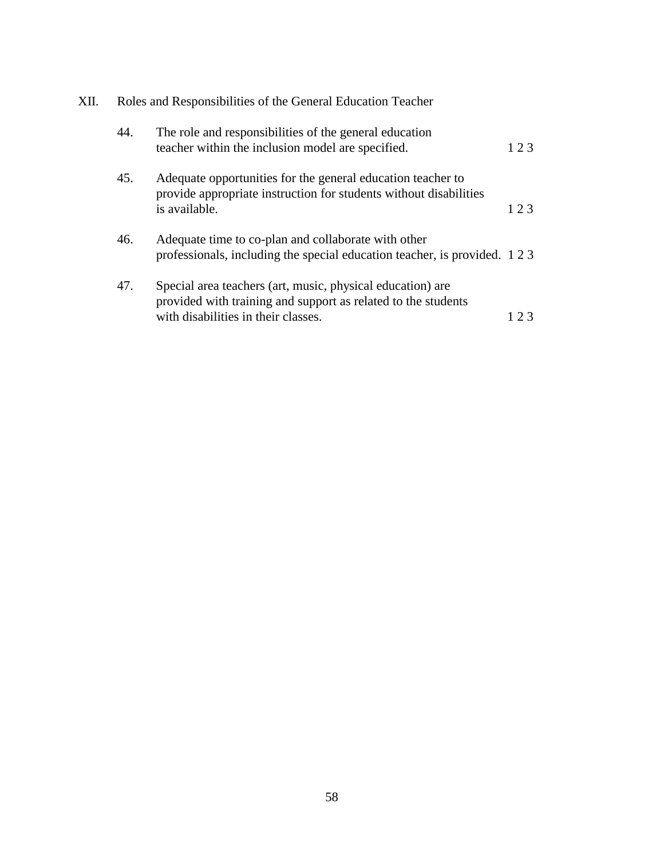| XII. | Roles and Responsibilities of the General Education Teacher |                                                                                                                                                                    |     |
|------|-------------------------------------------------------------|--------------------------------------------------------------------------------------------------------------------------------------------------------------------|-----|
|      | 44.                                                         | The role and responsibilities of the general education<br>teacher within the inclusion model are specified.                                                        | 123 |
|      | 45.                                                         | Adequate opportunities for the general education teacher to<br>provide appropriate instruction for students without disabilities<br>is available.                  | 123 |
|      | 46.                                                         | Adequate time to co-plan and collaborate with other<br>professionals, including the special education teacher, is provided. 123                                    |     |
|      | 47.                                                         | Special area teachers (art, music, physical education) are<br>provided with training and support as related to the students<br>with disabilities in their classes. | 23  |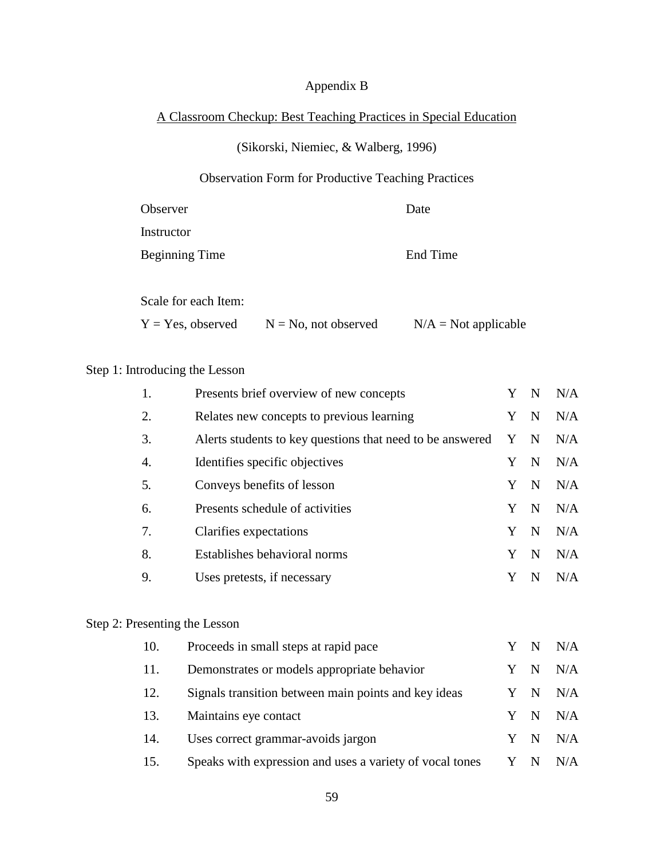## Appendix B

## A Classroom Checkup: Best Teaching Practices in Special Education

## (Sikorski, Niemiec, & Walberg, 1996)

# Observation Form for Productive Teaching Practices

| Observer              | Date     |
|-----------------------|----------|
| Instructor            |          |
| <b>Beginning Time</b> | End Time |
| Scale for each Item:  |          |

# $Y = Yes$ , observed  $N = No$ , not observed  $N/A = Not$  applicable

## Step 1: Introducing the Lesson

| 1. | Presents brief overview of new concepts                   |   | N           | N/A |
|----|-----------------------------------------------------------|---|-------------|-----|
| 2. | Relates new concepts to previous learning                 | Y | N           | N/A |
| 3. | Alerts students to key questions that need to be answered | Y | $\mathbf N$ | N/A |
| 4. | Identifies specific objectives                            |   | N           | N/A |
| 5. | Conveys benefits of lesson                                | Y | N           | N/A |
| 6. | Presents schedule of activities                           | Y | N           | N/A |
| 7. | Clarifies expectations                                    |   | N           | N/A |
| 8. | Establishes behavioral norms                              |   | N           | N/A |
| 9. | Uses pretests, if necessary                               |   |             | N/A |

## Step 2: Presenting the Lesson

| 10. | Proceeds in small steps at rapid pace                    |     |             | Y N N/A |
|-----|----------------------------------------------------------|-----|-------------|---------|
| 11. | Demonstrates or models appropriate behavior              | Y   | N           | N/A     |
| 12. | Signals transition between main points and key ideas     |     | - N         | N/A     |
| 13. | Maintains eye contact                                    | Y   | N           | N/A     |
| 14. | Uses correct grammar-avoids jargon                       | Y   | $\mathbf N$ | N/A     |
| 15. | Speaks with expression and uses a variety of vocal tones | Y N |             | N/A     |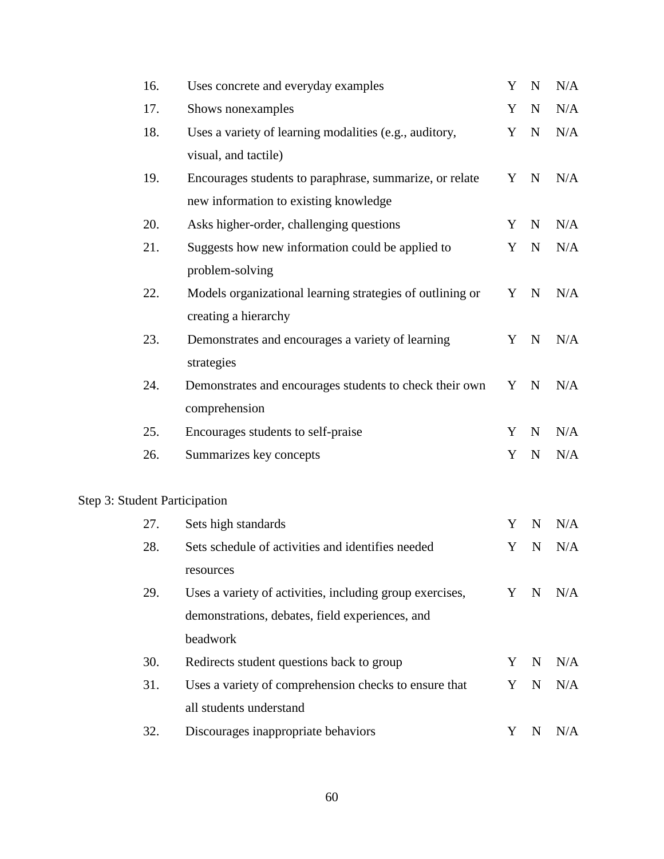| 16. | Uses concrete and everyday examples                       | Y | $\mathbf N$ | N/A |
|-----|-----------------------------------------------------------|---|-------------|-----|
| 17. | Shows nonexamples                                         | Y | $\mathbf N$ | N/A |
| 18. | Uses a variety of learning modalities (e.g., auditory,    | Y | ${\bf N}$   | N/A |
|     | visual, and tactile)                                      |   |             |     |
| 19. | Encourages students to paraphrase, summarize, or relate   |   | Y N         | N/A |
|     | new information to existing knowledge                     |   |             |     |
| 20. | Asks higher-order, challenging questions                  | Y | $\mathbf N$ | N/A |
| 21. | Suggests how new information could be applied to          | Y | $\mathbf N$ | N/A |
|     | problem-solving                                           |   |             |     |
| 22. | Models organizational learning strategies of outlining or |   | Y N         | N/A |
|     | creating a hierarchy                                      |   |             |     |
| 23. | Demonstrates and encourages a variety of learning         | Y | $\mathbf N$ | N/A |
|     | strategies                                                |   |             |     |
| 24. | Demonstrates and encourages students to check their own   | Y | $\mathbf N$ | N/A |
|     | comprehension                                             |   |             |     |
| 25. | Encourages students to self-praise                        | Y | $\mathbf N$ | N/A |
| 26. | Summarizes key concepts                                   | Y | $\mathbf N$ | N/A |
|     |                                                           |   |             |     |

# Step 3: Student Participation

| 27. | Sets high standards                                      | Y | N           | N/A |
|-----|----------------------------------------------------------|---|-------------|-----|
| 28. | Sets schedule of activities and identifies needed        | Y | -N          | N/A |
|     | resources                                                |   |             |     |
| 29. | Uses a variety of activities, including group exercises, |   | Y N         | N/A |
|     | demonstrations, debates, field experiences, and          |   |             |     |
|     | beadwork                                                 |   |             |     |
| 30. | Redirects student questions back to group                | Y | -N          | N/A |
| 31. | Uses a variety of comprehension checks to ensure that    | Y | $\mathbf N$ | N/A |
|     | all students understand                                  |   |             |     |
| 32. | Discourages inappropriate behaviors                      | Y | N           | N/A |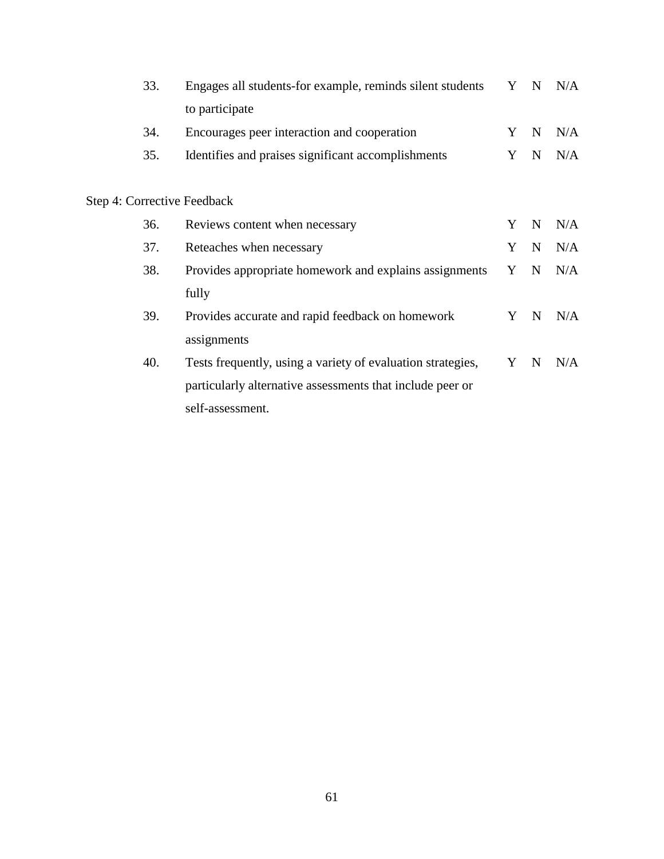| 33. | Engages all students-for example, reminds silent students   |   | $\mathbf N$ | N/A |
|-----|-------------------------------------------------------------|---|-------------|-----|
|     | to participate                                              |   |             |     |
| 34. | Encourages peer interaction and cooperation                 | Y | $\mathbf N$ | N/A |
| 35. | Identifies and praises significant accomplishments          | Y | $\mathbf N$ | N/A |
|     |                                                             |   |             |     |
|     | Step 4: Corrective Feedback                                 |   |             |     |
| 36. | Reviews content when necessary                              | Y | $\mathbf N$ | N/A |
| 37. | Reteaches when necessary                                    | Y | $\mathbf N$ | N/A |
| 38. | Provides appropriate homework and explains assignments      | Y | N           | N/A |
|     | fully                                                       |   |             |     |
| 39. | Provides accurate and rapid feedback on homework            | Y | $\mathbf N$ | N/A |
|     | assignments                                                 |   |             |     |
| 40. | Tests frequently, using a variety of evaluation strategies, | Y | $\mathbf N$ | N/A |
|     | particularly alternative assessments that include peer or   |   |             |     |
|     | self-assessment.                                            |   |             |     |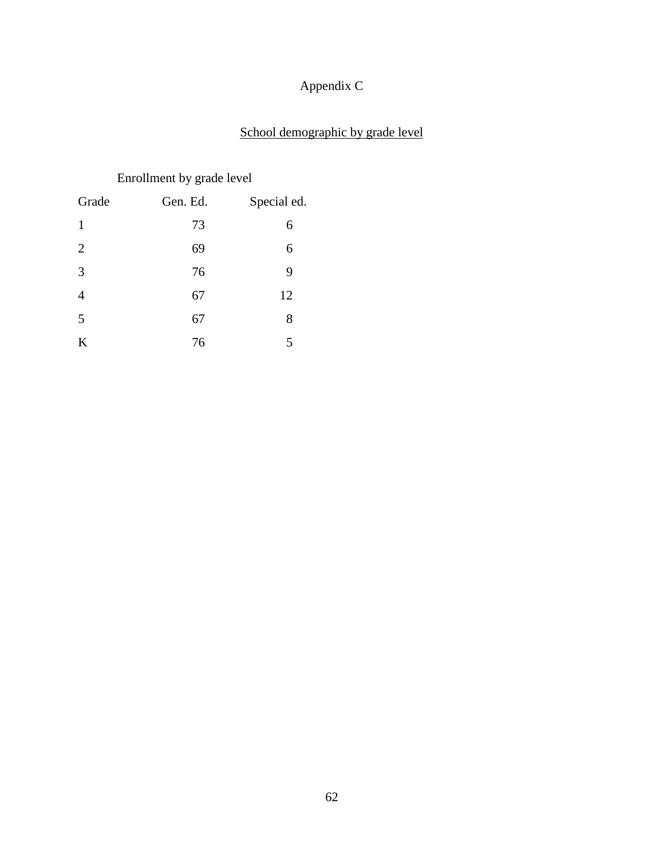# Appendix C

# School demographic by grade level

# Enrollment by grade level

| Grade          | Gen. Ed. | Special ed. |
|----------------|----------|-------------|
| 1              | 73       | 6           |
| $\overline{2}$ | 69       | 6           |
| 3              | 76       | 9           |
| $\overline{4}$ | 67       | 12          |
| 5              | 67       | 8           |
| K              | 76       | 5           |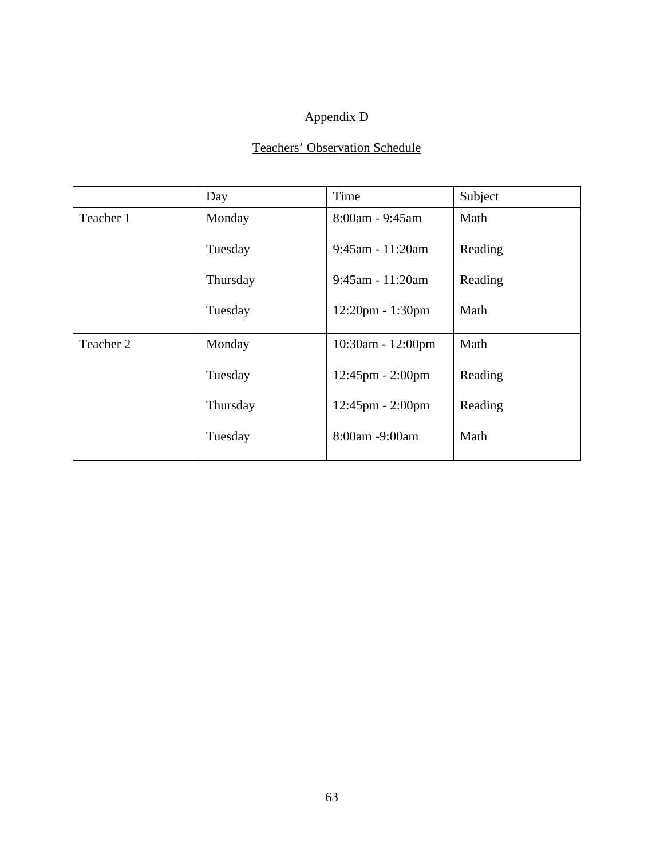# Appendix D

# Teachers' Observation Schedule

|           | Day      | Time                               | Subject |
|-----------|----------|------------------------------------|---------|
| Teacher 1 | Monday   | 8:00am - 9:45am                    | Math    |
|           | Tuesday  | $9:45$ am - 11:20am                | Reading |
|           | Thursday | 9:45am - 11:20am                   | Reading |
|           | Tuesday  | $12:20$ pm - $1:30$ pm             | Math    |
| Teacher 2 | Monday   | $10:30$ am - $12:00$ pm            | Math    |
|           | Tuesday  | $12:45$ pm - $2:00$ pm             | Reading |
|           | Thursday | $12:45 \text{pm} - 2:00 \text{pm}$ | Reading |
|           | Tuesday  | 8:00am -9:00am                     | Math    |